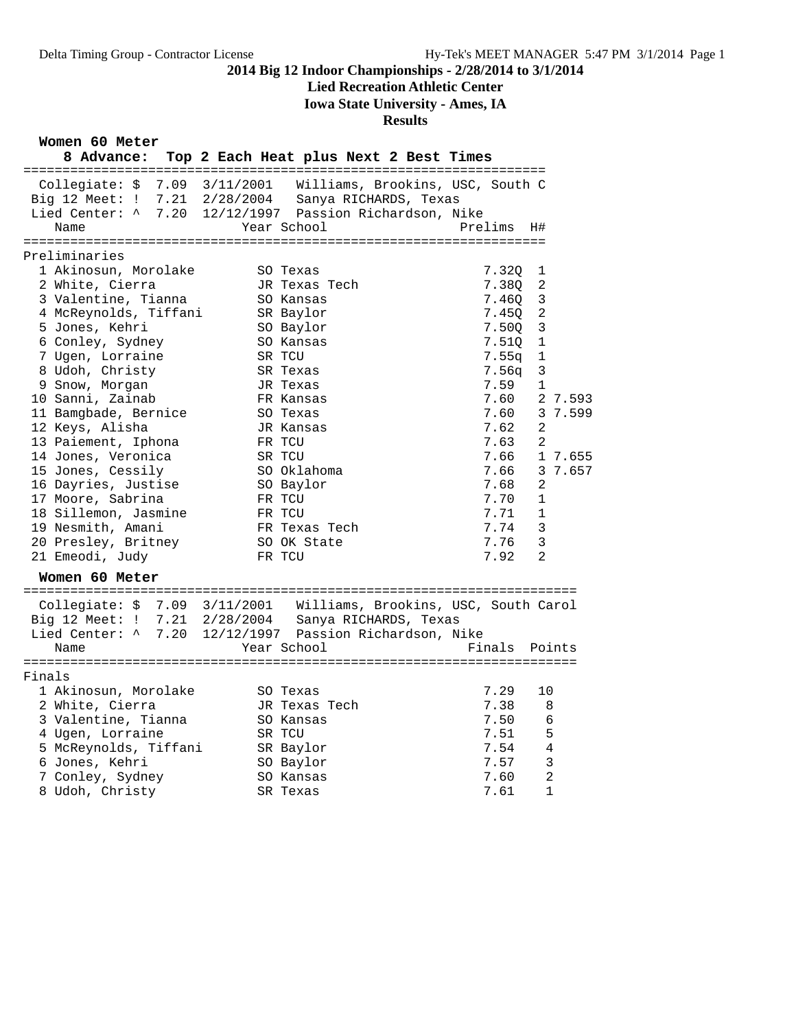### **Lied Recreation Athletic Center**

**Iowa State University - Ames, IA**

#### **Results**

**Women 60 Meter**

| 8 Advance:                                                                                       | Top 2 Each Heat plus Next 2 Best Times |                              |                                                                                       |         |              |                |         |  |
|--------------------------------------------------------------------------------------------------|----------------------------------------|------------------------------|---------------------------------------------------------------------------------------|---------|--------------|----------------|---------|--|
| Collegiate: \$ 7.09 3/11/2001<br>Big 12 Meet: ! 7.21 2/28/2004<br>Lied Center: ^ 7.20 12/12/1997 |                                        |                              | Williams, Brookins, USC, South C<br>Sanya RICHARDS, Texas<br>Passion Richardson, Nike |         |              |                |         |  |
| Name                                                                                             |                                        | Year School                  |                                                                                       | Prelims |              | H#             |         |  |
| Preliminaries                                                                                    |                                        |                              |                                                                                       |         |              |                |         |  |
| 1 Akinosun, Morolake                                                                             |                                        | SO Texas                     |                                                                                       |         | 7.320        | 1              |         |  |
| 2 White, Cierra                                                                                  |                                        | JR Texas Tech                |                                                                                       |         | 7.380        | 2              |         |  |
| 3 Valentine, Tianna                                                                              |                                        | SO Kansas                    |                                                                                       |         | 7.460        | 3              |         |  |
| 4 McReynolds, Tiffani                                                                            |                                        | SR Baylor                    |                                                                                       |         | 7.450        | 2              |         |  |
| 5 Jones, Kehri                                                                                   |                                        | SO Baylor                    |                                                                                       |         | 7.500        | 3              |         |  |
| 6 Conley, Sydney                                                                                 |                                        | SO Kansas                    |                                                                                       |         | 7.510        | 1              |         |  |
| 7 Ugen, Lorraine                                                                                 |                                        | SR TCU                       |                                                                                       |         | 7.55q        | 1              |         |  |
| 8 Udoh, Christy                                                                                  |                                        | SR Texas                     |                                                                                       |         | 7.56q        | 3              |         |  |
| 9 Snow, Morgan                                                                                   |                                        | JR Texas                     |                                                                                       |         | 7.59         | $\mathbf{1}$   |         |  |
| 10 Sanni, Zainab                                                                                 |                                        | FR Kansas                    |                                                                                       |         | 7.60         |                | 2 7.593 |  |
| 11 Bamgbade, Bernice                                                                             |                                        | SO Texas                     |                                                                                       |         | 7.60         |                | 3 7.599 |  |
| 12 Keys, Alisha                                                                                  |                                        | JR Kansas                    |                                                                                       |         | 7.62         | 2              |         |  |
| 13 Paiement, Iphona                                                                              |                                        | FR TCU                       |                                                                                       |         | 7.63         | 2              |         |  |
| 14 Jones, Veronica                                                                               |                                        | SR TCU                       |                                                                                       |         | 7.66         |                | 1 7.655 |  |
| 15 Jones, Cessily                                                                                |                                        | SO Oklahoma                  |                                                                                       |         | 7.66         |                | 3 7.657 |  |
| 16 Dayries, Justise                                                                              |                                        | SO Baylor                    |                                                                                       |         | 7.68         | 2              |         |  |
| 17 Moore, Sabrina                                                                                |                                        | FR TCU                       |                                                                                       |         | 7.70         | 1              |         |  |
| 18 Sillemon, Jasmine                                                                             |                                        | FR TCU                       |                                                                                       |         | 7.71         | 1              |         |  |
| 19 Nesmith, Amani                                                                                |                                        | FR Texas Tech<br>SO OK State |                                                                                       |         | 7.74<br>7.76 | 3<br>3         |         |  |
| 20 Presley, Britney                                                                              |                                        | FR TCU                       |                                                                                       |         | 7.92         | $\overline{2}$ |         |  |
| 21 Emeodi, Judy                                                                                  |                                        |                              |                                                                                       |         |              |                |         |  |
| Women 60 Meter                                                                                   |                                        |                              |                                                                                       |         |              |                |         |  |
| Collegiate: \$ 7.09 3/11/2001 Williams, Brookins, USC, South Carol                               |                                        |                              |                                                                                       |         |              |                |         |  |
| Big 12 Meet: ! 7.21 2/28/2004                                                                    |                                        |                              | Sanya RICHARDS, Texas                                                                 |         |              |                |         |  |
| Lied Center: ^ 7.20                                                                              | 12/12/1997 Passion Richardson, Nike    |                              |                                                                                       |         |              |                |         |  |
| Name                                                                                             |                                        | Year School                  |                                                                                       |         | Finals       |                | Points  |  |
|                                                                                                  |                                        |                              |                                                                                       |         |              |                |         |  |
| Finals                                                                                           |                                        |                              |                                                                                       |         |              |                |         |  |
| 1 Akinosun, Morolake                                                                             |                                        | SO Texas                     |                                                                                       |         | 7.29         | 10             |         |  |
| 2 White, Cierra                                                                                  |                                        | JR Texas Tech                |                                                                                       |         | 7.38         | 8              |         |  |
| 3 Valentine, Tianna                                                                              |                                        | SO Kansas                    |                                                                                       |         | 7.50         | 6              |         |  |
| 4 Ugen, Lorraine                                                                                 |                                        | SR TCU                       |                                                                                       |         | 7.51         | 5              |         |  |
| 5 McReynolds, Tiffani                                                                            |                                        | SR Baylor                    |                                                                                       |         | 7.54         | 4              |         |  |
| 6 Jones, Kehri                                                                                   |                                        | SO Baylor                    |                                                                                       |         | 7.57         | $\mathsf 3$    |         |  |
| 7 Conley, Sydney                                                                                 |                                        | SO Kansas                    |                                                                                       |         | 7.60         | $\overline{a}$ |         |  |
| 8 Udoh, Christy                                                                                  |                                        | SR Texas                     |                                                                                       |         | 7.61         | $\mathbf{1}$   |         |  |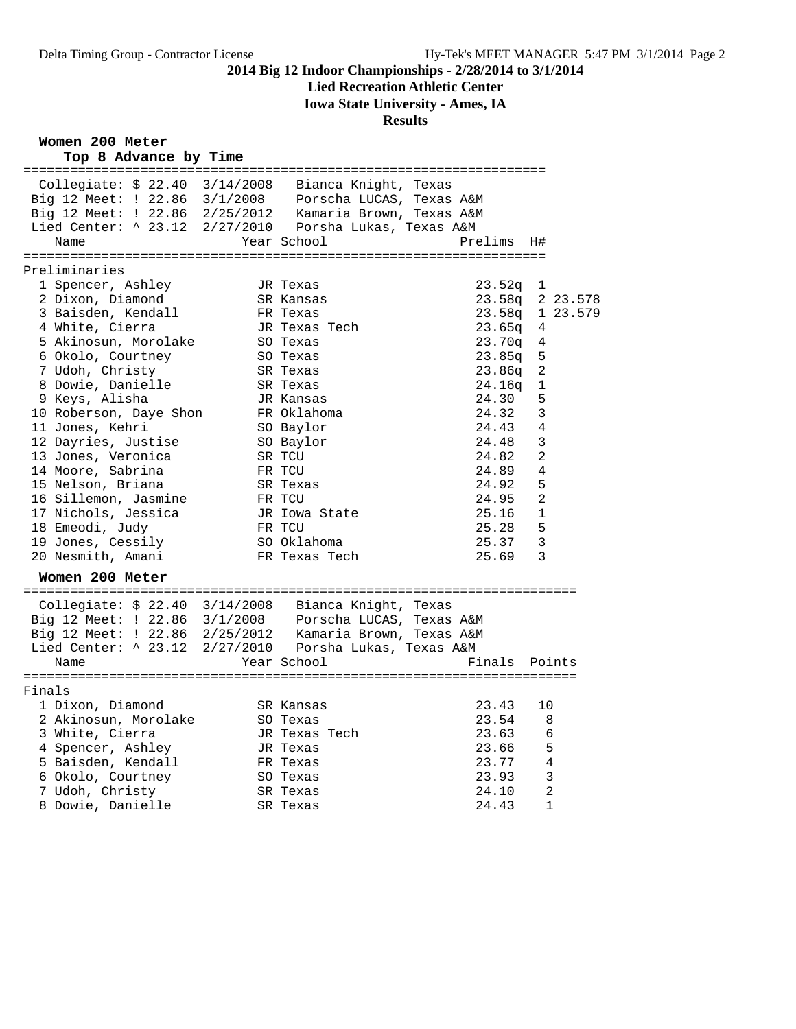# **Lied Recreation Athletic Center**

**Iowa State University - Ames, IA**

#### **Results**

**Women 200 Meter**

| Top 8 Advance by Time                                                                                             |                      |         |                 |
|-------------------------------------------------------------------------------------------------------------------|----------------------|---------|-----------------|
| Collegiate: $$22.40$ $3/14/2008$                                                                                  | Bianca Knight, Texas |         |                 |
| Big 12 Meet: ! 22.86 3/1/2008 Porscha LUCAS, Texas A&M                                                            |                      |         |                 |
|                                                                                                                   |                      |         |                 |
| Big 12 Meet: ! 22.86 2/25/2012 Kamaria Brown, Texas A&M<br>Lied Center: ^ 23.12 2/27/2010 Porsha Lukas, Texas A&M |                      |         |                 |
| Name                                                                                                              | Year School          | Prelims | H#              |
|                                                                                                                   |                      |         |                 |
| Preliminaries<br>1 Spencer, Ashley                                                                                | JR Texas             | 23.52q  | 1               |
| 2 Dixon, Diamond                                                                                                  | SR Kansas            |         | 23.58q 2 23.578 |
| 3 Baisden, Kendall                                                                                                | FR Texas             | 23.58q  | 1 23.579        |
| 4 White, Cierra                                                                                                   | JR Texas Tech        | 23.65q  | 4               |
| 5 Akinosun, Morolake                                                                                              | SO Texas             | 23.70q  | 4               |
| 6 Okolo, Courtney                                                                                                 | SO Texas             | 23.85q  | 5               |
| 7 Udoh, Christy                                                                                                   | SR Texas             | 23.86q  | 2               |
| 8 Dowie, Danielle                                                                                                 | SR Texas             | 24.16q  | 1               |
| 9 Keys, Alisha                                                                                                    | JR Kansas            | 24.30   | 5               |
| 10 Roberson, Daye Shon                                                                                            | FR Oklahoma          | 24.32   | 3               |
| 11 Jones, Kehri                                                                                                   | SO Baylor            | 24.43   | 4               |
| 12 Dayries, Justise                                                                                               | SO Baylor            | 24.48   | 3               |
| 13 Jones, Veronica                                                                                                | SR TCU               | 24.82   | $\overline{a}$  |
| 14 Moore, Sabrina                                                                                                 | FR TCU               | 24.89   | 4               |
| 15 Nelson, Briana                                                                                                 | SR Texas             | 24.92   | 5               |
| 16 Sillemon, Jasmine                                                                                              | FR TCU               | 24.95   | 2               |
| 17 Nichols, Jessica                                                                                               | JR Iowa State        | 25.16   | $\mathbf 1$     |
| 18 Emeodi, Judy                                                                                                   | FR TCU               | 25.28   | 5               |
| 19 Jones, Cessily                                                                                                 | SO Oklahoma          | 25.37   | 3               |
| 20 Nesmith, Amani                                                                                                 | FR Texas Tech        | 25.69   | 3               |
| Women 200 Meter                                                                                                   |                      |         |                 |
| Collegiate: \$ 22.40 3/14/2008                                                                                    | Bianca Knight, Texas |         |                 |
| Big 12 Meet: ! 22.86 3/1/2008 Porscha LUCAS, Texas A&M                                                            |                      |         |                 |
| Big 12 Meet: ! 22.86 2/25/2012 Kamaria Brown, Texas A&M                                                           |                      |         |                 |
| Lied Center: ^ 23.12 2/27/2010  Porsha Lukas, Texas A&M                                                           |                      |         |                 |
| Name                                                                                                              | Year School          | Finals  | Points          |
|                                                                                                                   |                      |         |                 |
| Finals                                                                                                            |                      |         |                 |
| 1 Dixon, Diamond                                                                                                  | SR Kansas            | 23.43   | 10              |
| 2 Akinosun, Morolake                                                                                              | SO Texas             | 23.54   | 8               |
| 3 White, Cierra                                                                                                   | JR Texas Tech        | 23.63   | 6               |
| 4 Spencer, Ashley                                                                                                 | JR Texas             | 23.66   | 5               |
| 5 Baisden, Kendall                                                                                                | FR Texas             | 23.77   | 4               |
| 6 Okolo, Courtney                                                                                                 | SO Texas             | 23.93   | 3               |
| 7 Udoh, Christy                                                                                                   | SR Texas             | 24.10   | 2               |
| 8 Dowie, Danielle                                                                                                 | SR Texas             | 24.43   | 1               |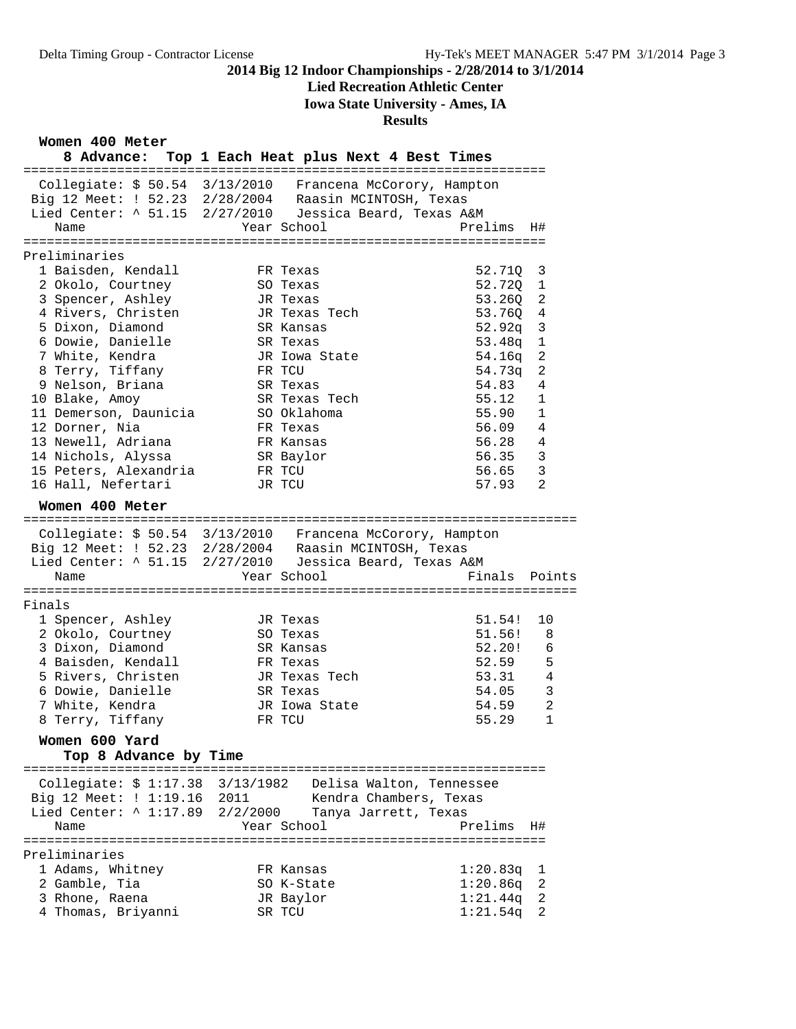# **Lied Recreation Athletic Center**

**Iowa State University - Ames, IA**

### **Results**

**Women 400 Meter**

| 8 Advance: Top 1 Each Heat plus Next 4 Best Times                                                                  |          |                          |                                      |
|--------------------------------------------------------------------------------------------------------------------|----------|--------------------------|--------------------------------------|
| Collegiate: \$ 50.54 3/13/2010 Francena McCorory, Hampton                                                          |          |                          |                                      |
|                                                                                                                    |          |                          |                                      |
| Big 12 Meet: ! 52.23 2/28/2004 Raasin MCINTOSH, Texas<br>Lied Center: ^ 51.15 2/27/2010 Jessica Beard, Texas A&M   |          |                          |                                      |
| Name                                                                                                               |          | Year School              | Prelims<br>H#                        |
|                                                                                                                    |          |                          |                                      |
| Preliminaries                                                                                                      |          |                          |                                      |
| 1 Baisden, Kendall                                                                                                 |          | FR Texas                 | 52.71Q<br>3                          |
| 2 Okolo, Courtney<br>3 Spencer, Ashley                                                                             |          | SO Texas<br>JR Texas     | $\mathbf 1$<br>52.720<br>53.26Q<br>2 |
| 4 Rivers, Christen                                                                                                 |          | JR Texas Tech            | 53.76Q<br>4                          |
| 5 Dixon, Diamond                                                                                                   |          | SR Kansas                | 52.92q<br>3                          |
| 6 Dowie, Danielle                                                                                                  |          | SR Texas                 | 1<br>53.48q                          |
| 7 White, Kendra                                                                                                    |          | JR Iowa State            | $\overline{2}$<br>54.16q             |
| 8 Terry, Tiffany                                                                                                   |          | FR TCU                   | $\overline{2}$<br>54.73q             |
| 9 Nelson, Briana                                                                                                   |          | SR Texas                 | 54.83<br>4                           |
| 10 Blake, Amoy                                                                                                     |          | SR Texas Tech            | 55.12<br>1                           |
| 11 Demerson, Daunicia                                                                                              |          | SO Oklahoma              | 55.90<br>1                           |
| 12 Dorner, Nia                                                                                                     |          | FR Texas                 | 56.09<br>4                           |
| 13 Newell, Adriana                                                                                                 |          | FR Kansas                | 56.28<br>4                           |
| 14 Nichols, Alyssa                                                                                                 |          | SR Baylor                | 3<br>56.35                           |
| 15 Peters, Alexandria                                                                                              |          | FR TCU                   | 3<br>56.65                           |
| 16 Hall, Nefertari                                                                                                 |          | JR TCU                   | $\overline{2}$<br>57.93              |
| Women 400 Meter                                                                                                    |          |                          |                                      |
|                                                                                                                    |          |                          |                                      |
| Collegiate: \$ 50.54 3/13/2010 Francena McCorory, Hampton<br>Big 12 Meet: ! 52.23 2/28/2004 Raasin MCINTOSH, Texas |          |                          |                                      |
|                                                                                                                    |          |                          |                                      |
| Lied Center: ^ 51.15 2/27/2010 Jessica Beard, Texas A&M                                                            |          |                          |                                      |
| Name                                                                                                               |          | Year School              | Finals<br>Points                     |
| Finals                                                                                                             |          |                          |                                      |
| 1 Spencer, Ashley                                                                                                  |          | JR Texas                 | 51.54!<br>10                         |
| 2 Okolo, Courtney                                                                                                  |          | SO Texas                 | 51.56!<br>8                          |
| 3 Dixon, Diamond                                                                                                   |          | SR Kansas                | 52.20!<br>6                          |
| 4 Baisden, Kendall                                                                                                 |          | FR Texas                 | 52.59<br>5                           |
| 5 Rivers, Christen                                                                                                 |          | JR Texas Tech            | $\overline{4}$<br>53.31              |
| 6 Dowie, Danielle                                                                                                  |          | SR Texas                 | $\overline{3}$<br>54.05              |
| 7 White, Kendra                                                                                                    |          | JR Iowa State            | $\overline{2}$<br>54.59              |
| 8 Terry, Tiffany                                                                                                   |          | FR TCU                   | $\mathbf{1}$<br>55.29                |
| Women 600 Yard<br>Top 8 Advance by Time                                                                            |          |                          |                                      |
|                                                                                                                    |          |                          |                                      |
| Collegiate: $$1:17.38$ $3/13/1982$                                                                                 |          | Delisa Walton, Tennessee |                                      |
| Big 12 Meet: ! 1:19.16 2011                                                                                        |          | Kendra Chambers, Texas   |                                      |
| Lied Center: $\land$ 1:17.89                                                                                       | 2/2/2000 | Tanya Jarrett, Texas     |                                      |
| Name                                                                                                               |          | Year School              | Prelims<br>H#                        |
|                                                                                                                    |          |                          |                                      |
| Preliminaries                                                                                                      |          |                          |                                      |
| 1 Adams, Whitney                                                                                                   |          | FR Kansas                | 1:20.83q<br>1                        |
| 2 Gamble, Tia                                                                                                      |          | SO K-State               | 1:20.86q<br>2                        |
| 3 Rhone, Raena<br>4 Thomas, Briyanni                                                                               |          | JR Baylor<br>SR TCU      | 1:21.44q<br>2<br>1:21.54q<br>2       |
|                                                                                                                    |          |                          |                                      |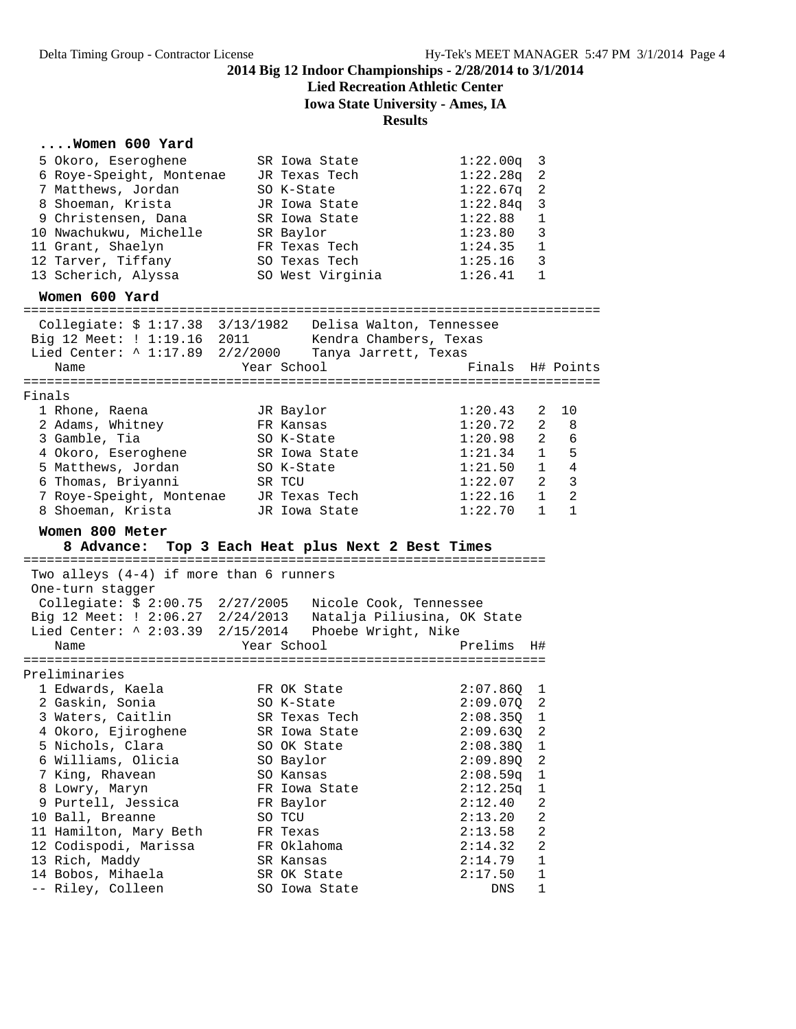## **Lied Recreation Athletic Center**

**Iowa State University - Ames, IA**

#### **Results**

# **....Women 600 Yard**<br>5 Okoro, Eseroghene

| 5 Okoro, Eseroghene<br>6 Roye-Speight, Montenae<br>7 Matthews, Jordan<br>8 Shoeman, Krista<br>9 Christensen, Dana                                                                | SR Iowa State<br>JR Texas Tech<br>SO K-State<br>JR Iowa State<br>SR Iowa State | 1:22.00q<br>1:22.28q<br>1:22.67q<br>1:22.84q<br>1:22.88 | 3<br>2<br>2<br>3<br>1 |                                             |
|----------------------------------------------------------------------------------------------------------------------------------------------------------------------------------|--------------------------------------------------------------------------------|---------------------------------------------------------|-----------------------|---------------------------------------------|
| 10 Nwachukwu, Michelle<br>11 Grant, Shaelyn<br>12 Tarver, Tiffany<br>13 Scherich, Alyssa                                                                                         | SR Baylor<br>FR Texas Tech<br>SO Texas Tech<br>SO West Virginia                | 1:23.80<br>1:24.35<br>1:25.16<br>1:26.41                | 3<br>1<br>3<br>1      |                                             |
| Women 600 Yard<br>======================================                                                                                                                         |                                                                                |                                                         |                       |                                             |
| Collegiate: \$ 1:17.38 3/13/1982 Delisa Walton, Tennessee<br>Big 12 Meet: ! 1:19.16 2011 Kendra Chambers, Texas<br>Lied Center: ^ 1:17.89 2/2/2000 Tanya Jarrett, Texas<br>Name  | Year School                                                                    | Finals H# Points                                        |                       |                                             |
|                                                                                                                                                                                  |                                                                                |                                                         |                       |                                             |
| Finals<br>1 Rhone, Raena<br>2 Adams, Whitney<br>3 Gamble, Tia                                                                                                                    | JR Baylor<br>FR Kansas<br>SO K-State                                           | 1:20.43<br>1:20.72<br>1:20.98                           | 2<br>2                | 10<br>8<br>$2\qquad 6$                      |
| 4 Okoro, Eseroghene<br>5 Matthews, Jordan<br>6 Thomas, Briyanni                                                                                                                  | SR Iowa State<br>SO K-State<br>SR TCU                                          | 1:21.34<br>1:21.50<br>1:22.07                           | 1<br>$\mathbf{1}$     | 5<br>$\overline{4}$<br>$2 \quad 3$          |
| 7 Roye-Speight, Montenae<br>8 Shoeman, Krista<br>Women 800 Meter                                                                                                                 | JR Texas Tech<br>JR Iowa State                                                 | 1:22.16<br>1:22.70                                      | $\mathbf{1}$          | $1 \quad$<br>$\overline{2}$<br>$\mathbf{1}$ |
|                                                                                                                                                                                  | 8 Advance: Top 3 Each Heat plus Next 2 Best Times                              |                                                         |                       |                                             |
|                                                                                                                                                                                  |                                                                                |                                                         |                       |                                             |
| Two alleys $(4-4)$ if more than 6 runners<br>One-turn stagger                                                                                                                    |                                                                                |                                                         |                       |                                             |
| Collegiate: \$ 2:00.75 2/27/2005 Nicole Cook, Tennessee<br>Big 12 Meet: ! 2:06.27 2/24/2013 Natalja Piliusina, OK State<br>Lied Center: ^ 2:03.39 2/15/2014  Phoebe Wright, Nike |                                                                                |                                                         |                       |                                             |
| Name                                                                                                                                                                             | Year School                                                                    | Prelims                                                 | H#                    |                                             |
| Preliminaries                                                                                                                                                                    |                                                                                |                                                         |                       |                                             |
| 1 Edwards, Kaela<br>2 Gaskin, Sonia<br>3 Waters, Caitlin                                                                                                                         | FR OK State<br>SO K-State<br>SR Texas Tech                                     | 2:07.86Q<br>2:09.070<br>2:08.35Q                        | ı<br>2<br>1           |                                             |
| 4 Okoro, Ejiroghene<br>5 Nichols, Clara                                                                                                                                          | SR Iowa State<br>SO OK State                                                   | 2:09.63Q<br>2:08.38Q                                    | 2<br>1                |                                             |
| 6 Williams, Olicia<br>7 King, Rhavean                                                                                                                                            | SO Baylor<br>SO Kansas<br>FR Iowa State                                        | 2:09.89Q<br>2:08.59q<br>2:12.25q                        | 2<br>1<br>1           |                                             |
| 8 Lowry, Maryn<br>9 Purtell, Jessica<br>10 Ball, Breanne<br>11 Hamilton, Mary Beth                                                                                               | FR Baylor<br>SO TCU<br>FR Texas                                                | 2:12.40<br>2:13.20<br>2:13.58                           | 2<br>2<br>2           |                                             |
| 12 Codispodi, Marissa<br>13 Rich, Maddy<br>14 Bobos, Mihaela                                                                                                                     | FR Oklahoma<br>SR Kansas<br>SR OK State                                        | 2:14.32<br>2:14.79<br>2:17.50                           | 2<br>1<br>1           |                                             |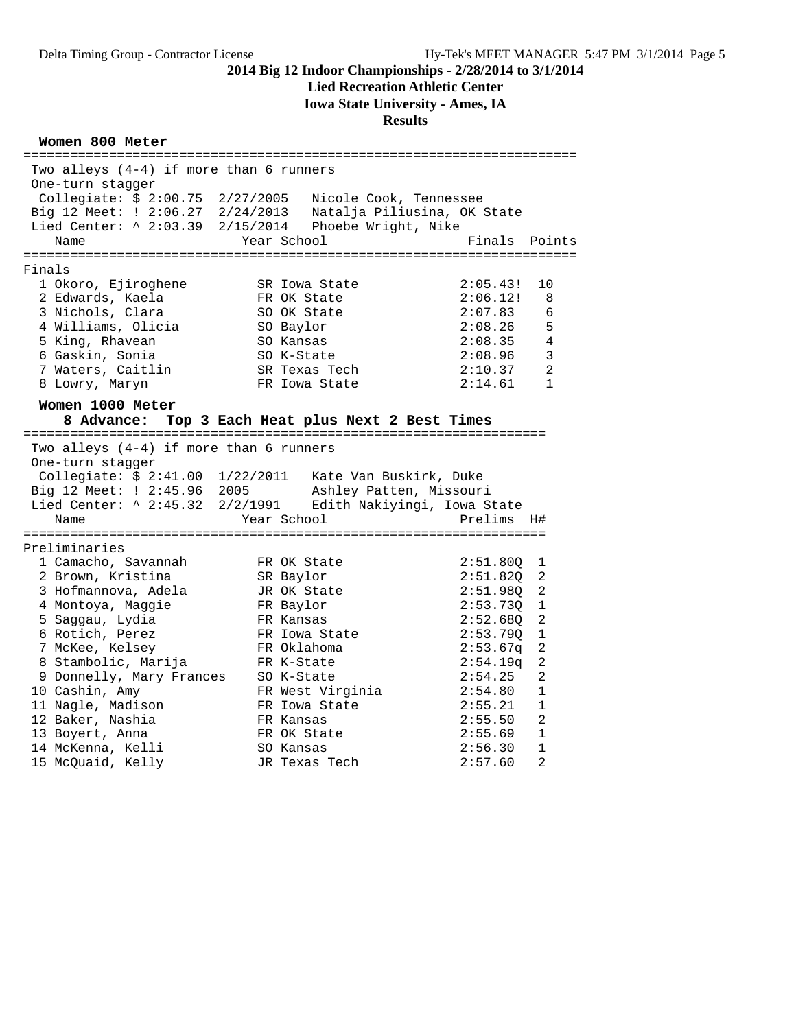#### **Lied Recreation Athletic Center**

**Iowa State University - Ames, IA**

#### **Results**

#### **Women 800 Meter**

======================================================================= Two alleys (4-4) if more than 6 runners One-turn stagger Collegiate: \$ 2:00.75 2/27/2005 Nicole Cook, Tennessee Big 12 Meet: ! 2:06.27 2/24/2013 Natalja Piliusina, OK State Lied Center: ^ 2:03.39 2/15/2014 Phoebe Wright, Nike Name The Year School Team Points Points ======================================================================= Finals 1 Okoro, Ejiroghene SR Iowa State 2:05.43! 10 2 Edwards, Kaela FR OK State 2:06.12! 8 3 Nichols, Clara SO OK State 2:07.83 6 4 Williams, Olicia SO Baylor 2:08.26 5 5 King, Rhavean SO Kansas 2:08.35 4 6 Gaskin, Sonia SO K-State 2:08.96 3 7 Waters, Caitlin SR Texas Tech 2:10.37 2 8 Lowry, Maryn FR Iowa State 2:14.61 1 **Women 1000 Meter 8 Advance: Top 3 Each Heat plus Next 2 Best Times** =================================================================== Two alleys (4-4) if more than 6 runners One-turn stagger Collegiate: \$ 2:41.00 1/22/2011 Kate Van Buskirk, Duke Big 12 Meet: ! 2:45.96 2005 Ashley Patten, Missouri Lied Center: ^ 2:45.32 2/2/1991 Edith Nakiyingi, Iowa State Name  $Year School$  Prelims H# =================================================================== Preliminaries 1 Camacho, Savannah FR OK State 2:51.80Q 1 2 Brown, Kristina SR Baylor 2:51.82Q 2 3 Hofmannova, Adela JR OK State 2:51.98Q 2 4 Montoya, Maggie FR Baylor 2:53.73Q 1 5 Saggau, Lydia FR Kansas 2:52.68Q 2 6 Rotich, Perez FR Iowa State 2:53.79Q 1 7 McKee, Kelsey FR Oklahoma 2:53.67q 2 8 Stambolic, Marija FR K-State 2:54.19q 2 9 Donnelly, Mary Frances SO K-State 2:54.25 2 10 Cashin, Amy FR West Virginia 2:54.80 1 11 Nagle, Madison FR Iowa State 2:55.21 1 12 Baker, Nashia FR Kansas 2:55.50 2 13 Boyert, Anna FR OK State 2:55.69 1 14 McKenna, Kelli SO Kansas 2:56.30 1 15 McQuaid, Kelly JR Texas Tech 2:57.60 2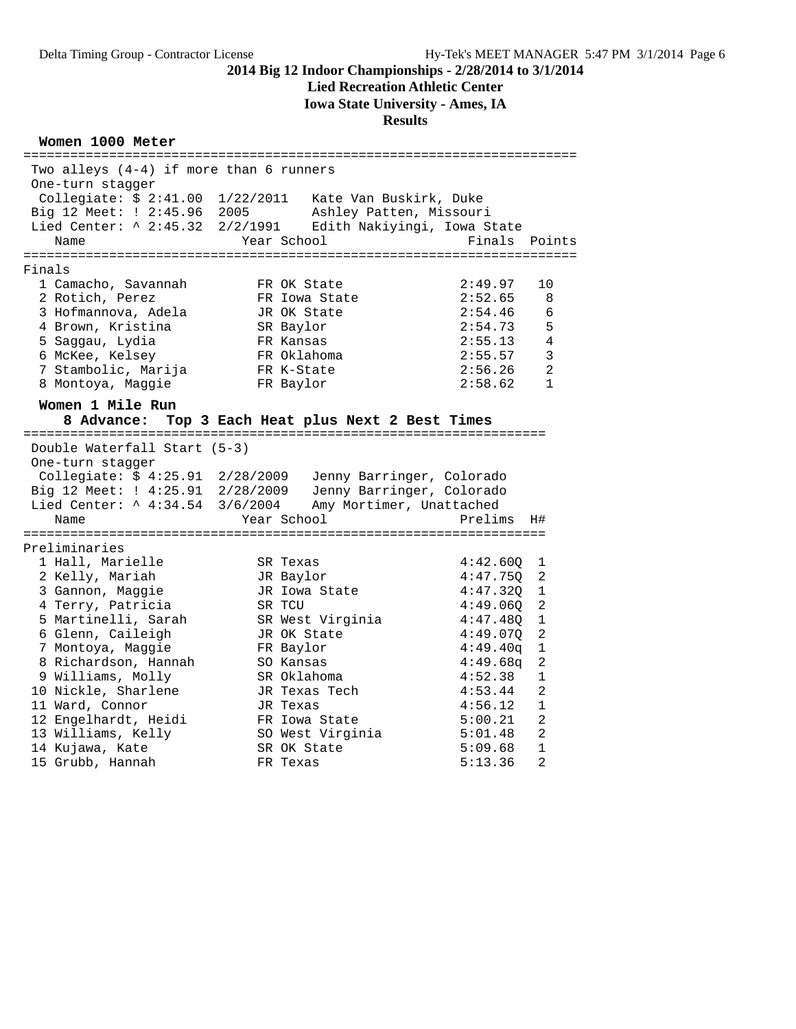#### **Lied Recreation Athletic Center**

**Iowa State University - Ames, IA**

#### **Results**

#### **Women 1000 Meter**

======================================================================= Two alleys (4-4) if more than 6 runners One-turn stagger Collegiate: \$ 2:41.00 1/22/2011 Kate Van Buskirk, Duke Big 12 Meet: ! 2:45.96 2005 Ashley Patten, Missouri Lied Center: ^ 2:45.32 2/2/1991 Edith Nakiyingi, Iowa State Name The Year School Team Points Points ======================================================================= Finals 1 Camacho, Savannah FR OK State 2:49.97 10 2 Rotich, Perez FR Iowa State 2:52.65 8 3 Hofmannova, Adela JR OK State 2:54.46 6 4 Brown, Kristina SR Baylor 2:54.73 5 5 Saggau, Lydia FR Kansas 2:55.13 4 6 McKee, Kelsey FR Oklahoma 2:55.57 3 7 Stambolic, Marija FR K-State 2:56.26 2 8 Montoya, Maggie FR Baylor 2:58.62 1 **Women 1 Mile Run 8 Advance: Top 3 Each Heat plus Next 2 Best Times** =================================================================== Double Waterfall Start (5-3) One-turn stagger Collegiate: \$ 4:25.91 2/28/2009 Jenny Barringer, Colorado Big 12 Meet: ! 4:25.91 2/28/2009 Jenny Barringer, Colorado Lied Center: ^ 4:34.54 3/6/2004 Amy Mortimer, Unattached<br>Name Year School Prelims H# Name  $Year$  School =================================================================== Preliminaries 1 Hall, Marielle SR Texas 4:42.60Q 1 2 Kelly, Mariah JR Baylor 4:47.75Q 2 3 Gannon, Maggie JR Iowa State 4:47.32Q 1 4 Terry, Patricia SR TCU 4:49.06Q 2 5 Martinelli, Sarah SR West Virginia 4:47.48Q 1 6 Glenn, Caileigh JR OK State 4:49.07Q 2 7 Montoya, Maggie FR Baylor 4:49.40q 1 8 Richardson, Hannah SO Kansas 4:49.68q 2 9 Williams, Molly SR Oklahoma 4:52.38 1 10 Nickle, Sharlene JR Texas Tech 4:53.44 2 11 Ward, Connor JR Texas 4:56.12 1 12 Engelhardt, Heidi FR Iowa State 5:00.21 2 13 Williams, Kelly SO West Virginia 5:01.48 2 14 Kujawa, Kate SR OK State 5:09.68 1 15 Grubb, Hannah FR Texas 5:13.36 2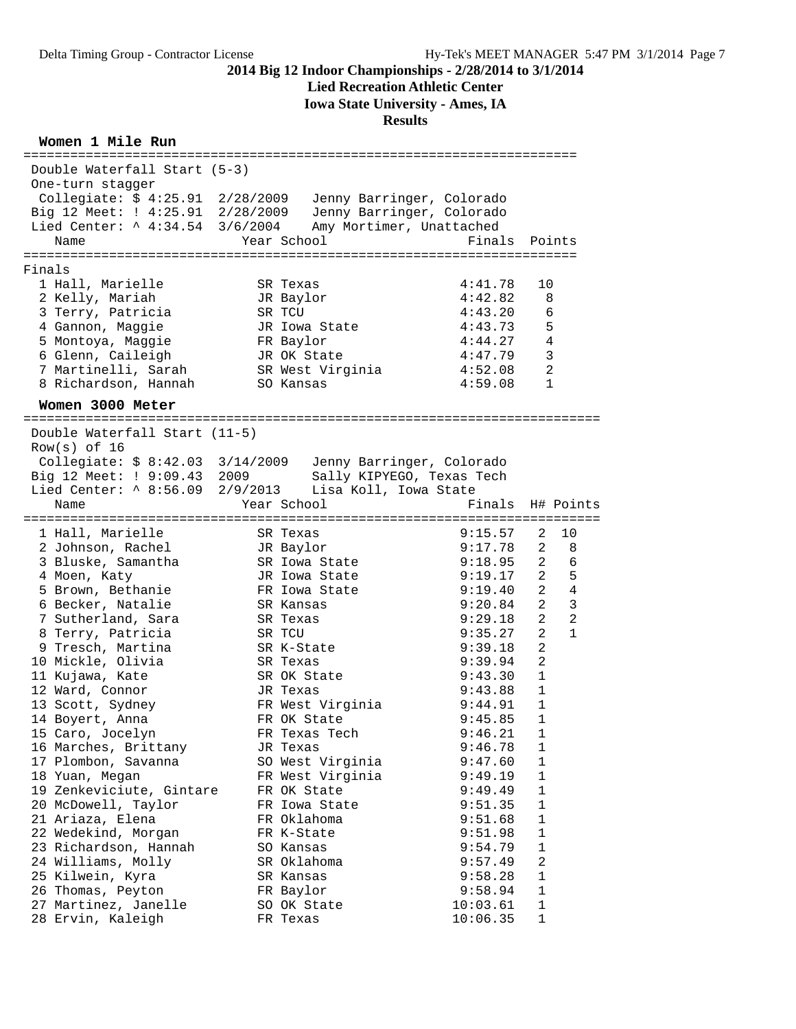# **Lied Recreation Athletic Center**

**Iowa State University - Ames, IA**

| Double Waterfall Start (5-3)     |                                                            |           |                     |
|----------------------------------|------------------------------------------------------------|-----------|---------------------|
| One-turn stagger                 |                                                            |           |                     |
| Collegiate: \$ 4:25.91 2/28/2009 | Jenny Barringer, Colorado                                  |           |                     |
| Big 12 Meet: ! 4:25.91 2/28/2009 | Jenny Barringer, Colorado                                  |           |                     |
| Lied Center: ^ 4:34.54 3/6/2004  | Amy Mortimer, Unattached                                   |           |                     |
| Name                             | Year School                                                | Finals    | Points              |
|                                  |                                                            |           |                     |
| Finals                           |                                                            |           |                     |
| 1 Hall, Marielle                 | SR Texas                                                   | 4:41.78   | 10                  |
| 2 Kelly, Mariah                  | JR Baylor                                                  | 4:42.82   | 8                   |
| 3 Terry, Patricia                | SR TCU                                                     | 4:43.20   | 6                   |
| 4 Gannon, Maggie                 | JR Iowa State                                              | 4:43.73   | 5                   |
| 5 Montoya, Maggie                | FR Baylor                                                  | 4:44.27   | $\overline{4}$      |
| 6 Glenn, Caileigh                | JR OK State                                                | 4:47.79   | 3                   |
| 7 Martinelli, Sarah              | SR West Virginia                                           | 4:52.08   | $\overline{a}$      |
| 8 Richardson, Hannah             | SO Kansas                                                  | 4:59.08   | $\mathbf 1$         |
| Women 3000 Meter                 |                                                            |           |                     |
|                                  |                                                            |           |                     |
| Double Waterfall Start (11-5)    |                                                            |           |                     |
| $Row(s)$ of 16                   |                                                            |           |                     |
|                                  | Collegiate: \$ 8:42.03 3/14/2009 Jenny Barringer, Colorado |           |                     |
| Big 12 Meet: ! 9:09.43 2009      | Sally KIPYEGO, Texas Tech<br>Lisa Koll, Iowa State         |           |                     |
| Lied Center: ^ 8:56.09 2/9/2013  |                                                            | Finals    |                     |
| Name                             | Year School                                                |           | H# Points           |
| 1 Hall, Marielle                 | SR Texas                                                   | 9:15.57   | 10<br>2             |
| 2 Johnson, Rachel                | JR Baylor                                                  | 9:17.78   | 2<br>8              |
| 3 Bluske, Samantha               | SR Iowa State                                              | 9:18.95   | $\overline{2}$<br>6 |
| 4 Moen, Katy                     | JR Iowa State                                              | 9:19.17   | 2<br>5              |
| 5 Brown, Bethanie                | FR Iowa State                                              | 9:19.40   | 2<br>$\overline{4}$ |
| 6 Becker, Natalie                | SR Kansas                                                  | 9:20.84   | 2<br>3              |
| 7 Sutherland, Sara               | SR Texas                                                   | 9:29.18   | $\overline{2}$<br>2 |
| 8 Terry, Patricia                | SR TCU                                                     | 9:35.27   | 2<br>$\mathbf{1}$   |
| 9 Tresch, Martina                | SR K-State                                                 | 9:39.18   | 2                   |
| 10 Mickle, Olivia                | SR Texas                                                   | 9:39.94   | 2                   |
| 11 Kujawa, Kate                  | SR OK State                                                | 9:43.30   | 1                   |
| 12 Ward, Connor                  | JR Texas                                                   | 9:43.88   | 1                   |
| 13 Scott, Sydney                 | FR West Virginia                                           | 9:44.91   | $\mathbf{1}$        |
| 14 Boyert, Anna                  | FR OK State                                                | 9:45.85   | 1                   |
| 15 Caro, Jocelyn                 | FR Texas Tech                                              | 9:46.21 1 |                     |
| 16 Marches, Brittany             | JR Texas                                                   | 9:46.78   | 1                   |
| 17 Plombon, Savanna              | SO West Virginia                                           | 9:47.60   | 1                   |
| 18 Yuan, Megan                   | FR West Virginia                                           | 9:49.19   | 1                   |
| 19 Zenkeviciute, Gintare         | FR OK State                                                | 9:49.49   | 1                   |
| 20 McDowell, Taylor              | FR Iowa State                                              | 9:51.35   | 1                   |
| 21 Ariaza, Elena                 | FR Oklahoma                                                | 9:51.68   | 1                   |
| 22 Wedekind, Morgan              | FR K-State                                                 | 9:51.98   | $\mathbf{1}$        |
| 23 Richardson, Hannah            | SO Kansas                                                  | 9:54.79   | $\mathbf 1$         |
| 24 Williams, Molly               | SR Oklahoma                                                | 9:57.49   | 2                   |
| 25 Kilwein, Kyra                 | SR Kansas                                                  | 9:58.28   | 1                   |
| 26 Thomas, Peyton                | FR Baylor                                                  | 9:58.94   | 1                   |
| 27 Martinez, Janelle             | SO OK State                                                | 10:03.61  | 1                   |
| 28 Ervin, Kaleigh                | FR Texas                                                   | 10:06.35  | 1                   |
|                                  |                                                            |           |                     |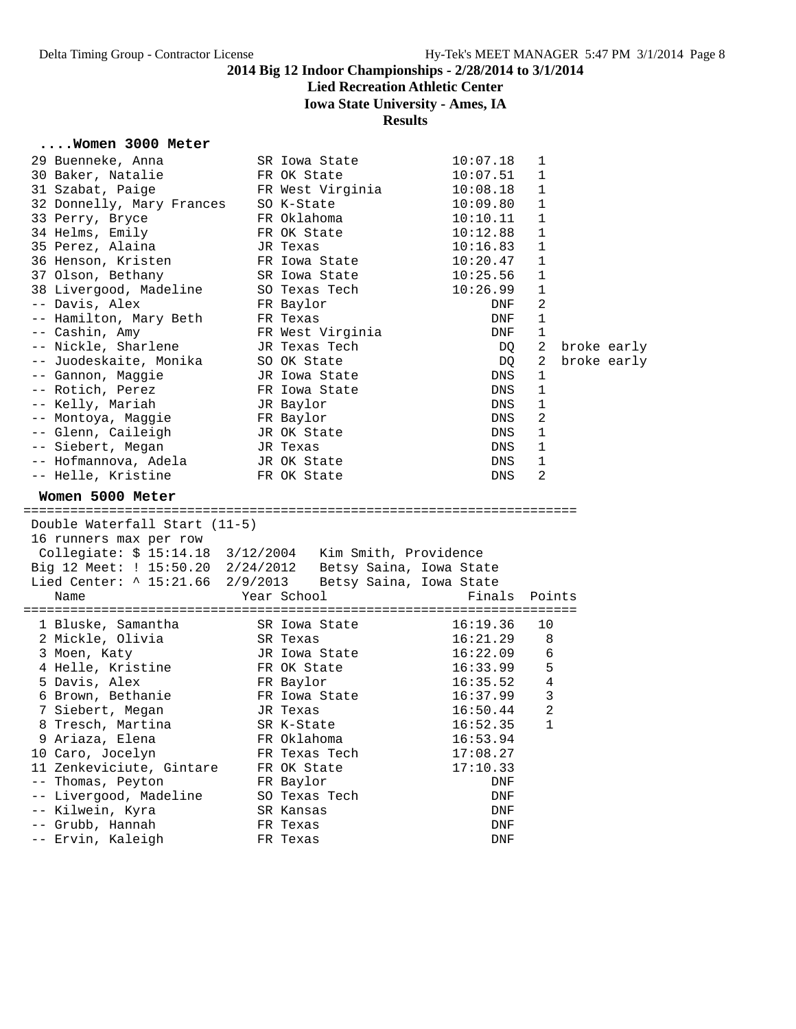# **Lied Recreation Athletic Center**

**Iowa State University - Ames, IA**

**Results**

# **....Women 3000 Meter**

| 29 Buenneke, Anna                                         | SR Iowa State                |                         | 10:07.18             | 1              |             |  |
|-----------------------------------------------------------|------------------------------|-------------------------|----------------------|----------------|-------------|--|
| 30 Baker, Natalie                                         | FR OK State                  |                         | 10:07.51             | 1              |             |  |
| 31 Szabat, Paige                                          | FR West Virginia             |                         | 10:08.18             | 1              |             |  |
| 32 Donnelly, Mary Frances                                 | SO K-State                   |                         | 10:09.80             | 1              |             |  |
| 33 Perry, Bryce                                           | FR Oklahoma                  |                         | 10:10.11             | 1              |             |  |
| 34 Helms, Emily                                           | FR OK State                  |                         | 10:12.88             | $\mathbf{1}$   |             |  |
| 35 Perez, Alaina                                          | JR Texas                     |                         | 10:16.83             | 1              |             |  |
| 36 Henson, Kristen                                        | FR Iowa State                |                         | 10:20.47             | 1              |             |  |
| 37 Olson, Bethany                                         | SR Iowa State                |                         | 10:25.56             | 1              |             |  |
| 38 Livergood, Madeline                                    | SO Texas Tech                |                         | 10:26.99             | 1              |             |  |
| -- Davis, Alex                                            |                              |                         |                      | 2              |             |  |
|                                                           | FR Baylor                    |                         | DNF                  | $\mathbf{1}$   |             |  |
| -- Hamilton, Mary Beth                                    | FR Texas                     |                         | DNF                  |                |             |  |
| -- Cashin, Amy                                            | FR West Virginia             |                         | DNF                  | 1              |             |  |
| -- Nickle, Sharlene                                       | JR Texas Tech                |                         | DQ                   | 2              | broke early |  |
| -- Juodeskaite, Monika                                    | SO OK State                  |                         | DQ                   | 2              | broke early |  |
| -- Gannon, Maggie                                         | JR Iowa State                |                         | DNS                  | 1              |             |  |
| -- Rotich, Perez                                          | FR Iowa State                |                         | DNS                  | 1              |             |  |
| -- Kelly, Mariah                                          | JR Baylor                    |                         | DNS                  | $1\,$          |             |  |
| -- Montoya, Maggie                                        | FR Baylor                    |                         | DNS                  | 2              |             |  |
| -- Glenn, Caileigh                                        | JR OK State                  |                         | DNS                  | 1              |             |  |
| -- Siebert, Megan                                         | JR Texas                     |                         | DNS                  | $\mathbf{1}$   |             |  |
| -- Hofmannova, Adela                                      | JR OK State                  |                         | DNS                  | 1              |             |  |
| -- Helle, Kristine                                        | FR OK State                  |                         | DNS                  | 2              |             |  |
| Women 5000 Meter                                          |                              |                         |                      |                |             |  |
|                                                           |                              |                         |                      |                |             |  |
|                                                           |                              |                         |                      |                |             |  |
| Double Waterfall Start (11-5)                             |                              |                         |                      |                |             |  |
| 16 runners max per row                                    |                              |                         |                      |                |             |  |
|                                                           |                              |                         |                      |                |             |  |
| Big 12 Meet: ! 15:50.20 2/24/2012 Betsy Saina, Iowa State |                              |                         |                      |                |             |  |
| Lied Center: ^ 15:21.66 2/9/2013                          |                              | Betsy Saina, Iowa State |                      |                |             |  |
| Name                                                      | Year School                  |                         | Finals               | Points         |             |  |
| 1 Bluske, Samantha                                        | SR Iowa State                |                         | 16:19.36             | 10             |             |  |
| 2 Mickle, Olivia                                          | SR Texas                     |                         | 16:21.29             | 8              |             |  |
| 3 Moen, Katy                                              | JR Iowa State                |                         | 16:22.09             | 6              |             |  |
| 4 Helle, Kristine                                         | FR OK State                  |                         | 16:33.99             | 5              |             |  |
| 5 Davis, Alex                                             | FR Baylor                    |                         | 16:35.52             | 4              |             |  |
| 6 Brown, Bethanie                                         | FR Iowa State                |                         | 16:37.99             | 3              |             |  |
| 7 Siebert, Megan                                          | JR Texas                     |                         | 16:50.44             | $\overline{2}$ |             |  |
| 8 Tresch, Martina                                         | SR K-State                   |                         | 16:52.35             | $\mathbf{1}$   |             |  |
|                                                           |                              |                         |                      |                |             |  |
| 9 Ariaza, Elena                                           | FR Oklahoma<br>FR Texas Tech |                         | 16:53.94<br>17:08.27 |                |             |  |
| 10 Caro, Jocelyn                                          |                              |                         |                      |                |             |  |
| 11 Zenkeviciute, Gintare                                  | FR OK State                  |                         | 17:10.33             |                |             |  |
| Thomas, Peyton                                            | FR Baylor                    |                         | DNF                  |                |             |  |
| Livergood, Madeline                                       | SO Texas Tech                |                         | DNF                  |                |             |  |
| Kilwein, Kyra<br>$ -$                                     | SR Kansas                    |                         | DNF                  |                |             |  |
| -- Grubb, Hannah<br>-- Ervin, Kaleigh                     | FR Texas<br>FR Texas         |                         | DNF<br>DNF           |                |             |  |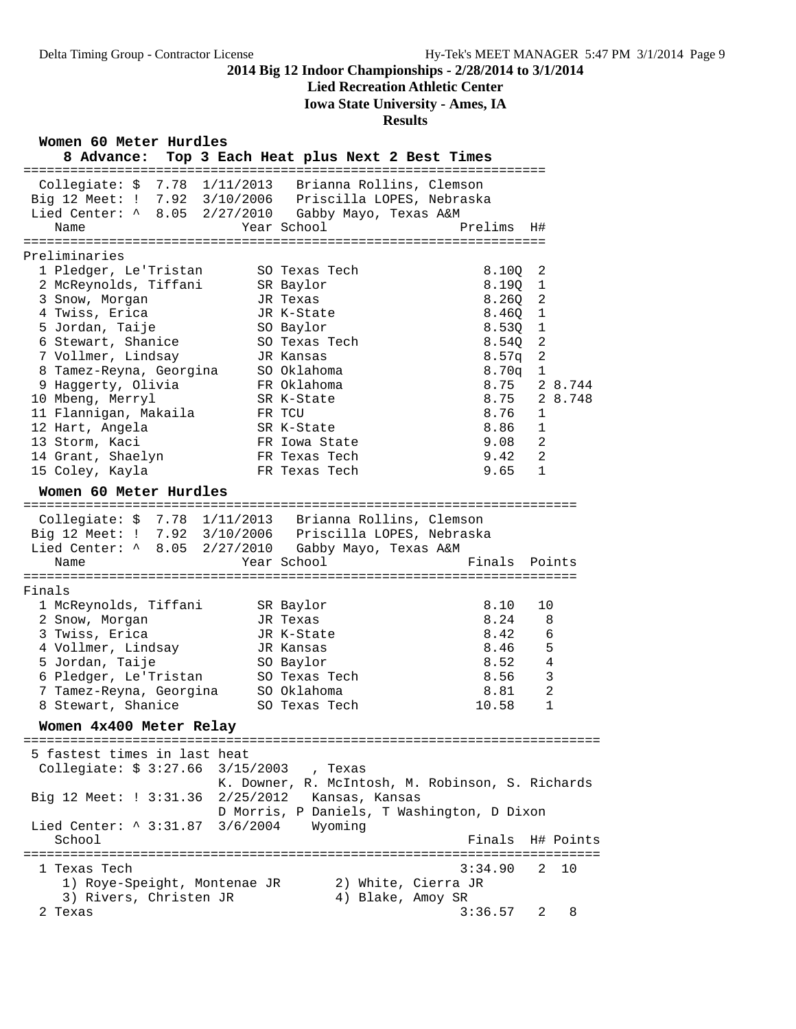### **Lied Recreation Athletic Center**

**Iowa State University - Ames, IA**

#### **Results**

**Women 60 Meter Hurdles**

| vv cccci urucco<br>8 Advance: Top 3 Each Heat plus Next 2 Best Times                                                                                                     |                                                  |         |                |           |
|--------------------------------------------------------------------------------------------------------------------------------------------------------------------------|--------------------------------------------------|---------|----------------|-----------|
| Collegiate: \$ 7.78 1/11/2013 Brianna Rollins, Clemson<br>Big 12 Meet: ! 7.92 3/10/2006 Priscilla LOPES, Nebraska<br>Lied Center: ^ 8.05 2/27/2010 Gabby Mayo, Texas A&M |                                                  |         |                |           |
| Name                                                                                                                                                                     | Year School                                      | Prelims | H#             |           |
| Preliminaries                                                                                                                                                            |                                                  |         |                |           |
| 1 Pledger, Le'Tristan                                                                                                                                                    | SO Texas Tech                                    | 8.10Q   | 2              |           |
| 2 McReynolds, Tiffani                                                                                                                                                    | SR Baylor                                        | 8.190   | $\mathbf{1}$   |           |
| 3 Snow, Morgan                                                                                                                                                           | JR Texas                                         | 8.26Q   | 2              |           |
| 4 Twiss, Erica                                                                                                                                                           | JR K-State                                       | 8.460   | $\mathbf{1}$   |           |
| 5 Jordan, Taije                                                                                                                                                          | SO Baylor                                        | 8.530   | $\mathbf{1}$   |           |
| 6 Stewart, Shanice                                                                                                                                                       | SO Texas Tech                                    | 8.540   | 2              |           |
| 7 Vollmer, Lindsay                                                                                                                                                       | JR Kansas                                        | 8.57q   | 2              |           |
| 8 Tamez-Reyna, Georgina                                                                                                                                                  | SO Oklahoma                                      | 8.70q   | 1              |           |
| 9 Haggerty, Olivia                                                                                                                                                       | FR Oklahoma                                      | 8.75    |                | 2 8.744   |
| 10 Mbeng, Merryl                                                                                                                                                         | SR K-State                                       | 8.75    |                | 2 8.748   |
| 11 Flannigan, Makaila                                                                                                                                                    | FR TCU                                           | 8.76    | 1              |           |
| 12 Hart, Angela                                                                                                                                                          | SR K-State                                       | 8.86    | 1              |           |
| 13 Storm, Kaci                                                                                                                                                           | FR Iowa State                                    | 9.08    | 2              |           |
| 14 Grant, Shaelyn                                                                                                                                                        | FR Texas Tech                                    | 9.42    | 2              |           |
| 15 Coley, Kayla                                                                                                                                                          | FR Texas Tech                                    | 9.65    | 1              |           |
| Women 60 Meter Hurdles                                                                                                                                                   |                                                  |         |                |           |
|                                                                                                                                                                          |                                                  |         |                |           |
| Collegiate: \$ 7.78 1/11/2013 Brianna Rollins, Clemson<br>Big 12 Meet: ! 7.92 3/10/2006 Priscilla LOPES, Nebraska<br>Lied Center: ^ 8.05 2/27/2010 Gabby Mayo, Texas A&M |                                                  |         |                |           |
|                                                                                                                                                                          |                                                  |         |                |           |
| Name                                                                                                                                                                     | Year School                                      | Finals  | Points         |           |
| Finals                                                                                                                                                                   |                                                  |         |                |           |
| 1 McReynolds, Tiffani                                                                                                                                                    | SR Baylor                                        | 8.10    | 10             |           |
| 2 Snow, Morgan                                                                                                                                                           | JR Texas                                         | 8.24    | 8              |           |
| 3 Twiss, Erica                                                                                                                                                           | JR K-State                                       | 8.42    | 6              |           |
| 4 Vollmer, Lindsay                                                                                                                                                       | JR Kansas                                        | 8.46    | 5              |           |
| 5 Jordan, Taije                                                                                                                                                          | SO Baylor                                        | 8.52    | 4              |           |
| 6 Pledger, Le'Tristan                                                                                                                                                    | SO Texas Tech                                    | 8.56    | 3              |           |
| 7 Tamez-Reyna, Georgina                                                                                                                                                  | SO Oklahoma                                      | 8.81    | $\overline{2}$ |           |
| 8 Stewart, Shanice                                                                                                                                                       | SO Texas Tech                                    | 10.58   | $\mathbf{1}$   |           |
| Women 4x400 Meter Relay                                                                                                                                                  |                                                  |         |                |           |
| 5 fastest times in last heat                                                                                                                                             |                                                  |         |                |           |
| Collegiate: \$ 3:27.66 3/15/2003                                                                                                                                         | , Texas                                          |         |                |           |
|                                                                                                                                                                          | K. Downer, R. McIntosh, M. Robinson, S. Richards |         |                |           |
| Big 12 Meet: ! 3:31.36 2/25/2012 Kansas, Kansas                                                                                                                          |                                                  |         |                |           |
|                                                                                                                                                                          | D Morris, P Daniels, T Washington, D Dixon       |         |                |           |
| Lied Center: ^ 3:31.87 3/6/2004                                                                                                                                          | Wyoming                                          |         |                |           |
| School                                                                                                                                                                   |                                                  | Finals  |                | H# Points |
|                                                                                                                                                                          |                                                  |         |                |           |
| 1 Texas Tech                                                                                                                                                             |                                                  | 3:34.90 | 2              | 10        |
| 1) Roye-Speight, Montenae JR                                                                                                                                             | 2) White, Cierra JR                              |         |                |           |
| 3) Rivers, Christen JR                                                                                                                                                   | 4) Blake, Amoy SR                                |         |                |           |
| 2 Texas                                                                                                                                                                  |                                                  | 3:36.57 | 2              | 8         |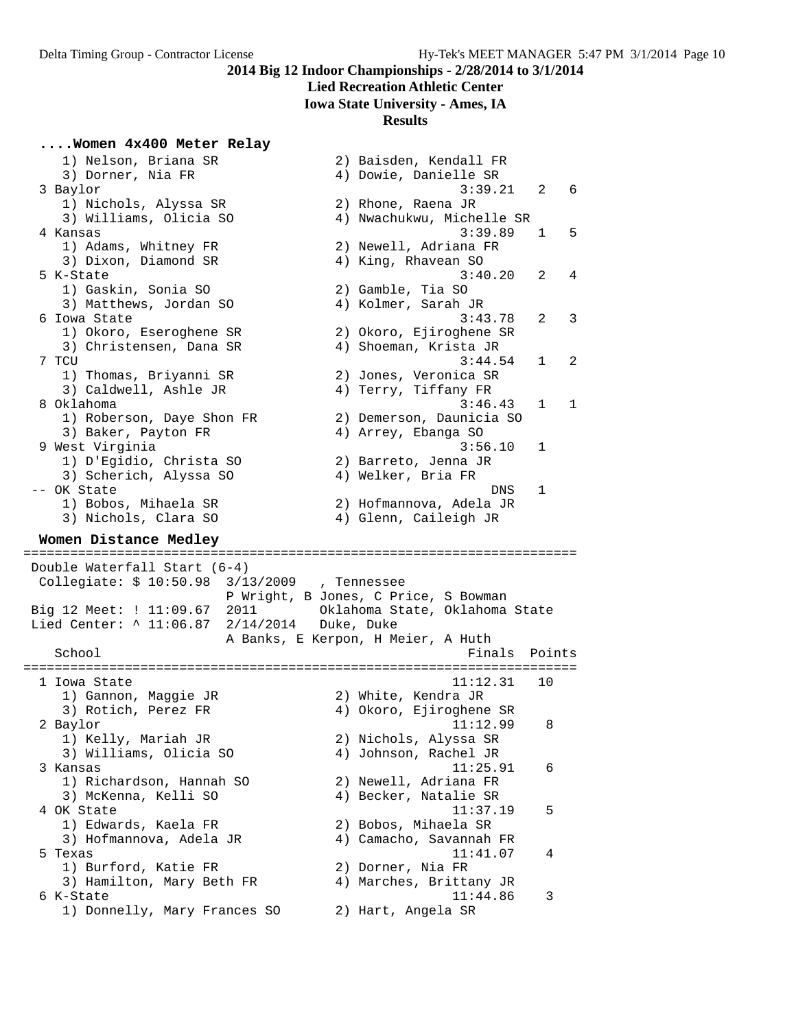#### **Lied Recreation Athletic Center**

**Iowa State University - Ames, IA**

#### **Results**

#### **....Women 4x400 Meter Relay**

 1) Nelson, Briana SR 2) Baisden, Kendall FR 3) Dorner, Nia FR 4) Dowie, Danielle SR 3 Baylor 3:39.21 2 6 1) Nichols, Alyssa SR 2) Rhone, Raena JR 3) Williams, Olicia SO 4) Nwachukwu, Michelle SR 4 Kansas 3:39.89 1 5 1) Adams, Whitney FR 2) Newell, Adriana FR 3) Dixon, Diamond SR 4) King, Rhavean SO 5 K-State 3:40.20 2 4 1) Gaskin, Sonia SO 2) Gamble, Tia SO 3) Matthews, Jordan SO 4) Kolmer, Sarah JR 6 Iowa State 3:43.78 2 3 1) Okoro, Eseroghene SR 2) Okoro, Ejiroghene SR 3) Christensen, Dana SR 4) Shoeman, Krista JR 7 TCU 3:44.54 1 2 1) Thomas, Briyanni SR 2) Jones, Veronica SR 3) Caldwell, Ashle JR 4) Terry, Tiffany FR 8 Oklahoma 3:46.43 1 1 1) Roberson, Daye Shon FR 2) Demerson, Daunicia SO 3) Baker, Payton FR 4) Arrey, Ebanga SO 9 West Virginia 3:56.10 1 1) D'Egidio, Christa SO 2) Barreto, Jenna JR 3) Scherich, Alyssa SO 4) Welker, Bria FR -- OK State DNS 1 1) Bobos, Mihaela SR 2) Hofmannova, Adela JR 3) Nichols, Clara SO 4) Glenn, Caileigh JR

#### **Women Distance Medley** =======================================================================

 Double Waterfall Start (6-4) Collegiate: \$ 10:50.98 3/13/2009 , Tennessee P Wright, B Jones, C Price, S Bowman Big 12 Meet: ! 11:09.67 2011 Oklahoma State, Oklahoma State Lied Center: ^ 11:06.87 2/14/2014 Duke, Duke A Banks, E Kerpon, H Meier, A Huth School **Finals** Points **Points** ======================================================================= 1 Iowa State 11:12.31 10 1) Gannon, Maggie JR 2) White, Kendra JR 3) Rotich, Perez FR 4) Okoro, Ejiroghene SR 2 Baylor 11:12.99 8 1) Kelly, Mariah JR 2) Nichols, Alyssa SR 3) Williams, Olicia SO 4) Johnson, Rachel JR 3 Kansas 11:25.91 6 1) Richardson, Hannah SO 2) Newell, Adriana FR 3) McKenna, Kelli SO 4) Becker, Natalie SR 4 OK State 11:37.19 5 1) Edwards, Kaela FR 2) Bobos, Mihaela SR 3) Hofmannova, Adela JR 4) Camacho, Savannah FR 5 Texas 11:41.07 4 1) Burford, Katie FR 2) Dorner, Nia FR 3) Hamilton, Mary Beth FR 4) Marches, Brittany JR 6 K-State 11:44.86 3 1) Donnelly, Mary Frances SO 2) Hart, Angela SR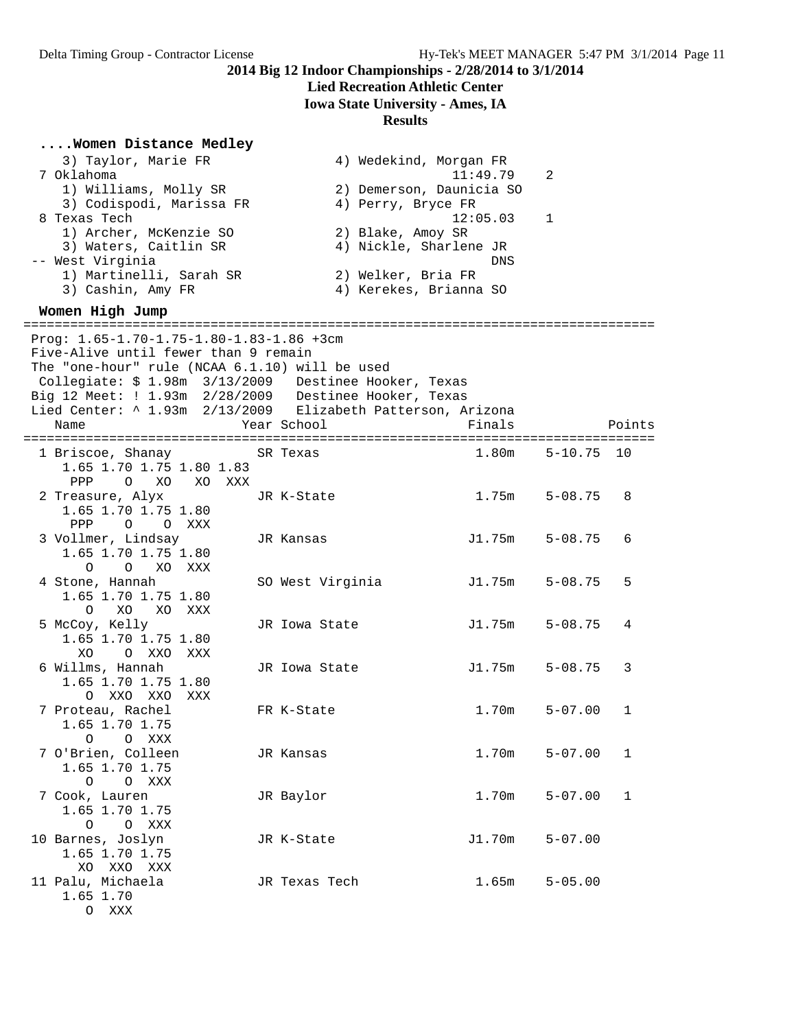# **Lied Recreation Athletic Center**

**Iowa State University - Ames, IA**

| Women Distance Medley                                               |                        |                                     |             |        |
|---------------------------------------------------------------------|------------------------|-------------------------------------|-------------|--------|
| 3) Taylor, Marie FR                                                 |                        | 4) Wedekind, Morgan FR              |             |        |
| 7 Oklahoma                                                          |                        | 11:49.79                            | 2           |        |
| 1) Williams, Molly SR                                               |                        | 2) Demerson, Daunicia SO            |             |        |
| 3) Codispodi, Marissa FR                                            | 4) Perry, Bryce FR     |                                     |             |        |
| 8 Texas Tech                                                        |                        | 12:05.03                            | 1           |        |
| 1) Archer, McKenzie SO<br>3) Waters, Caitlin SR                     | 2) Blake, Amoy SR      | 4) Nickle, Sharlene JR              |             |        |
| -- West Virginia                                                    |                        | <b>DNS</b>                          |             |        |
| 1) Martinelli, Sarah SR                                             | 2) Welker, Bria FR     |                                     |             |        |
| 3) Cashin, Amy FR                                                   |                        | 4) Kerekes, Brianna SO              |             |        |
| Women High Jump                                                     |                        |                                     |             |        |
| Prog: 1.65-1.70-1.75-1.80-1.83-1.86 +3cm                            |                        | ----------------------------------- |             |        |
| Five-Alive until fewer than 9 remain                                |                        |                                     |             |        |
| The "one-hour" rule (NCAA 6.1.10) will be used                      |                        |                                     |             |        |
| Collegiate: \$ 1.98m 3/13/2009                                      | Destinee Hooker, Texas |                                     |             |        |
| Big 12 Meet: ! 1.93m 2/28/2009 Destinee Hooker, Texas               |                        |                                     |             |        |
| Lied Center: ^ 1.93m 2/13/2009 Elizabeth Patterson, Arizona<br>Name | Year School            | Finals                              |             | Points |
|                                                                     |                        |                                     |             |        |
| 1 Briscoe, Shanay                                                   | SR Texas               | 1.80m                               | $5 - 10.75$ | 10     |
| 1.65 1.70 1.75 1.80 1.83                                            |                        |                                     |             |        |
| PPP<br>$\circ$<br>XO<br>XO<br>XXX                                   |                        |                                     |             |        |
| 2 Treasure, Alyx                                                    | JR K-State             | 1.75m                               | $5 - 08.75$ | 8      |
| 1.65 1.70 1.75 1.80                                                 |                        |                                     |             |        |
| PPP<br>O O XXX                                                      |                        |                                     |             |        |
| 3 Vollmer, Lindsay                                                  | JR Kansas              | J1.75m                              | $5 - 08.75$ | 6      |
| 1.65 1.70 1.75 1.80                                                 |                        |                                     |             |        |
| $\circ$<br>O<br>XO<br>XXX                                           |                        | J1.75m                              | $5 - 08.75$ | 5      |
| 4 Stone, Hannah<br>1.65 1.70 1.75 1.80                              | SO West Virginia       |                                     |             |        |
| XO<br>$\circ$<br>XO XXX                                             |                        |                                     |             |        |
| 5 McCoy, Kelly                                                      | JR Iowa State          | J1.75m                              | $5 - 08.75$ | 4      |
| 1.65 1.70 1.75 1.80                                                 |                        |                                     |             |        |
| XO<br>O XXO XXX                                                     |                        |                                     |             |        |
| 6 Willms, Hannah                                                    | JR Iowa State          | J1.75m                              | $5 - 08.75$ | 3      |
| 1.65 1.70 1.75 1.80                                                 |                        |                                     |             |        |
| XXO XXO<br>$\Omega$<br>XXX                                          |                        |                                     |             |        |
| 7 Proteau, Rachel                                                   | FR K-State             | 1.70m                               | $5 - 07.00$ | 1      |
| 1.65 1.70 1.75                                                      |                        |                                     |             |        |
| $\circ$<br>O XXX<br>7 O'Brien, Colleen                              | JR Kansas              | 1.70m                               | $5 - 07.00$ | 1      |
| 1.65 1.70 1.75                                                      |                        |                                     |             |        |
| O O XXX                                                             |                        |                                     |             |        |
| 7 Cook, Lauren                                                      | JR Baylor              | 1.70m                               | $5 - 07.00$ | 1      |
| 1.65 1.70 1.75                                                      |                        |                                     |             |        |
| O O XXX                                                             |                        |                                     |             |        |
| 10 Barnes, Joslyn                                                   | JR K-State             | J1.70m                              | $5 - 07.00$ |        |
| 1.65 1.70 1.75                                                      |                        |                                     |             |        |
| XO XXO XXX                                                          |                        |                                     |             |        |
| 11 Palu, Michaela                                                   | JR Texas Tech          | 1.65m                               | $5 - 05.00$ |        |
| 1.65 1.70                                                           |                        |                                     |             |        |
| O XXX                                                               |                        |                                     |             |        |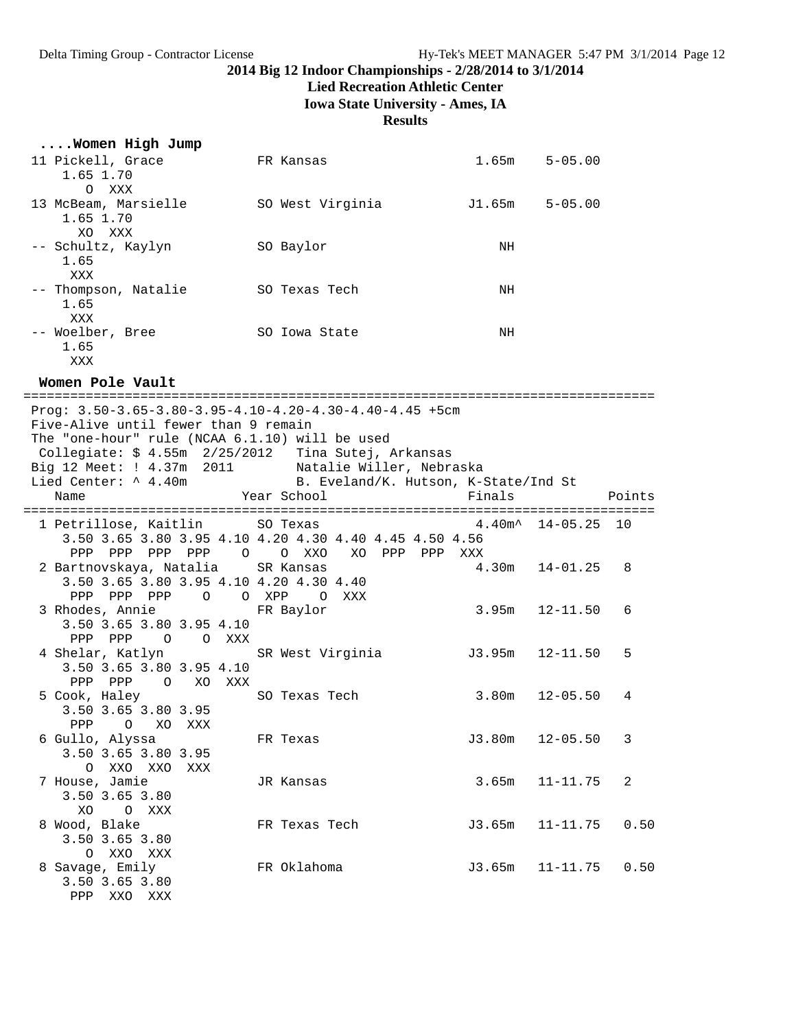#### **Lied Recreation Athletic Center**

**Iowa State University - Ames, IA**

#### **Results**

| Women High Jump              |                  |        |             |
|------------------------------|------------------|--------|-------------|
| 11 Pickell, Grace            | FR Kansas        | 1.65m  | $5 - 05.00$ |
| 1.65 1.70<br>XXX<br>$\Omega$ |                  |        |             |
| 13 McBeam, Marsielle         | SO West Virginia | J1.65m | $5 - 05.00$ |
| 1.65 1.70<br>XO XXX          |                  |        |             |
|                              |                  |        |             |
| -- Schultz, Kaylyn<br>1.65   | SO Baylor        | NH     |             |
| XXX                          |                  |        |             |
| -- Thompson, Natalie         | SO Texas Tech    | NH     |             |
| 1.65                         |                  |        |             |
| XXX                          |                  |        |             |
| -- Woelber, Bree             | SO Iowa State    | NH     |             |
| 1.65                         |                  |        |             |
| XXX                          |                  |        |             |

**Women Pole Vault**

================================================================================= Prog: 3.50-3.65-3.80-3.95-4.10-4.20-4.30-4.40-4.45 +5cm Five-Alive until fewer than 9 remain The "one-hour" rule (NCAA 6.1.10) will be used Collegiate: \$ 4.55m 2/25/2012 Tina Sutej, Arkansas Big 12 Meet: ! 4.37m 2011 Natalie Willer, Nebraska Lied Center: ^ 4.40m B. Eveland/K. Hutson, K-State/Ind St Name  $Year School$  Finals Points ================================================================================= 1 Petrillose, Kaitlin SO Texas 4.40m^ 14-05.25 10 3.50 3.65 3.80 3.95 4.10 4.20 4.30 4.40 4.45 4.50 4.56 PPP PPP PPP PPP O O XXO XO PPP PPP XXX 2 Bartnovskaya, Natalia SR Kansas 4.30m 14-01.25 8 3.50 3.65 3.80 3.95 4.10 4.20 4.30 4.40 PPP PPP PPP O O XPP O XXX 3 Rhodes, Annie FR Baylor 3.95m 12-11.50 6 3.50 3.65 3.80 3.95 4.10 PPP PPP O O XXX 4 Shelar, Katlyn SR West Virginia 13.95m 12-11.50 5 3.50 3.65 3.80 3.95 4.10 PPP PPP O XO XXX<br>5 Cook, Haley SO Texas Tech 3.80m 12-05.50 4 3.50 3.65 3.80 3.95 PPP O XO XXX<br>6 Gullo, Alyssa FR Texas  $J3.80m$  12-05.50 3 3.50 3.65 3.80 3.95 O XXO XXO XXX 7 House, Jamie JR Kansas 3.65m 11-11.75 2 3.50 3.65 3.80 XO O XXX 8 Wood, Blake FR Texas Tech J3.65m 11-11.75 0.50 3.50 3.65 3.80 O XXO XXX 8 Savage, Emily FR Oklahoma J3.65m 11-11.75 0.50 3.50 3.65 3.80 PPP XXO XXX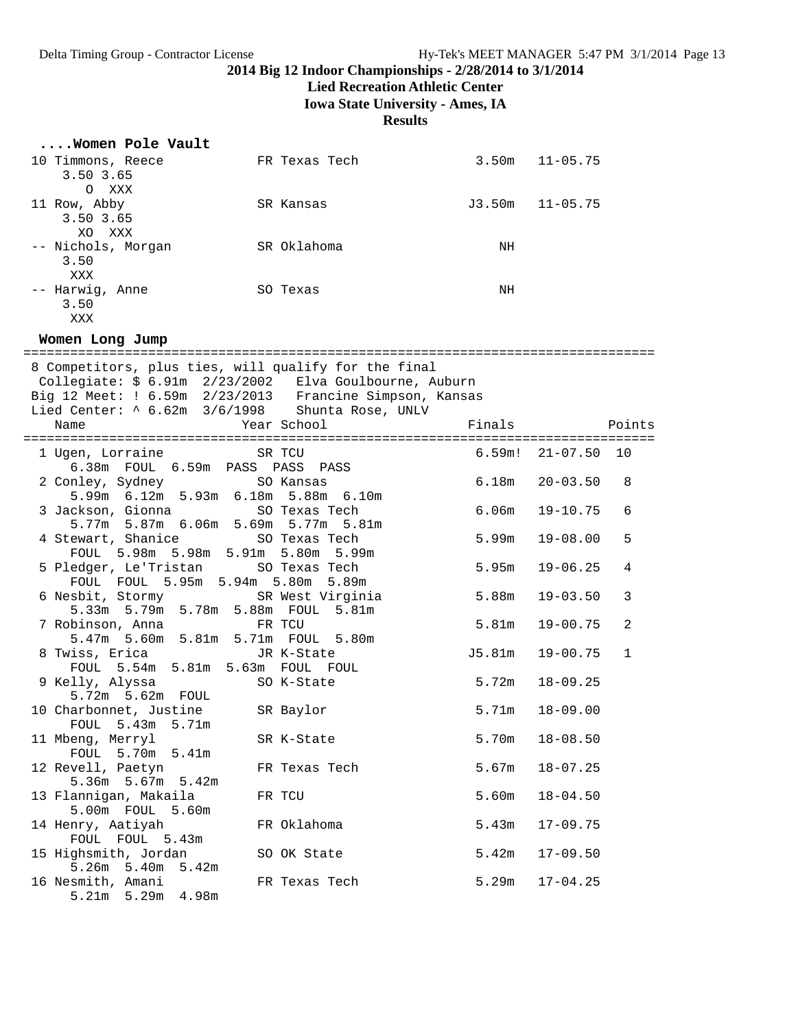**Lied Recreation Athletic Center**

**Iowa State University - Ames, IA**

| Women Pole Vault                                                                                                                                                                                                                        |                           |                   |                        |
|-----------------------------------------------------------------------------------------------------------------------------------------------------------------------------------------------------------------------------------------|---------------------------|-------------------|------------------------|
| 10 Timmons, Reece<br>3.50 3.65<br>O XXX                                                                                                                                                                                                 | FR Texas Tech             |                   | $3.50m$ $11-05.75$     |
| 11 Row, Abby<br>3.50 3.65<br>XO XXX                                                                                                                                                                                                     | SR Kansas                 |                   | $J3.50m$ $11-05.75$    |
| -- Nichols, Morgan<br>3.50<br>XXX                                                                                                                                                                                                       | SR Oklahoma               | NH                |                        |
| -- Harwig, Anne<br>3.50<br>XXX                                                                                                                                                                                                          | SO Texas                  | NH                |                        |
| Women Long Jump                                                                                                                                                                                                                         |                           |                   |                        |
| 8 Competitors, plus ties, will qualify for the final<br>Collegiate: $$ 6.91m 2/23/2002$ Elva Goulbourne, Auburn<br>Big 12 Meet: ! $6.59m 2/23/2013$ Francine Simpson, Kansas<br>Lied Center: ^ 6.62m 3/6/1998 Shunta Rose, UNLV<br>Name | Year School               | Finals            | Points                 |
| 1 Ugen, Lorraine                                                                                                                                                                                                                        | SR TCU                    |                   | $6.59m!$ $21-07.50$ 10 |
| 6.38m FOUL 6.59m PASS PASS PASS                                                                                                                                                                                                         |                           |                   |                        |
| 2 Conley, Sydney                                                                                                                                                                                                                        | SO Kansas                 | 6.18m             | $20 - 03.50$<br>8      |
| 5.99m 6.12m 5.93m 6.18m 5.88m 6.10m<br>3 Jackson, Gionna<br>5.77m 5.87m 6.06m 5.69m 5.77m 5.81m                                                                                                                                         | SO Texas Tech             | 6.06m             | $19 - 10.75$<br>6      |
| 4 Stewart, Shanice                                                                                                                                                                                                                      | SO Texas Tech             | 5.99m             | $19 - 08.00$<br>5      |
| FOUL 5.98m 5.98m 5.91m 5.80m 5.99m<br>5 Pledger, Le'Tristan SO Texas Tech<br>FOUL FOUL 5.95m 5.94m 5.80m 5.89m                                                                                                                          |                           | 5.95m             | $19 - 06.25$<br>4      |
| 6 Nesbit, Stormy<br>5.33m 5.79m 5.78m 5.88m FOUL                                                                                                                                                                                        | SR West Virginia<br>5.81m | 5.88m             | $19 - 03.50$<br>3      |
| 7 Robinson, Anna<br>5.47m 5.60m 5.81m 5.71m FOUL 5.80m                                                                                                                                                                                  | FR TCU                    | 5.81 <sub>m</sub> | 2<br>$19 - 00.75$      |
| 8 Twiss, Erica                                                                                                                                                                                                                          | JR K-State                | J5.81m            | $19 - 00.75$<br>1      |
| FOUL 5.54m 5.81m 5.63m FOUL FOUL<br>9 Kelly, Alyssa<br>5.72m 5.62m FOUL                                                                                                                                                                 | SO K-State                | 5.72m             | $18 - 09.25$           |
| 10 Charbonnet, Justine<br>FOUL 5.43m<br>5.71m                                                                                                                                                                                           | SR Baylor                 | 5.71m             | $18 - 09.00$           |
| 11 Mbeng, Merryl<br>FOUL 5.70m 5.41m                                                                                                                                                                                                    | SR K-State                | 5.70m             | $18 - 08.50$           |
| 12 Revell, Paetyn<br>$5.36m$ $5.67m$<br>5.42m                                                                                                                                                                                           | FR Texas Tech             | 5.67m             | $18 - 07.25$           |
| 13 Flannigan, Makaila                                                                                                                                                                                                                   | FR TCU                    | 5.60m             | $18 - 04.50$           |
| 5.00m FOUL<br>5.60m<br>14 Henry, Aatiyah                                                                                                                                                                                                | FR Oklahoma               | 5.43m             | $17 - 09.75$           |
| FOUL FOUL 5.43m<br>15 Highsmith, Jordan                                                                                                                                                                                                 | SO OK State               | 5.42m             | $17 - 09.50$           |
| $5.26m$ $5.40m$<br>5.42m<br>16 Nesmith, Amani<br>4.98m<br>$5.21m$ $5.29m$                                                                                                                                                               | FR Texas Tech             | 5.29m             | $17 - 04.25$           |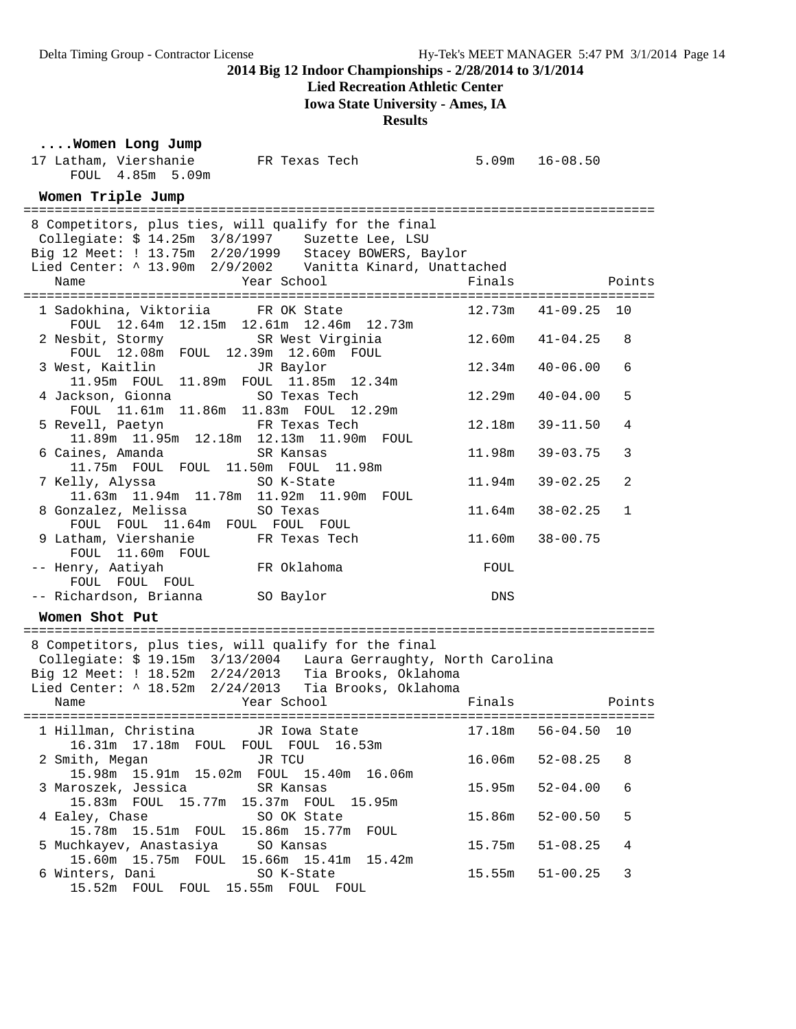### **Lied Recreation Athletic Center**

**Iowa State University - Ames, IA**

**Results**

#### **....Women Long Jump**

| 17 Latham, Viershanie<br>FR Texas Tech<br>FOUL 4.85m 5.09m                                                                                                                                                                                           | $5.09m$ $16-08.50$ |                     |              |
|------------------------------------------------------------------------------------------------------------------------------------------------------------------------------------------------------------------------------------------------------|--------------------|---------------------|--------------|
| Women Triple Jump                                                                                                                                                                                                                                    |                    |                     |              |
| 8 Competitors, plus ties, will qualify for the final<br>Collegiate: \$ 14.25m 3/8/1997 Suzette Lee, LSU<br>Big 12 Meet: ! 13.75m 2/20/1999 Stacey BOWERS, Baylor<br>Lied Center: ^ 13.90m 2/9/2002 Vanitta Kinard, Unattached<br>Year School<br>Name | Finals             |                     | Points       |
| 1 Sadokhina, Viktoriia FR OK State                                                                                                                                                                                                                   |                    | $12.73m$ $41-09.25$ | 10           |
| FOUL 12.64m 12.15m 12.61m 12.46m 12.73m<br>2 Nesbit, Stormy SR West Virginia<br>FOUL 12.08m FOUL 12.39m 12.60m FOUL                                                                                                                                  | 12.60m             | $41 - 04.25$        | 8            |
| 3 West, Kaitlin JR Baylor<br>11.95m FOUL 11.89m FOUL 11.85m 12.34m                                                                                                                                                                                   | 12.34m             | $40 - 06.00$        | 6            |
| 4 Jackson, Gionna<br>SO Texas Tech<br>FOUL 11.61m 11.86m 11.83m FOUL 12.29m                                                                                                                                                                          | 12.29m             | $40 - 04.00$        | 5            |
| 5 Revell, Paetyn<br>FR Texas Tech<br>11.89m  11.95m  12.18m  12.13m  11.90m  FOUL                                                                                                                                                                    | 12.18m             | $39 - 11.50$        | 4            |
| 6 Caines, Amanda<br>SR Kansas<br>11.75m FOUL FOUL 11.50m FOUL 11.98m                                                                                                                                                                                 | 11.98m             | $39 - 03.75$        | 3            |
| 7 Kelly, Alyssa<br>SO K-State<br>11.63m  11.94m  11.78m  11.92m  11.90m  FOUL                                                                                                                                                                        | 11.94m             | $39 - 02.25$        | 2            |
| 8 Gonzalez, Melissa<br>SO Texas<br>FOUL FOUL 11.64m FOUL FOUL FOUL                                                                                                                                                                                   | 11.64m             | $38 - 02.25$        | $\mathbf{1}$ |
| 9 Latham, Viershanie<br>FR Texas Tech<br>FOUL 11.60m FOUL                                                                                                                                                                                            | 11.60m             | $38 - 00.75$        |              |
| FR Oklahoma<br>-- Henry, Aatiyah<br>FOUL FOUL FOUL                                                                                                                                                                                                   | FOUL               |                     |              |
| -- Richardson, Brianna SO Baylor                                                                                                                                                                                                                     | DNS                |                     |              |
| Women Shot Put                                                                                                                                                                                                                                       |                    |                     |              |
| 8 Competitors, plus ties, will qualify for the final<br>Collegiate: \$ 19.15m 3/13/2004 Laura Gerraughty, North Carolina<br>Big 12 Meet: ! 18.52m 2/24/2013 Tia Brooks, Oklahoma<br>Lied Center: ^ 18.52m 2/24/2013 Tia Brooks, Oklahoma             |                    |                     |              |
| Year School<br>Name                                                                                                                                                                                                                                  | Finals             | <b>Points</b>       |              |
| 1 Hillman, Christina        JR Iowa State                       17.18m   56-04.50   10                                                                                                                                                               |                    |                     |              |
| 16.31m 17.18m FOUL FOUL FOUL 16.53m<br>JR TCU<br>2 Smith, Megan<br>15.98m  15.91m  15.02m  FOUL  15.40m  16.06m                                                                                                                                      | 16.06m             | $52 - 08.25$        | 8            |
| 3 Maroszek, Jessica<br>SR Kansas<br>15.83m FOUL 15.77m 15.37m FOUL 15.95m                                                                                                                                                                            | 15.95m             | $52 - 04.00$        | 6            |
| 4 Ealey, Chase<br>SO OK State<br>15.78m  15.51m  FOUL  15.86m  15.77m<br>FOUL                                                                                                                                                                        | 15.86m             | $52 - 00.50$        | 5            |
| 5 Muchkayev, Anastasiya<br>SO Kansas<br>15.60m  15.75m  FOUL<br>15.66m  15.41m<br>15.42m                                                                                                                                                             | 15.75m             | $51 - 08.25$        | 4            |
| 6 Winters, Dani<br>SO K-State<br>15.52m FOUL FOUL 15.55m FOUL FOUL                                                                                                                                                                                   | 15.55m             | $51 - 00.25$        | 3            |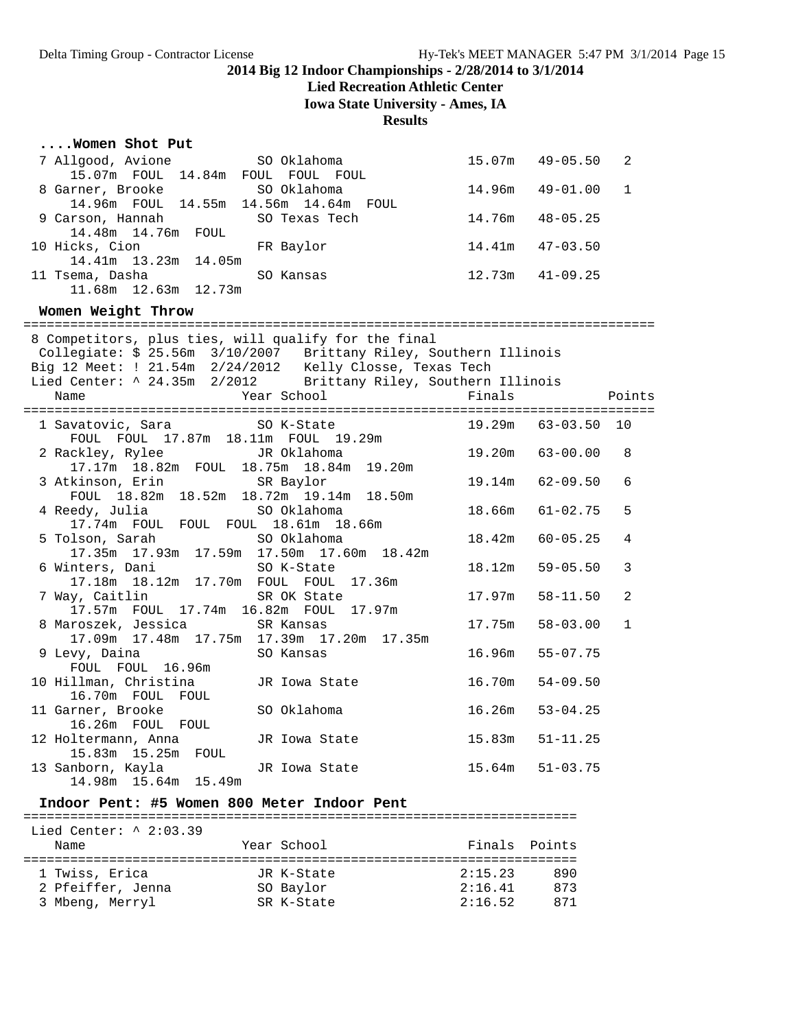### **Lied Recreation Athletic Center**

**Iowa State University - Ames, IA**

#### **Results**

| Women Shot Put                                                                                                                                                                                                                                                  |                                                               |               |                     |        |
|-----------------------------------------------------------------------------------------------------------------------------------------------------------------------------------------------------------------------------------------------------------------|---------------------------------------------------------------|---------------|---------------------|--------|
| 7 Allgood, Avione<br>15.07m FOUL 14.84m FOUL FOUL FOUL                                                                                                                                                                                                          | SO Oklahoma                                                   |               | $15.07m$ $49-05.50$ | 2      |
| 8 Garner, Brooke SO Oklahoma<br>14.96m FOUL 14.55m 14.56m 14.64m FOUL                                                                                                                                                                                           |                                                               | 14.96m        | $49 - 01.00$        | 1      |
| 9 Carson, Hannah<br>14.48m  14.76m  FOUL                                                                                                                                                                                                                        | SO Texas Tech                                                 | 14.76m        | $48 - 05.25$        |        |
| 10 Hicks, Cion<br>14.41m 13.23m 14.05m                                                                                                                                                                                                                          | FR Baylor                                                     |               | $14.41m$ $47-03.50$ |        |
| 11 Tsema, Dasha<br>sema, Dasha<br>11.68m 12.63m 12.73m                                                                                                                                                                                                          | SO Kansas                                                     |               | $12.73m$ $41-09.25$ |        |
| Women Weight Throw                                                                                                                                                                                                                                              |                                                               |               |                     |        |
| 8 Competitors, plus ties, will qualify for the final<br>Collegiate: \$ 25.56m 3/10/2007 Brittany Riley, Southern Illinois<br>Big 12 Meet: ! 21.54m 2/24/2012 Kelly Closse, Texas Tech<br>Lied Center: ^ 24.35m 2/2012 Brittany Riley, Southern Illinois<br>Name | Year School                                                   | Finals        |                     | Points |
| 1 Savatovic, Sara                                                                                                                                                                                                                                               | SO K-State                                                    |               | 19.29m 63-03.50 10  |        |
| FOUL FOUL 17.87m 18.11m FOUL 19.29m<br>2 Rackley, Rylee<br>17.17m 18.82m FOUL 18.75m 18.84m 19.20m                                                                                                                                                              | JR Oklahoma                                                   |               | 19.20m 63-00.00     | 8      |
| 3 Atkinson, Erin SR Baylor                                                                                                                                                                                                                                      |                                                               | 19.14m        | $62 - 09.50$        | 6      |
| FOUL 18.82m 18.52m 18.72m 19.14m 18.50m<br>4 Reedy, Julia<br>17.74m FOUL FOUL FOUL 18.61m 18.66m                                                                                                                                                                | SO Oklahoma                                                   | 18.66m        | $61 - 02.75$        | 5      |
| 5 Tolson, Sarah                                                                                                                                                                                                                                                 | SO Oklahoma<br>17.35m  17.93m  17.59m  17.50m  17.60m  18.42m | 18.42m        | $60 - 05.25$        | 4      |
| 6 Winters, Dani<br>17.18m  18.12m  17.70m  FOUL  FOUL  17.36m                                                                                                                                                                                                   | SO K-State                                                    | 18.12m        | $59 - 05.50$        | 3      |
| 7 Way, Caitlin<br>17.57m FOUL 17.74m 16.82m FOUL 17.97m                                                                                                                                                                                                         | SR OK State                                                   | 17.97m        | $58 - 11.50$        | 2      |
| 8 Maroszek, Jessica                                                                                                                                                                                                                                             | SR Kansas<br>17.09m  17.48m  17.75m  17.39m  17.20m  17.35m   | 17.75m        | $58 - 03.00$        | 1      |
| 9 Levy, Daina<br>FOUL FOUL 16.96m                                                                                                                                                                                                                               | SO Kansas                                                     | 16.96m        | $55 - 07.75$        |        |
| 10 Hillman, Christina<br>16.70m FOUL FOUL                                                                                                                                                                                                                       | JR Iowa State                                                 | 16.70m        | $54 - 09.50$        |        |
| 11 Garner, Brooke<br>16.26m FOUL FOUL                                                                                                                                                                                                                           | SO Oklahoma                                                   | 16.26m        | $53 - 04.25$        |        |
| 12 Holtermann, Anna<br>15.83m  15.25m  FOUL                                                                                                                                                                                                                     | JR Iowa State                                                 |               | $15.83m$ $51-11.25$ |        |
| 13 Sanborn, Kayla<br>14.98m 15.64m 15.49m                                                                                                                                                                                                                       | JR Iowa State                                                 |               | $15.64m$ $51-03.75$ |        |
| Indoor Pent: #5 Women 800 Meter Indoor Pent                                                                                                                                                                                                                     |                                                               |               |                     |        |
| Lied Center: $\land$ 2:03.39                                                                                                                                                                                                                                    |                                                               |               |                     |        |
| Name                                                                                                                                                                                                                                                            | Year School                                                   | Finals Points |                     |        |
| 1 Twiss, Erica                                                                                                                                                                                                                                                  | JR K-State                                                    | 2:15.23       | 890                 |        |

 2 Pfeiffer, Jenna SO Baylor 2:16.41 873 3 Mbeng, Merryl SR K-State 2:16.52 871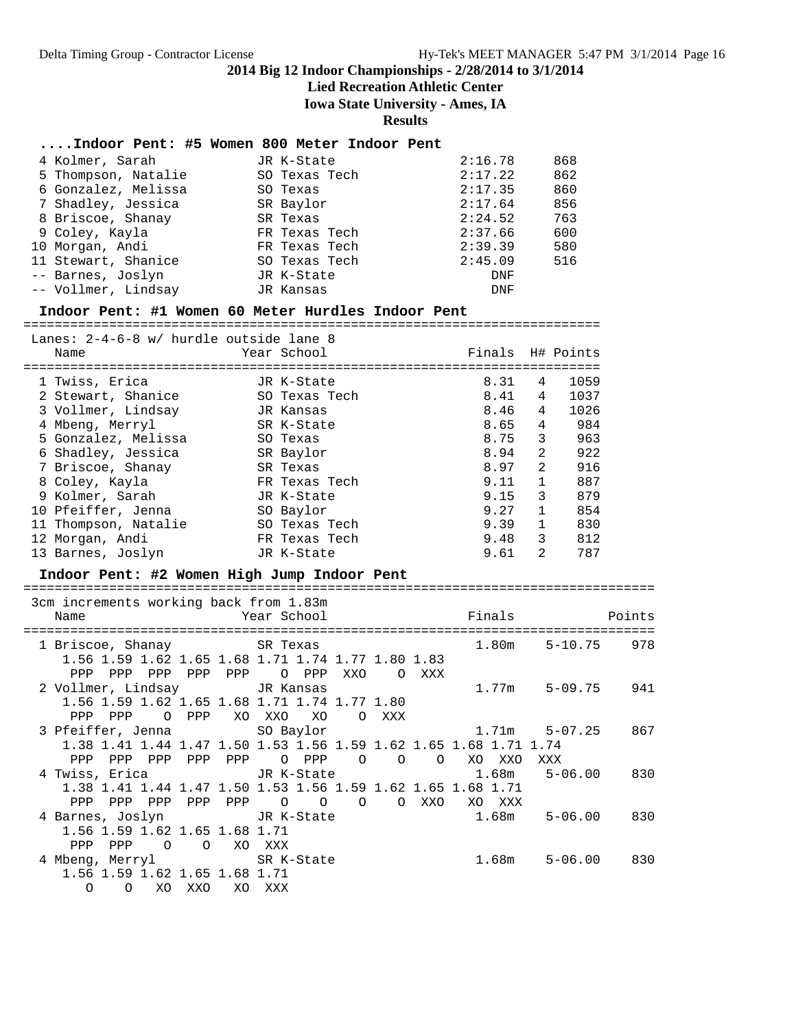### **Lied Recreation Athletic Center**

**Iowa State University - Ames, IA**

**Results**

#### **....Indoor Pent: #5 Women 800 Meter Indoor Pent**

| 4 Kolmer, Sarah     | JR K-State    | 2:16.78 | 868 |
|---------------------|---------------|---------|-----|
| 5 Thompson, Natalie | SO Texas Tech | 2:17.22 | 862 |
| 6 Gonzalez, Melissa | SO Texas      | 2:17.35 | 860 |
| 7 Shadley, Jessica  | SR Baylor     | 2:17.64 | 856 |
| 8 Briscoe, Shanay   | SR Texas      | 2:24.52 | 763 |
| 9 Coley, Kayla      | FR Texas Tech | 2:37.66 | 600 |
| 10 Morgan, Andi     | FR Texas Tech | 2:39.39 | 580 |
| 11 Stewart, Shanice | SO Texas Tech | 2:45.09 | 516 |
| -- Barnes, Joslyn   | JR K-State    | DNF     |     |
| -- Vollmer, Lindsay | JR Kansas     | DNF     |     |
|                     |               |         |     |

#### **Indoor Pent: #1 Women 60 Meter Hurdles Indoor Pent**

==========================================================================

| Lanes: 2-4-6-8 w/ hurdle outside lane 8<br>Name | Year School   | Finals H# Points |                |      |
|-------------------------------------------------|---------------|------------------|----------------|------|
| 1 Twiss, Erica                                  | JR K-State    | 8.31             | 4              | 1059 |
| 2 Stewart, Shanice                              | SO Texas Tech | 8.41             | 4              | 1037 |
| 3 Vollmer, Lindsay                              | JR Kansas     | 8.46             | 4              | 1026 |
| 4 Mbeng, Merryl                                 | SR K-State    | 8.65             | 4              | 984  |
| 5 Gonzalez, Melissa                             | SO Texas      | 8.75             | 3              | 963  |
| 6 Shadley, Jessica                              | SR Baylor     | 8.94             | 2              | 922  |
| 7 Briscoe, Shanay                               | SR Texas      | 8.97             | 2              | 916  |
| 8 Coley, Kayla                                  | FR Texas Tech | 9.11             | $\mathbf{1}$   | 887  |
| 9 Kolmer, Sarah                                 | JR K-State    | 9.15             | 3              | 879  |
| 10 Pfeiffer, Jenna                              | SO Baylor     | 9.27             | 1              | 854  |
| 11 Thompson, Natalie                            | SO Texas Tech | 9.39             | $\mathbf{1}$   | 830  |
| 12 Morgan, Andi                                 | FR Texas Tech | 9.48             | 3              | 812  |
| 13 Barnes, Joslyn                               | JR K-State    | 9.61             | $\mathfrak{D}$ | 787  |

#### **Indoor Pent: #2 Women High Jump Indoor Pent**

| 3cm increments working back from 1.83m                           |                              |                               |     |         |                |                |          |          |       |       |                   |     |
|------------------------------------------------------------------|------------------------------|-------------------------------|-----|---------|----------------|----------------|----------|----------|-------|-------|-------------------|-----|
| Name                                                             | <b>Example 2</b> Year School |                               |     |         |                |                |          |          |       |       |                   |     |
|                                                                  |                              |                               |     |         |                |                |          |          |       |       |                   |     |
| 1 Briscoe, Shanay SR Texas                                       |                              |                               |     |         |                |                |          |          |       | 1.80m | $5 - 10.75$ 978   |     |
| 1.56 1.59 1.62 1.65 1.68 1.71 1.74 1.77 1.80 1.83                |                              |                               |     |         |                |                |          |          |       |       |                   |     |
| PPP<br>PPP                                                       | PPP                          | PPP                           | PPP |         | O PPP          | XXO            |          | O XXX    |       |       |                   |     |
| 2 Vollmer, Lindsay GR Kansas                                     |                              |                               |     |         |                |                |          |          |       | 1.77m | $5 - 09.75$ 941   |     |
| 1.56 1.59 1.62 1.65 1.68 1.71 1.74 1.77 1.80                     |                              |                               |     |         |                |                |          |          |       |       |                   |     |
| PPP PPP                                                          |                              | O PPP                         |     | XO XXO  | XO             | $\Omega$       | XXX      |          |       |       |                   |     |
| 3 Pfeiffer, Jenna SO Baylor                                      |                              |                               |     |         |                |                |          |          |       |       | $1.71m$ $5-07.25$ | 867 |
| 1.38 1.41 1.44 1.47 1.50 1.53 1.56 1.59 1.62 1.65 1.68 1.71 1.74 |                              |                               |     |         |                |                |          |          |       |       |                   |     |
| PPP<br>PPP                                                       | PPP                          | PPP                           | PPP |         | O PPP          | $\circ$        | $\Omega$ | $\Omega$ | XO    | XXO   | XXX               |     |
|                                                                  |                              |                               |     |         |                |                |          |          |       |       | $5 - 06.00$ 830   |     |
| 1.38 1.41 1.44 1.47 1.50 1.53 1.56 1.59 1.62 1.65 1.68 1.71      |                              |                               |     |         |                |                |          |          |       |       |                   |     |
| <b>PPP</b><br>PPP                                                | PPP                          | PPP                           | PPP | $\circ$ | $\overline{O}$ | $\overline{O}$ | $\Omega$ | XXO      | XO    | xxx   |                   |     |
| 4 Barnes, Joslyn JR K-State                                      |                              |                               |     |         |                |                |          |          | 1.68m |       | $5 - 06.00$ 830   |     |
| 1.56 1.59 1.62 1.65 1.68 1.71                                    |                              |                               |     |         |                |                |          |          |       |       |                   |     |
| PPP<br>PPP                                                       |                              | $\overline{O}$ $\overline{O}$ |     | XO XXX  |                |                |          |          |       |       |                   |     |
| 4 Mbeng, Merryl SR K-State                                       |                              |                               |     |         |                |                |          |          | 1.68m |       | $5 - 06.00$ 830   |     |
| 1.56 1.59 1.62 1.65 1.68 1.71                                    |                              |                               |     |         |                |                |          |          |       |       |                   |     |
|                                                                  |                              |                               |     |         |                |                |          |          |       |       |                   |     |
| $\circ$<br>$\Omega$                                              | XO                           | XXO                           | XO  | XXX     |                |                |          |          |       |       |                   |     |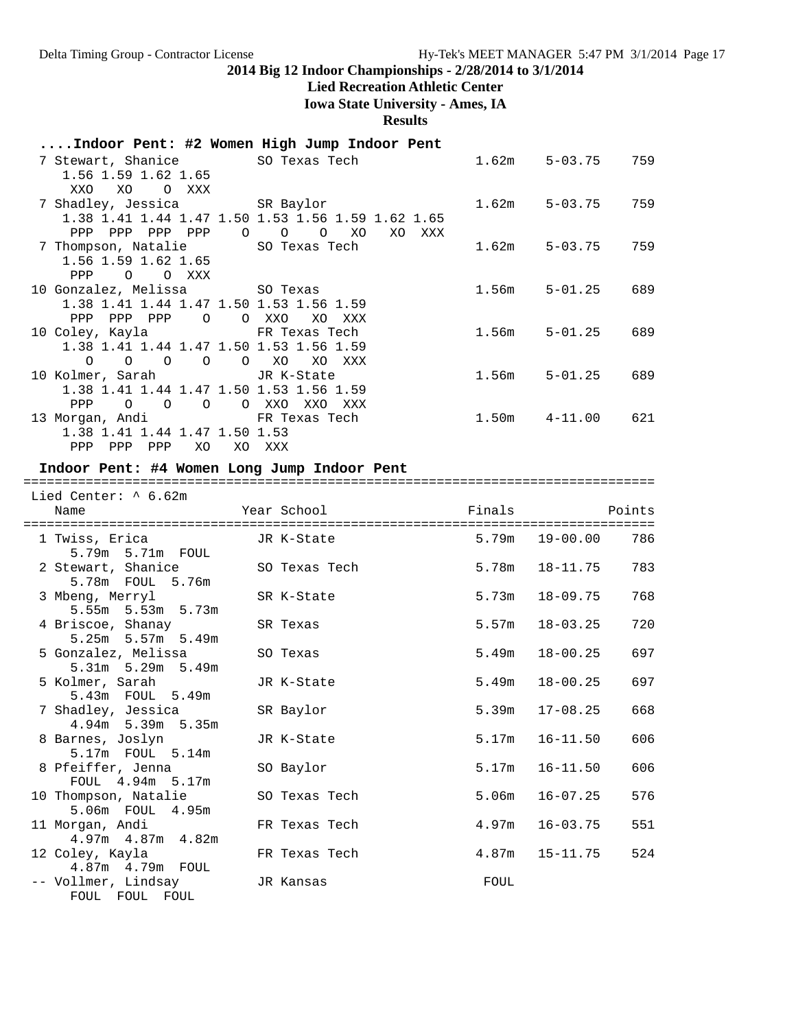# **Lied Recreation Athletic Center**

**Iowa State University - Ames, IA**

**Results**

### **....Indoor Pent: #2 Women High Jump Indoor Pent**

| 7 Stewart, Shanice 50 Texas Tech                           |                                    | 1.62m | $5 - 03.75$       | 759 |
|------------------------------------------------------------|------------------------------------|-------|-------------------|-----|
| 1.56 1.59 1.62 1.65<br>XO<br>O XXX<br>XXO                  |                                    |       |                   |     |
| 7 Shadley, Jessica SR Baylor                               |                                    | 1.62m | 5-03.75           | 759 |
| 1.38 1.41 1.44 1.47 1.50 1.53 1.56 1.59 1.62 1.65          |                                    |       |                   |     |
| PPP PPP<br>PPP PPP<br>$\overline{O}$                       | $\circ$<br>$\circ$<br>XO<br>XO XXX |       |                   |     |
| 7 Thompson, Natalie         SO Texas Tech                  |                                    | 1.62m | $5 - 03.75$       | 759 |
| 1.56 1.59 1.62 1.65                                        |                                    |       |                   |     |
| O XXX<br>PPP<br>$\circ$                                    |                                    |       |                   |     |
| 10 Gonzalez, Melissa               SO Texas                |                                    | 1.56m | $5 - 01.25$       | 689 |
| 1.38 1.41 1.44 1.47 1.50 1.53 1.56 1.59                    |                                    |       |                   |     |
| PPP<br>PPP<br>PPP<br>$\circ$                               | O XXO<br>XO<br>XXX                 |       |                   |     |
| 10 Coley, Kayla         FR Texas Tech                      |                                    | 1.56m | $5 - 01.25$       | 689 |
| 1.38 1.41 1.44 1.47 1.50 1.53 1.56 1.59                    |                                    |       |                   |     |
| $0\qquad 0\qquad 0\qquad 0$<br>$\overline{O}$              | XO<br>XO XXX                       |       |                   |     |
| 10 Kolmer, Sarah               JR K-State                  |                                    | 1.56m | $5 - 01.25$       | 689 |
| 1.38 1.41 1.44 1.47 1.50 1.53 1.56 1.59                    |                                    |       |                   |     |
| <b>PPP</b><br>$\overline{O}$<br>$\overline{O}$<br>$\Omega$ | O XXO<br>XXO<br>XXX                |       |                   |     |
| 13 Morgan, Andi                         FR Texas Tech      |                                    |       | $1.50m$ $4-11.00$ | 621 |
| 1.38 1.41 1.44 1.47 1.50 1.53                              |                                    |       |                   |     |
| PPP PPP<br>PPP<br>XO.                                      | XO XXX                             |       |                   |     |

#### **Indoor Pent: #4 Women Long Jump Indoor Pent**

=================================================================================

| Lied Center: $\land$ 6.62m                 |               |       |                    |     |
|--------------------------------------------|---------------|-------|--------------------|-----|
| Name                                       |               |       |                    |     |
| 1 Twiss, Erica<br>5.79m 5.71m FOUL         | JR K-State    |       | 5.79m 19-00.00     | 786 |
| 2 Stewart, Shanice<br>5.78m FOUL 5.76m     | SO Texas Tech |       | 5.78m  18-11.75    | 783 |
| 3 Mbeng, Merryl<br>$5.55m$ $5.53m$ $5.73m$ | SR K-State    |       | $5.73m$ $18-09.75$ | 768 |
| 4 Briscoe, Shanay<br>$5.25m$ 5.57m 5.49m   | SR Texas      |       | $5.57m$ $18-03.25$ | 720 |
| 5 Gonzalez, Melissa<br>5.31m 5.29m 5.49m   | SO Texas      | 5.49m | $18 - 00.25$       | 697 |
| 5 Kolmer, Sarah<br>5.43m FOUL 5.49m        | JR K-State    | 5.49m | 18-00.25           | 697 |
| 7 Shadley, Jessica<br>4.94m 5.39m 5.35m    | SR Baylor     | 5.39m | $17 - 08.25$       | 668 |
| 8 Barnes, Joslyn<br>5.17m FOUL 5.14m       | JR K-State    | 5.17m | $16 - 11.50$       | 606 |
| 8 Pfeiffer, Jenna<br>FOUL 4.94m 5.17m      | SO Baylor     |       | $5.17m$ $16-11.50$ | 606 |
| 10 Thompson, Natalie<br>5.06m FOUL 4.95m   | SO Texas Tech | 5.06m | $16 - 07.25$       | 576 |
| 11 Morgan, Andi<br>$4.97m$ $4.87m$ $4.82m$ | FR Texas Tech |       | $4.97m$ $16-03.75$ | 551 |
| 12 Coley, Kayla<br>4.87m  4.79m  FOUL      | FR Texas Tech |       | $4.87m$ $15-11.75$ | 524 |
| -- Vollmer, Lindsay<br>FOUL FOUL FOUL      | JR Kansas     | FOUL  |                    |     |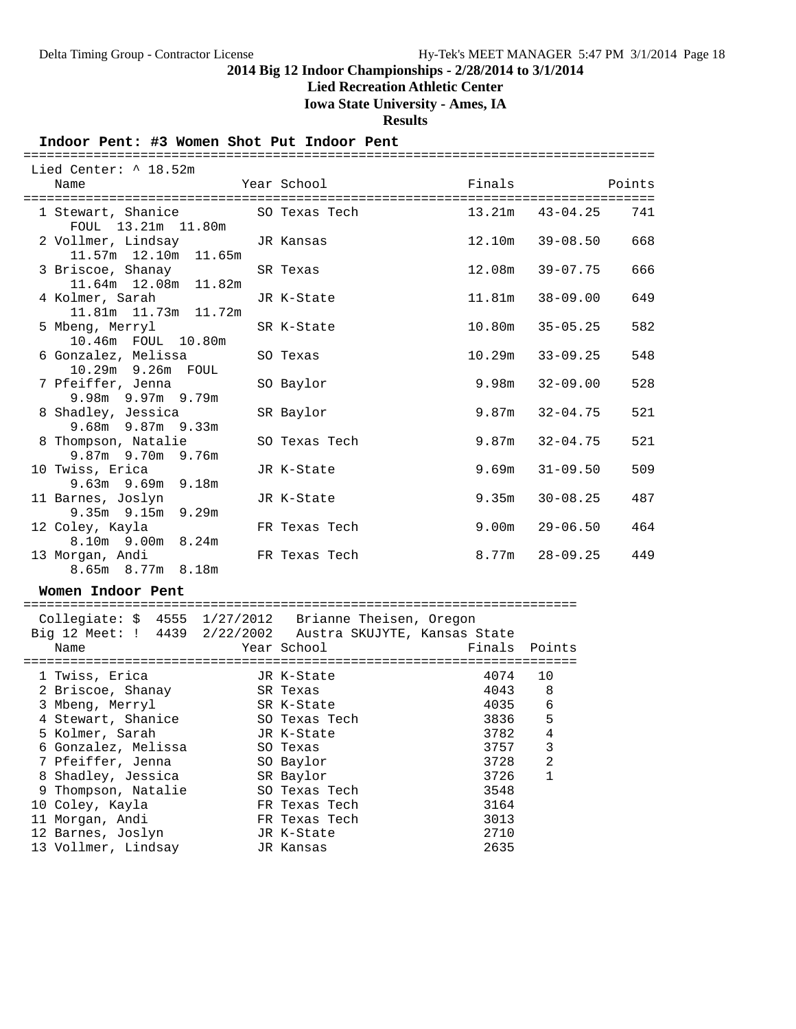#### **Lied Recreation Athletic Center**

**Iowa State University - Ames, IA**

**Results**

#### **Indoor Pent: #3 Women Shot Put Indoor Pent**

#### ================================================================================= Lied Center: ^ 18.52m Name The Year School Team Points Points ================================================================================= 1 Stewart, Shanice SO Texas Tech 13.21m 43-04.25 741 FOUL 13.21m 11.80m 2 Vollmer, Lindsay JR Kansas 12.10m 39-08.50 668 11.57m 12.10m 11.65m<br>3 Briscoe, Shanay SR Texas 12.08m 39-07.75 666 11.64m 12.08m 11.82m 4 Kolmer, Sarah JR K-State 11.81m 38-09.00 649 11.81m 11.73m 11.72m 5 Mbeng, Merryl SR K-State 10.80m 35-05.25 582 10.46m FOUL 10.80m 6 Gonzalez, Melissa SO Texas 10.29m 33-09.25 548 10.29m 9.26m FOUL 7 Pfeiffer, Jenna SO Baylor 9.98m 32-09.00 528 9.98m 9.97m 9.79m 8 Shadley, Jessica SR Baylor 9.87m 32-04.75 521 9.68m 9.87m 9.33m 8 Thompson, Natalie SO Texas Tech 9.87m 32-04.75 521 9.87m 9.70m 9.76m 10 Twiss, Erica JR K-State 9.69m 31-09.50 509 9.63m 9.69m 9.18m 11 Barnes, Joslyn JR K-State 9.35m 30-08.25 487 9.35m 9.15m 9.29m 12 Coley, Kayla FR Texas Tech 9.00m 29-06.50 464 8.10m 9.00m 8.24m 13 Morgan, Andi FR Texas Tech 8.77m 28-09.25 449 8.65m 8.77m 8.18m

#### **Women Indoor Pent**

| Collegiate: \$ 4555 1/27/2012 Brianne Theisen, Oregon<br>Big 12 Meet: ! 4439 2/22/2002 Austra SKUJYTE, Kansas State<br>Name | Year School   |      | Finals Points  |
|-----------------------------------------------------------------------------------------------------------------------------|---------------|------|----------------|
| 1 Twiss, Erica                                                                                                              | JR K-State    | 4074 | 10             |
| 2 Briscoe, Shanay                                                                                                           | SR Texas      | 4043 | 8              |
| 3 Mbeng, Merryl                                                                                                             | SR K-State    | 4035 | $\epsilon$     |
| 4 Stewart, Shanice                                                                                                          | SO Texas Tech | 3836 | 5              |
| 5 Kolmer, Sarah                                                                                                             | JR K-State    | 3782 | $\overline{4}$ |
| 6 Gonzalez, Melissa                                                                                                         | SO Texas      | 3757 | 3              |
| 7 Pfeiffer, Jenna                                                                                                           | SO Baylor     | 3728 | 2              |
| 8 Shadley, Jessica                                                                                                          | SR Baylor     | 3726 | 1              |
| 9 Thompson, Natalie                                                                                                         | SO Texas Tech | 3548 |                |
| 10 Coley, Kayla                                                                                                             | FR Texas Tech | 3164 |                |
| 11 Morgan, Andi                                                                                                             | FR Texas Tech | 3013 |                |
| 12 Barnes, Joslyn                                                                                                           | JR K-State    | 2710 |                |
| 13 Vollmer, Lindsay                                                                                                         | JR Kansas     | 2635 |                |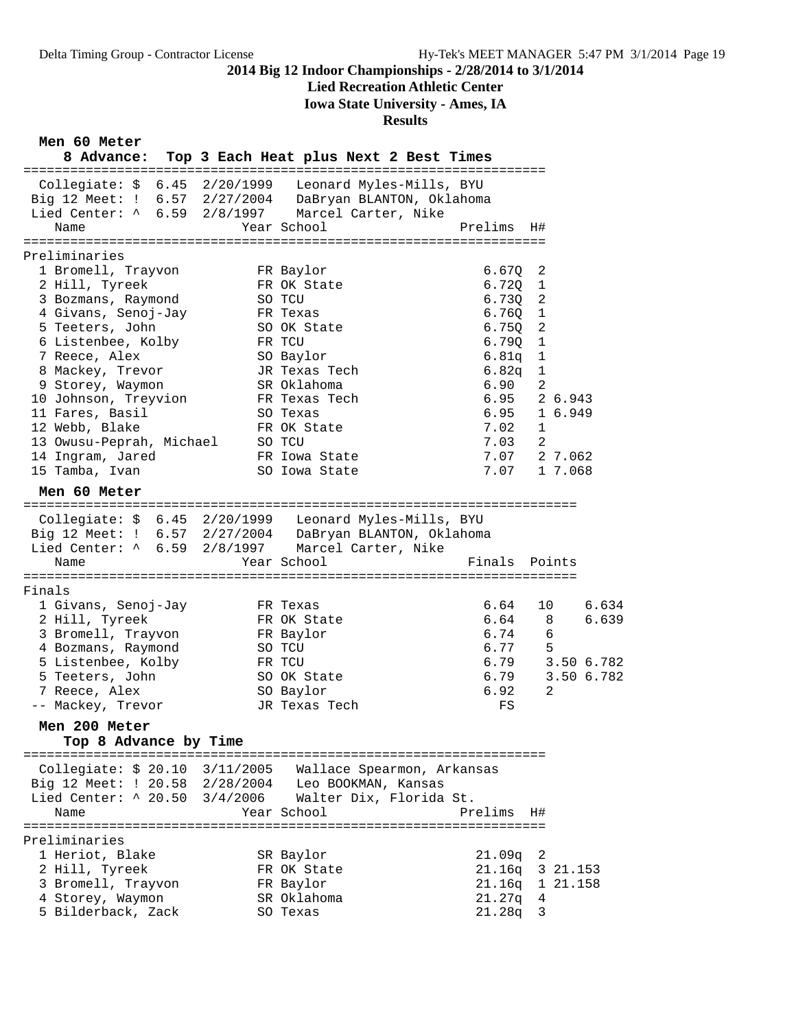# **Lied Recreation Athletic Center**

**Iowa State University - Ames, IA**

### **Results**

**Men 60 Meter**

| men ou meter                                     |                                                              |               |                 |
|--------------------------------------------------|--------------------------------------------------------------|---------------|-----------------|
| 8 Advance:                                       | Top 3 Each Heat plus Next 2 Best Times                       |               |                 |
| Collegiate: $$6.45$ 2/20/1999                    | Leonard Myles-Mills, BYU                                     |               |                 |
| Big 12 Meet: ! 6.57 2/27/2004                    | DaBryan BLANTON, Oklahoma                                    |               |                 |
| Lied Center: ^ 6.59 2/8/1997                     | Marcel Carter, Nike                                          |               |                 |
| Name                                             | Year School                                                  | Prelims H#    |                 |
|                                                  |                                                              |               |                 |
| Preliminaries                                    |                                                              |               |                 |
| 1 Bromell, Trayvon                               | FR Baylor                                                    | 6.670         | $\overline{2}$  |
| 2 Hill, Tyreek                                   | FR OK State                                                  | 6.72Q         | $\mathbf{1}$    |
| 3 Bozmans, Raymond                               | SO TCU                                                       | 6.73Q         | $\overline{2}$  |
| 4 Givans, Senoj-Jay                              | FR Texas                                                     | 6.760         | $\mathbf{1}$    |
| 5 Teeters, John                                  | SO OK State                                                  | 6.75Q         | $\overline{2}$  |
| 6 Listenbee, Kolby                               | FR TCU                                                       | 6.790         | $\mathbf{1}$    |
| 7 Reece, Alex                                    | SO Baylor                                                    | 6.81q         | $\mathbf{1}$    |
| 8 Mackey, Trevor                                 | JR Texas Tech                                                | 6.82q         | 1               |
| 9 Storey, Waymon                                 | SR Oklahoma                                                  | 6.90          | 2               |
| 10 Johnson, Treyvion                             | FR Texas Tech                                                | 6.95          | 2 6.943         |
| 11 Fares, Basil                                  | SO Texas                                                     | 6.95          | 1 6.949         |
| 12 Webb, Blake                                   | FR OK State                                                  | 7.02          | $\mathbf{1}$    |
| 13 Owusu-Peprah, Michael                         | SO TCU                                                       | 7.03          | -2              |
| 14 Ingram, Jared                                 | FR Iowa State                                                |               | 7.07 2 7.062    |
| 15 Tamba, Ivan                                   | SO Iowa State                                                | 7.07          | 1 7.068         |
| Men 60 Meter                                     |                                                              |               |                 |
|                                                  |                                                              |               |                 |
|                                                  | Collegiate: $$6.45 \quad 2/20/1999$ Leonard Myles-Mills, BYU |               |                 |
| Big 12 Meet: ! 6.57 2/27/2004                    | DaBryan BLANTON, Oklahoma                                    |               |                 |
| Lied Center: ^ 6.59 2/8/1997 Marcel Carter, Nike |                                                              |               |                 |
| Name                                             | Year School                                                  | Finals Points |                 |
|                                                  |                                                              |               |                 |
| Finals                                           |                                                              | 6.64          | 6.634<br>10     |
| 1 Givans, Senoj-Jay<br>2 Hill, Tyreek            | FR Texas<br>FR OK State                                      | 6.64          | 6.639<br>8      |
| 3 Bromell, Trayvon                               | FR Baylor                                                    | 6.74          | 6               |
| 4 Bozmans, Raymond                               | SO TCU                                                       | 6.77          | 5               |
| 5 Listenbee, Kolby                               | FR TCU                                                       | 6.79          | 3.50 6.782      |
| 5 Teeters, John                                  | SO OK State                                                  | 6.79          | 3.50 6.782      |
| 7 Reece, Alex                                    | SO Baylor                                                    | 6.92          | 2               |
| -- Mackey, Trevor                                | JR Texas Tech                                                | FS            |                 |
|                                                  |                                                              |               |                 |
| Men 200 Meter                                    |                                                              |               |                 |
| Top 8 Advance by Time                            |                                                              |               |                 |
| Collegiate: \$ 20.10 3/11/2005                   | Wallace Spearmon, Arkansas                                   |               |                 |
| Big 12 Meet: ! 20.58 2/28/2004                   | Leo BOOKMAN, Kansas                                          |               |                 |
| Lied Center: ^ 20.50 3/4/2006                    | Walter Dix, Florida St.                                      |               |                 |
| Name                                             | Year School                                                  | Prelims H#    |                 |
|                                                  |                                                              |               |                 |
| Preliminaries                                    |                                                              |               |                 |
| 1 Heriot, Blake                                  | SR Baylor                                                    | $21.09q$ 2    |                 |
| 2 Hill, Tyreek                                   | FR OK State                                                  |               | 21.16q 3 21.153 |
| 3 Bromell, Trayvon                               | FR Baylor                                                    |               | 21.16q 1 21.158 |
| 4 Storey, Waymon                                 | SR Oklahoma                                                  | $21.27q$ 4    |                 |
| 5 Bilderback, Zack                               | SO Texas                                                     | 21.28q 3      |                 |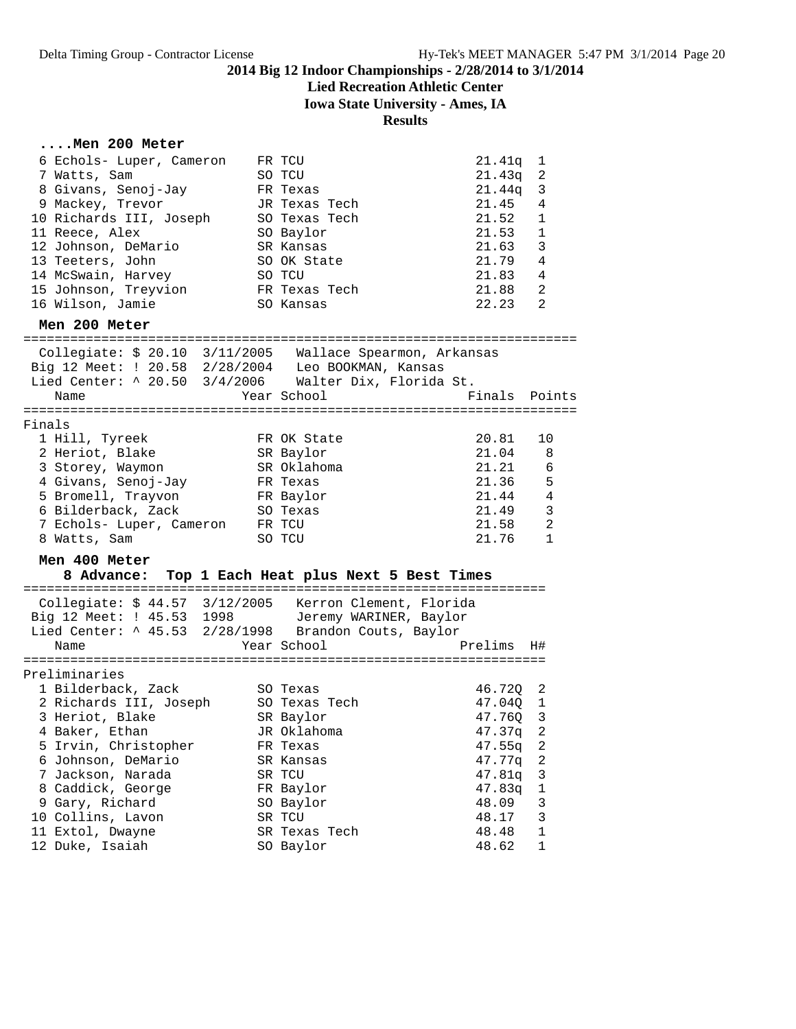# **Lied Recreation Athletic Center**

**Iowa State University - Ames, IA**

### **Results**

### **....Men 200 Meter**

| 6 Echols- Luper, Cameron<br>7 Watts, Sam<br>8 Givans, Senoj-Jay<br>9 Mackey, Trevor<br>10 Richards III, Joseph<br>11 Reece, Alex<br>12 Johnson, DeMario<br>13 Teeters, John<br>14 McSwain, Harvey<br>15 Johnson, Treyvion<br>16 Wilson, Jamie          | FR TCU<br>SO TCU<br>FR Texas<br>JR Texas Tech<br>SO Texas Tech<br>SO Baylor<br>SR Kansas<br>SO OK State<br>SO TCU<br>FR Texas Tech<br>SO Kansas | 21.41q<br>1<br>21.43q<br>2<br>21.44q<br>3<br>21.45<br>4<br>21.52<br>1<br>21.53<br>1<br>21.63<br>3<br>21.79<br>4<br>21.83<br>4<br>2<br>21.88<br>22.23<br>2                         |                                          |
|--------------------------------------------------------------------------------------------------------------------------------------------------------------------------------------------------------------------------------------------------------|-------------------------------------------------------------------------------------------------------------------------------------------------|-----------------------------------------------------------------------------------------------------------------------------------------------------------------------------------|------------------------------------------|
| Men 200 Meter                                                                                                                                                                                                                                          |                                                                                                                                                 |                                                                                                                                                                                   |                                          |
| Collegiate: \$ 20.10 3/11/2005 Wallace Spearmon, Arkansas<br>Big 12 Meet: ! 20.58 2/28/2004 Leo BOOKMAN, Kansas<br>Lied Center: ^ 20.50 3/4/2006 Walter Dix, Florida St.<br>Name                                                                       | Year School                                                                                                                                     | Finals Points                                                                                                                                                                     |                                          |
| Finals<br>1 Hill, Tyreek<br>2 Heriot, Blake<br>3 Storey, Waymon<br>4 Givans, Senoj-Jay<br>5 Bromell, Trayvon<br>6 Bilderback, Zack<br>7 Echols- Luper, Cameron FR TCU<br>8 Watts, Sam                                                                  | FR OK State<br>SR Baylor<br>SR Oklahoma<br>FR Texas<br>FR Baylor<br>SO Texas<br>SO TCU                                                          | 20.81<br>10<br>21.04<br>8<br>21.21<br>21.36<br>-5<br>21.44<br>$\overline{4}$<br>21.49<br>21.58<br>21.76                                                                           | 6<br>3<br>$\overline{2}$<br>$\mathbf{1}$ |
| Men 400 Meter<br>8 Advance: Top 1 Each Heat plus Next 5 Best Times                                                                                                                                                                                     |                                                                                                                                                 |                                                                                                                                                                                   |                                          |
| Collegiate: \$ 44.57 3/12/2005 Kerron Clement, Florida<br>Big 12 Meet: ! 45.53 1998 Jeremy WARINER, Baylor<br>Lied Center: ^ 45.53 2/28/1998 Brandon Couts, Baylor<br>Name                                                                             | Year School                                                                                                                                     | Prelims<br>H#                                                                                                                                                                     |                                          |
| Preliminaries<br>1 Bilderback, Zack<br>2 Richards III, Joseph<br>3 Heriot, Blake<br>4 Baker, Ethan<br>5 Irvin, Christopher<br>6 Johnson, DeMario<br>7 Jackson, Narada<br>8 Caddick, George<br>9 Gary, Richard<br>10 Collins, Lavon<br>11 Extol, Dwayne | SO Texas<br>SO Texas Tech<br>SR Baylor<br>JR Oklahoma<br>FR Texas<br>SR Kansas<br>SR TCU<br>FR Baylor<br>SO Baylor<br>SR TCU<br>SR Texas Tech   | 46.720<br>2<br>47.04Q<br>1<br>47.76Q<br>3<br>$\sqrt{2}$<br>47.37q<br>47.55q<br>2<br>47.77q<br>2<br>47.81q<br>3<br>47.83q<br>1<br>3<br>48.09<br>3<br>48.17<br>$\mathbf 1$<br>48.48 |                                          |
| 12 Duke, Isaiah                                                                                                                                                                                                                                        | SO Baylor                                                                                                                                       | 48.62<br>1                                                                                                                                                                        |                                          |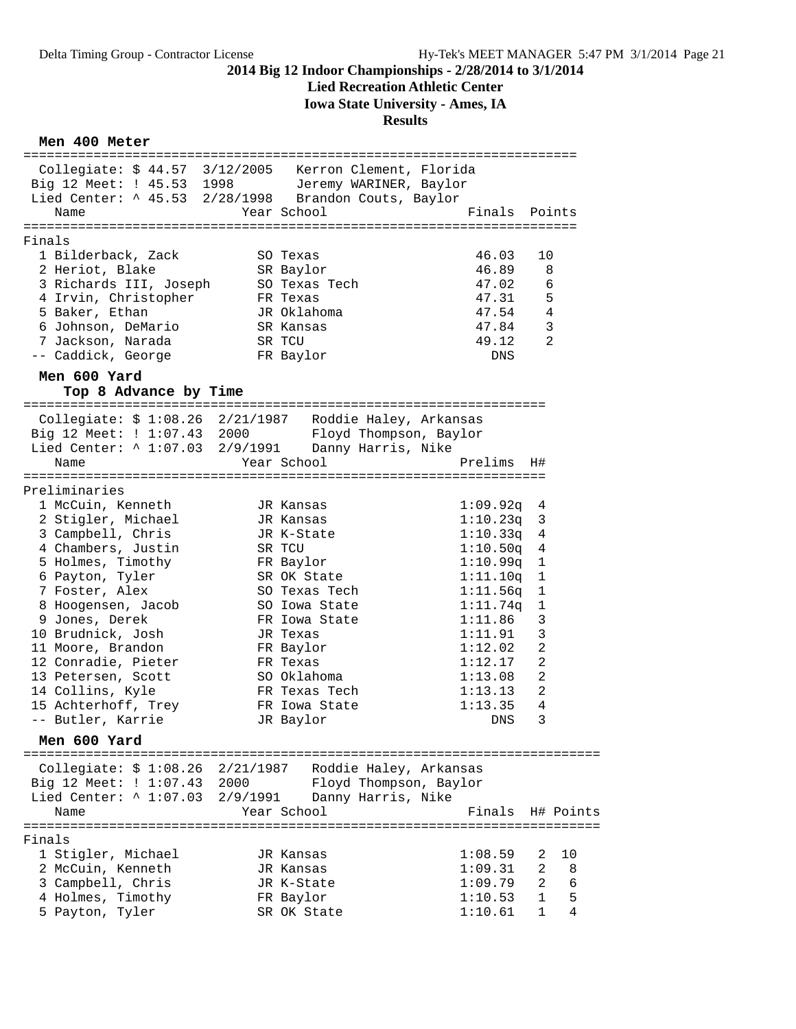### **Lied Recreation Athletic Center**

**Iowa State University - Ames, IA**

#### **Results**

### **Men 400 Meter**

| =================<br>Collegiate: \$44.57 3/12/2005 Kerron Clement, Florida<br>Big 12 Meet: ! 45.53 1998<br>Lied Center: ^ 45.53 2/28/1998 Brandon Couts, Baylor<br>Name<br>-----------------------------------<br>Finals<br>1 Bilderback, Zack<br>2 Heriot, Blake<br>3 Richards III, Joseph<br>4 Irvin, Christopher<br>5 Baker, Ethan<br>6 Johnson, DeMario<br>7 Jackson, Narada<br>-- Caddick, George |                  | Jeremy WARINER, Baylor<br>Year School<br>SO Texas<br>SR Baylor<br>SO Texas Tech<br>FR Texas<br>JR Oklahoma<br>SR Kansas<br>SR TCU<br>FR Baylor                                                                                   | ----------------------<br>Finals<br>==================================<br>46.03<br>46.89<br>47.02<br>47.31<br>47.54<br>47.84<br>49.12<br>DNS                                     | Points<br>10<br>8<br>6<br>5<br>4<br>$\mathbf{3}$<br>2                                                                                       |
|--------------------------------------------------------------------------------------------------------------------------------------------------------------------------------------------------------------------------------------------------------------------------------------------------------------------------------------------------------------------------------------------------------|------------------|----------------------------------------------------------------------------------------------------------------------------------------------------------------------------------------------------------------------------------|----------------------------------------------------------------------------------------------------------------------------------------------------------------------------------|---------------------------------------------------------------------------------------------------------------------------------------------|
| Men 600 Yard<br>Top 8 Advance by Time                                                                                                                                                                                                                                                                                                                                                                  |                  |                                                                                                                                                                                                                                  |                                                                                                                                                                                  |                                                                                                                                             |
| ==========<br>========================<br>Collegiate: \$ 1:08.26 2/21/1987 Roddie Haley, Arkansas<br>Big 12 Meet: ! 1:07.43 2000<br>Lied Center: ^ 1:07.03 2/9/1991<br>Name                                                                                                                                                                                                                            |                  | Floyd Thompson, Baylor<br>Danny Harris, Nike<br>Year School                                                                                                                                                                      | =============================<br>Prelims                                                                                                                                         | H#                                                                                                                                          |
| =====================================                                                                                                                                                                                                                                                                                                                                                                  |                  |                                                                                                                                                                                                                                  | ==============================                                                                                                                                                   |                                                                                                                                             |
| Preliminaries<br>1 McCuin, Kenneth<br>2 Stigler, Michael<br>3 Campbell, Chris<br>4 Chambers, Justin<br>5 Holmes, Timothy<br>6 Payton, Tyler<br>7 Foster, Alex<br>8 Hoogensen, Jacob<br>9 Jones, Derek<br>10 Brudnick, Josh<br>11 Moore, Brandon<br>12 Conradie, Pieter<br>13 Petersen, Scott<br>14 Collins, Kyle<br>15 Achterhoff, Trey<br>-- Butler, Karrie<br>Men 600 Yard                           |                  | JR Kansas<br>JR Kansas<br>JR K-State<br>SR TCU<br>FR Baylor<br>SR OK State<br>SO Texas Tech<br>SO Iowa State<br>FR Iowa State<br>JR Texas<br>FR Baylor<br>FR Texas<br>SO Oklahoma<br>FR Texas Tech<br>FR Iowa State<br>JR Baylor | 1:09.92q<br>1:10.23q<br>1:10.33q<br>1:10.50q<br>1:10.99q<br>1:11.10q<br>1:11.56q<br>1:11.74q<br>1:11.86<br>1:11.91<br>1:12.02<br>1:12.17<br>1:13.08<br>1:13.13<br>1:13.35<br>DNS | 4<br>3<br>4<br>4<br>1<br>1<br>$\mathbf{1}$<br>1<br>3<br>3<br>$\overline{2}$<br>$\overline{2}$<br>$\overline{a}$<br>$\overline{2}$<br>4<br>3 |
| Collegiate: \$ 1:08.26 2/21/1987 Roddie Haley, Arkansas<br>Big 12 Meet: ! 1:07.43<br>Lied Center: $\land$ 1:07.03<br>Name                                                                                                                                                                                                                                                                              | 2000<br>2/9/1991 | Floyd Thompson, Baylor<br>Danny Harris, Nike<br>Year School                                                                                                                                                                      | Finals                                                                                                                                                                           | H# Points                                                                                                                                   |
| Finals<br>1 Stigler, Michael<br>2 McCuin, Kenneth<br>3 Campbell, Chris<br>4 Holmes, Timothy<br>5 Payton, Tyler                                                                                                                                                                                                                                                                                         |                  | JR Kansas<br>JR Kansas<br>JR K-State<br>FR Baylor<br>SR OK State                                                                                                                                                                 | 1:08.59<br>1:09.31<br>1:09.79<br>1:10.53<br>1:10.61                                                                                                                              | 10<br>2<br>2<br>8<br>2<br>6<br>5<br>1<br>4<br>1                                                                                             |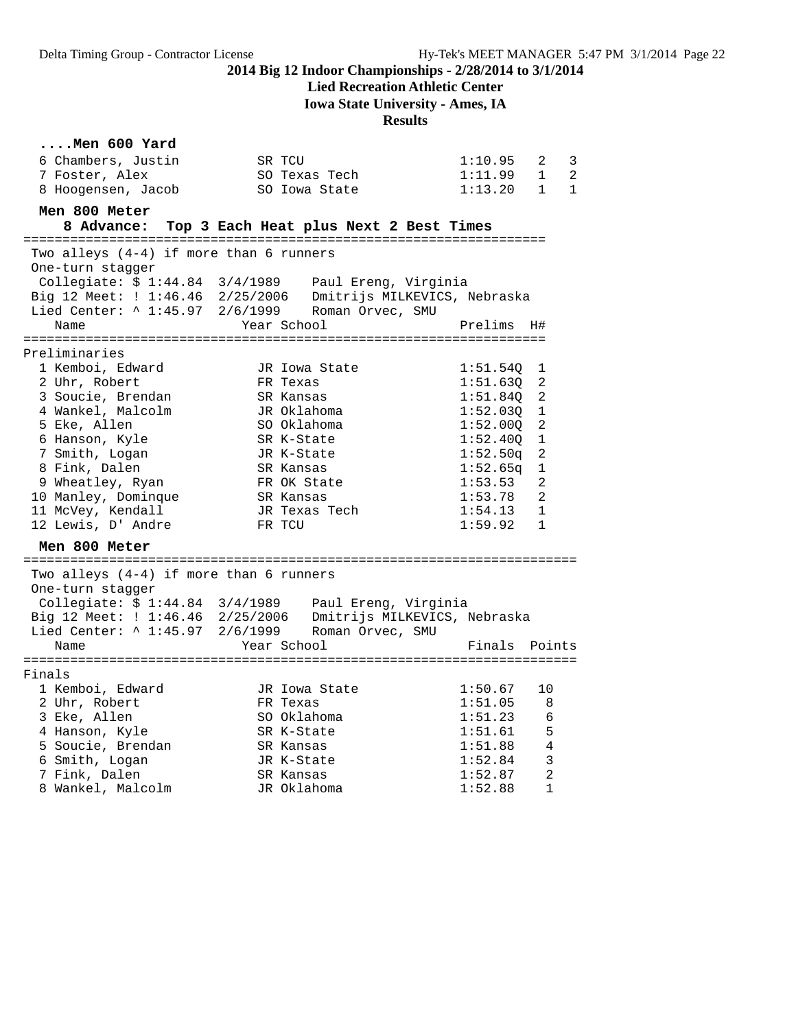**Lied Recreation Athletic Center**

**Iowa State University - Ames, IA**

#### **Results**

# **....Men 600 Yard**

| 6 Chambers, Justin                        | SR TCU                                                                                                            | 1:10.95<br>2<br>3                           |
|-------------------------------------------|-------------------------------------------------------------------------------------------------------------------|---------------------------------------------|
| 7 Foster, Alex                            | SO Texas Tech                                                                                                     | 1:11.99<br>2<br>$\mathbf{1}$                |
| 8 Hoogensen, Jacob                        | SO Iowa State                                                                                                     | 1:13.20<br>$\overline{1}$<br>$\overline{1}$ |
|                                           |                                                                                                                   |                                             |
| Men 800 Meter                             |                                                                                                                   |                                             |
|                                           | 8 Advance: Top 3 Each Heat plus Next 2 Best Times                                                                 |                                             |
| Two alleys (4-4) if more than 6 runners   |                                                                                                                   |                                             |
| One-turn stagger                          |                                                                                                                   |                                             |
|                                           | Collegiate: $$1:44.84$ $3/4/1989$ Paul Ereng, Virginia                                                            |                                             |
|                                           |                                                                                                                   |                                             |
|                                           | Big 12 Meet: $1:46.46$ 2/25/2006 Dmitrijs MILKEVICS, Nebraska<br>Lied Center: ^ 1:45.97 2/6/1999 Roman Orvec, SMU |                                             |
| Name                                      | Year School                                                                                                       | Prelims<br>H#                               |
|                                           |                                                                                                                   |                                             |
| Preliminaries                             |                                                                                                                   |                                             |
| 1 Kemboi, Edward                          | JR Iowa State                                                                                                     | 1:51.540<br>1                               |
| 2 Uhr, Robert                             | FR Texas                                                                                                          | 1:51.630<br>2                               |
| 3 Soucie, Brendan                         | SR Kansas                                                                                                         | 1:51.84Q<br>2                               |
| 4 Wankel, Malcolm                         | JR Oklahoma                                                                                                       | 1:52.03Q<br>1                               |
| 5 Eke, Allen                              | SO Oklahoma                                                                                                       | 2<br>1:52.000                               |
| 6 Hanson, Kyle                            | SR K-State                                                                                                        | 1:52.40Q<br>1                               |
| 7 Smith, Logan                            | JR K-State                                                                                                        | 2<br>1:52.50q                               |
| 8 Fink, Dalen                             | SR Kansas                                                                                                         | 1:52.65q<br>1                               |
| 9 Wheatley, Ryan                          | FR OK State                                                                                                       | 1:53.53<br>2                                |
| 10 Manley, Dominque                       | SR Kansas                                                                                                         | 1:53.78<br>2                                |
| 11 McVey, Kendall                         | JR Texas Tech                                                                                                     | $\mathbf{1}$<br>1:54.13                     |
| 12 Lewis, D' Andre                        | FR TCU                                                                                                            | 1:59.92<br>1                                |
| Men 800 Meter                             |                                                                                                                   |                                             |
|                                           |                                                                                                                   |                                             |
| Two alleys $(4-4)$ if more than 6 runners |                                                                                                                   |                                             |
| One-turn stagger                          |                                                                                                                   |                                             |
|                                           | Collegiate: \$ 1:44.84 3/4/1989 Paul Ereng, Virginia                                                              |                                             |
|                                           | Big 12 Meet: ! 1:46.46 2/25/2006 Dmitrijs MILKEVICS, Nebraska                                                     |                                             |
|                                           | Lied Center: ^ 1:45.97 2/6/1999 Roman Orvec, SMU                                                                  |                                             |
| Name                                      | Year School                                                                                                       | Finals<br>Points                            |
|                                           |                                                                                                                   |                                             |
| Finals                                    |                                                                                                                   |                                             |
| 1 Kemboi, Edward                          | JR Iowa State                                                                                                     | 1:50.67<br>10                               |
| 2 Uhr, Robert                             | FR Texas                                                                                                          | 1:51.05<br>8                                |
| 3 Eke, Allen                              | SO Oklahoma                                                                                                       | 1:51.23<br>6                                |
| 4 Hanson, Kyle                            | SR K-State                                                                                                        | 5<br>1:51.61                                |
| 5 Soucie, Brendan                         | SR Kansas                                                                                                         | 1:51.88<br>4                                |
| 6 Smith, Logan                            | JR K-State                                                                                                        | 3<br>1:52.84                                |
| 7 Fink, Dalen                             | SR Kansas                                                                                                         | 2<br>1:52.87                                |
| 8 Wankel, Malcolm                         | JR Oklahoma                                                                                                       | $\mathbf{1}$<br>1:52.88                     |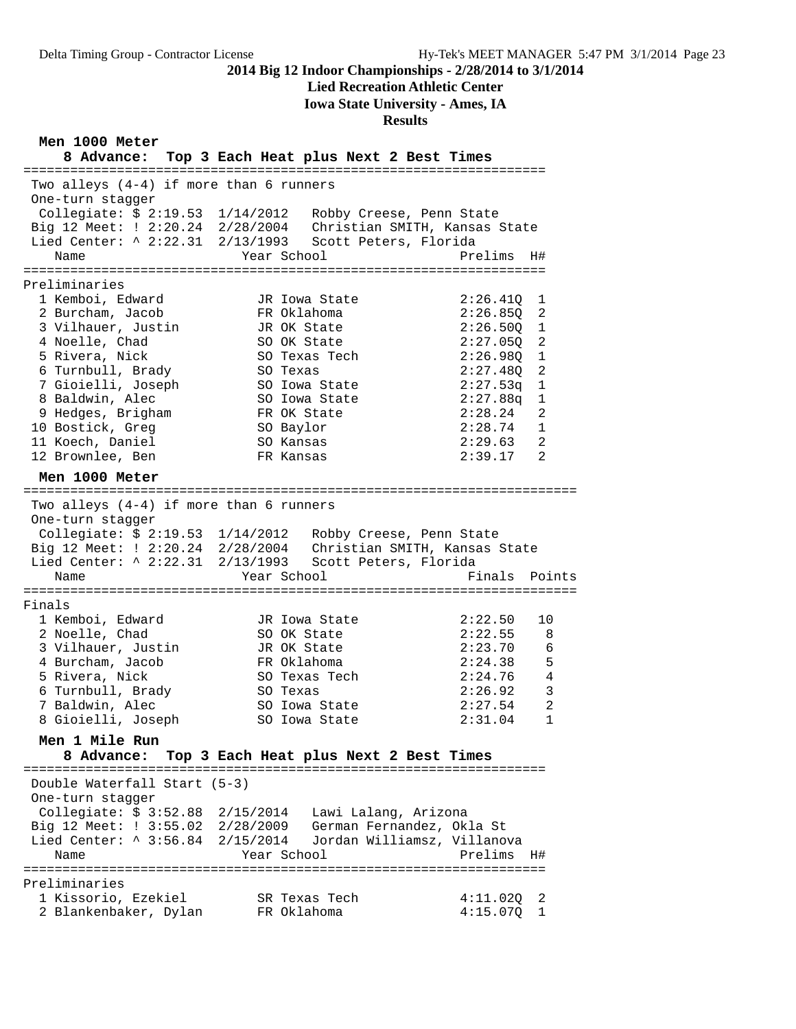**Lied Recreation Athletic Center**

**Iowa State University - Ames, IA**

#### **Results**

**Men 1000 Meter**

**8 Advance: Top 3 Each Heat plus Next 2 Best Times** =================================================================== Two alleys (4-4) if more than 6 runners One-turn stagger Collegiate: \$ 2:19.53 1/14/2012 Robby Creese, Penn State Big 12 Meet: ! 2:20.24 2/28/2004 Christian SMITH, Kansas State Lied Center: ^ 2:22.31 2/13/1993 Scott Peters, Florida Name  $Year School$  Prelims H# =================================================================== Preliminaries 1 Kemboi, Edward JR Iowa State 2:26.41Q 1 2 Burcham, Jacob FR Oklahoma 2:26.85Q 2 3 Vilhauer, Justin JR OK State 2:26.50Q 1 4 Noelle, Chad SO OK State 2:27.05Q 2 5 Rivera, Nick SO Texas Tech 2:26.98Q 1 6 Turnbull, Brady SO Texas 2:27.48Q 2 7 Gioielli, Joseph SO Iowa State 2:27.53q 1 8 Baldwin, Alec SO Iowa State 2:27.88q 1 9 Hedges, Brigham FR OK State 2:28.24 2 10 Bostick, Greg SO Baylor 2:28.74 1 11 Koech, Daniel SO Kansas 2:29.63 2 12 Brownlee, Ben FR Kansas 2:39.17 2 **Men 1000 Meter** ======================================================================= Two alleys (4-4) if more than 6 runners One-turn stagger Collegiate: \$ 2:19.53 1/14/2012 Robby Creese, Penn State Big 12 Meet: ! 2:20.24 2/28/2004 Christian SMITH, Kansas State Lied Center: ^ 2:22.31 2/13/1993 Scott Peters, Florida Name The Year School Team Points Points ======================================================================= Finals 1 Kemboi, Edward JR Iowa State 2:22.50 10 2 Noelle, Chad SO OK State 2:22.55 8 3 Vilhauer, Justin JR OK State 2:23.70 6 4 Burcham, Jacob FR Oklahoma 2:24.38 5 5 Rivera, Nick SO Texas Tech 2:24.76 4 6 Turnbull, Brady SO Texas 2:26.92 3 7 Baldwin, Alec SO Iowa State 2:27.54 2 8 Gioielli, Joseph SO Iowa State 2:31.04 1 **Men 1 Mile Run 8 Advance: Top 3 Each Heat plus Next 2 Best Times** =================================================================== Double Waterfall Start (5-3) One-turn stagger Collegiate: \$ 3:52.88 2/15/2014 Lawi Lalang, Arizona Big 12 Meet: ! 3:55.02 2/28/2009 German Fernandez, Okla St Lied Center: ^ 3:56.84 2/15/2014 Jordan Williamsz, Villanova Name  $Year School$  Prelims H# =================================================================== Preliminaries 1 Kissorio, Ezekiel SR Texas Tech 4:11.02Q 2 2 Blankenbaker, Dylan FR Oklahoma 4:15.07Q 1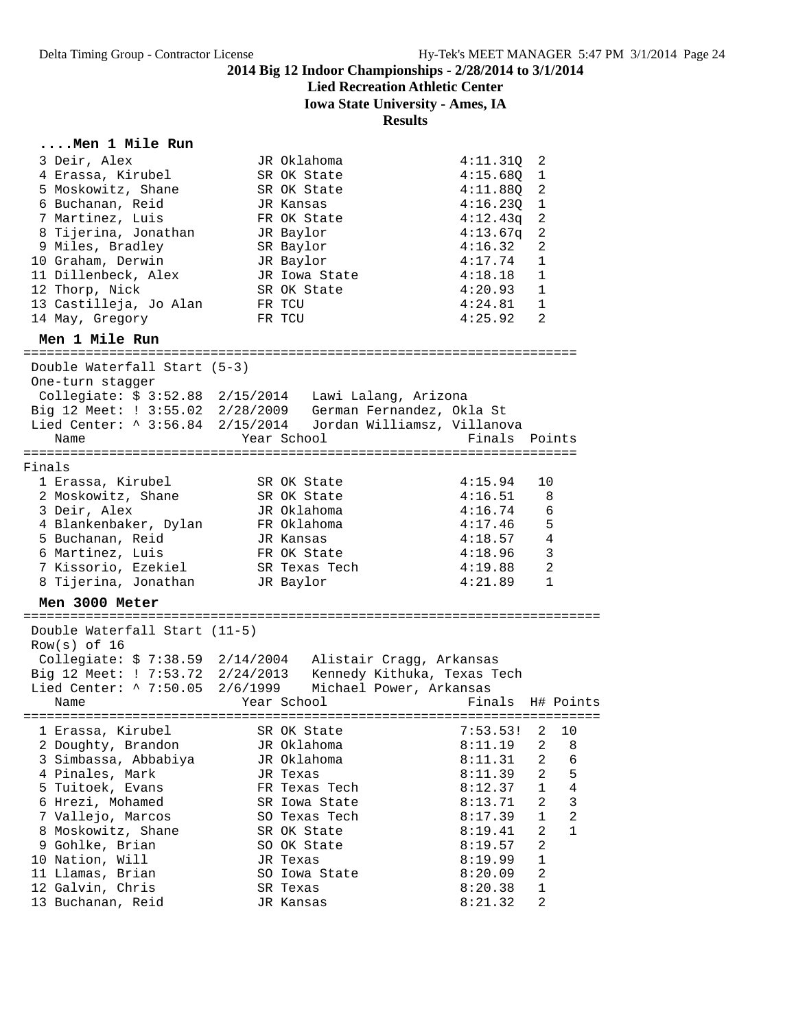# **Lied Recreation Athletic Center**

**Iowa State University - Ames, IA**

|  | Men 1 Mile Run |  |
|--|----------------|--|
|  |                |  |

| 3 Deir, Alex<br>4 Erassa, Kirubel<br>5 Moskowitz, Shane<br>6 Buchanan, Reid<br>7 Martinez, Luis<br>8 Tijerina, Jonathan<br>9 Miles, Bradley<br>10 Graham, Derwin<br>11 Dillenbeck, Alex                                                                                  | JR Oklahoma<br>SR OK State<br>SR OK State<br>JR Kansas<br>FR OK State<br>JR Baylor<br>SR Baylor<br>JR Baylor<br>JR Iowa State                                                                      | 4:11.31Q<br>4:15.68Q<br>4:11.880<br>4:16.230<br>4:12.43q<br>4:13.67q<br>4:16.32<br>4:17.74<br>4:18.18                                            | 2<br>1<br>2<br>1<br>$\overline{2}$<br>$\overline{2}$<br>2<br>1<br>1                                                                                |
|--------------------------------------------------------------------------------------------------------------------------------------------------------------------------------------------------------------------------------------------------------------------------|----------------------------------------------------------------------------------------------------------------------------------------------------------------------------------------------------|--------------------------------------------------------------------------------------------------------------------------------------------------|----------------------------------------------------------------------------------------------------------------------------------------------------|
| 12 Thorp, Nick                                                                                                                                                                                                                                                           | SR OK State                                                                                                                                                                                        | 4:20.93                                                                                                                                          | 1                                                                                                                                                  |
| 13 Castilleja, Jo Alan                                                                                                                                                                                                                                                   | FR TCU                                                                                                                                                                                             | 4:24.81                                                                                                                                          | 1<br>2                                                                                                                                             |
| 14 May, Gregory                                                                                                                                                                                                                                                          | FR TCU                                                                                                                                                                                             | 4:25.92                                                                                                                                          |                                                                                                                                                    |
| Men 1 Mile Run                                                                                                                                                                                                                                                           |                                                                                                                                                                                                    |                                                                                                                                                  |                                                                                                                                                    |
| Double Waterfall Start (5-3)<br>One-turn stagger<br>Name                                                                                                                                                                                                                 | Collegiate: \$ 3:52.88 2/15/2014 Lawi Lalang, Arizona<br>Big 12 Meet: ! 3:55.02 2/28/2009 German Fernandez, Okla St<br>Lied Center: ^ 3:56.84 2/15/2014 Jordan Williamsz, Villanova<br>Year School | Finals<br>==================================                                                                                                     | Points                                                                                                                                             |
| Finals                                                                                                                                                                                                                                                                   |                                                                                                                                                                                                    |                                                                                                                                                  |                                                                                                                                                    |
| 1 Erassa, Kirubel<br>2 Moskowitz, Shane                                                                                                                                                                                                                                  | SR OK State<br>SR OK State                                                                                                                                                                         | 4:15.94<br>4:16.51                                                                                                                               | 10<br>8                                                                                                                                            |
| 3 Deir, Alex                                                                                                                                                                                                                                                             | JR Oklahoma                                                                                                                                                                                        | 4:16.74                                                                                                                                          | 6                                                                                                                                                  |
| 4 Blankenbaker, Dylan                                                                                                                                                                                                                                                    | FR Oklahoma                                                                                                                                                                                        | 4:17.46                                                                                                                                          | 5                                                                                                                                                  |
| 5 Buchanan, Reid                                                                                                                                                                                                                                                         | JR Kansas                                                                                                                                                                                          | 4:18.57                                                                                                                                          | $\overline{4}$                                                                                                                                     |
| 6 Martinez, Luis                                                                                                                                                                                                                                                         | FR OK State                                                                                                                                                                                        | 4:18.96                                                                                                                                          | 3                                                                                                                                                  |
| 7 Kissorio, Ezekiel<br>8 Tijerina, Jonathan                                                                                                                                                                                                                              | SR Texas Tech<br>JR Baylor                                                                                                                                                                         | 4:19.88<br>4:21.89                                                                                                                               | 2<br>1                                                                                                                                             |
|                                                                                                                                                                                                                                                                          |                                                                                                                                                                                                    |                                                                                                                                                  |                                                                                                                                                    |
| Men 3000 Meter                                                                                                                                                                                                                                                           |                                                                                                                                                                                                    |                                                                                                                                                  |                                                                                                                                                    |
| Double Waterfall Start (11-5)<br>$Row(s)$ of 16                                                                                                                                                                                                                          | Collegiate: \$ 7:38.59 2/14/2004 Alistair Cragg, Arkansas<br>Big 12 Meet: ! 7:53.72 2/24/2013 Kennedy Kithuka, Texas Tech<br>Lied Center: ^ 7:50.05 2/6/1999 Michael Power, Arkansas               |                                                                                                                                                  |                                                                                                                                                    |
| Name                                                                                                                                                                                                                                                                     | Year School                                                                                                                                                                                        |                                                                                                                                                  | Finals H# Points                                                                                                                                   |
| 1 Erassa, Kirubel<br>2 Doughty, Brandon<br>3 Simbassa, Abbabiya<br>4 Pinales, Mark<br>5 Tuitoek, Evans<br>6 Hrezi, Mohamed<br>7 Vallejo, Marcos<br>8 Moskowitz, Shane<br>9 Gohlke, Brian<br>10 Nation, Will<br>11 Llamas, Brian<br>12 Galvin, Chris<br>13 Buchanan, Reid | SR OK State<br>JR Oklahoma<br>JR Oklahoma<br>JR Texas<br>FR Texas Tech<br>SR Iowa State<br>SO Texas Tech<br>SR OK State<br>SO OK State<br>JR Texas<br>SO Iowa State<br>SR Texas<br>JR Kansas       | $7:53.53!$ 2<br>8:11.19<br>8:11.31<br>8:11.39<br>8:12.37<br>8:13.71<br>8:17.39<br>8:19.41<br>8:19.57<br>8:19.99<br>8:20.09<br>8:20.38<br>8:21.32 | 10<br>2<br>8<br>2<br>6<br>5<br>2<br>$\overline{4}$<br>1<br>3<br>2<br>$\overline{2}$<br>1<br>2<br>1<br>2<br>1<br>$\overline{a}$<br>$\mathbf 1$<br>2 |
|                                                                                                                                                                                                                                                                          |                                                                                                                                                                                                    |                                                                                                                                                  |                                                                                                                                                    |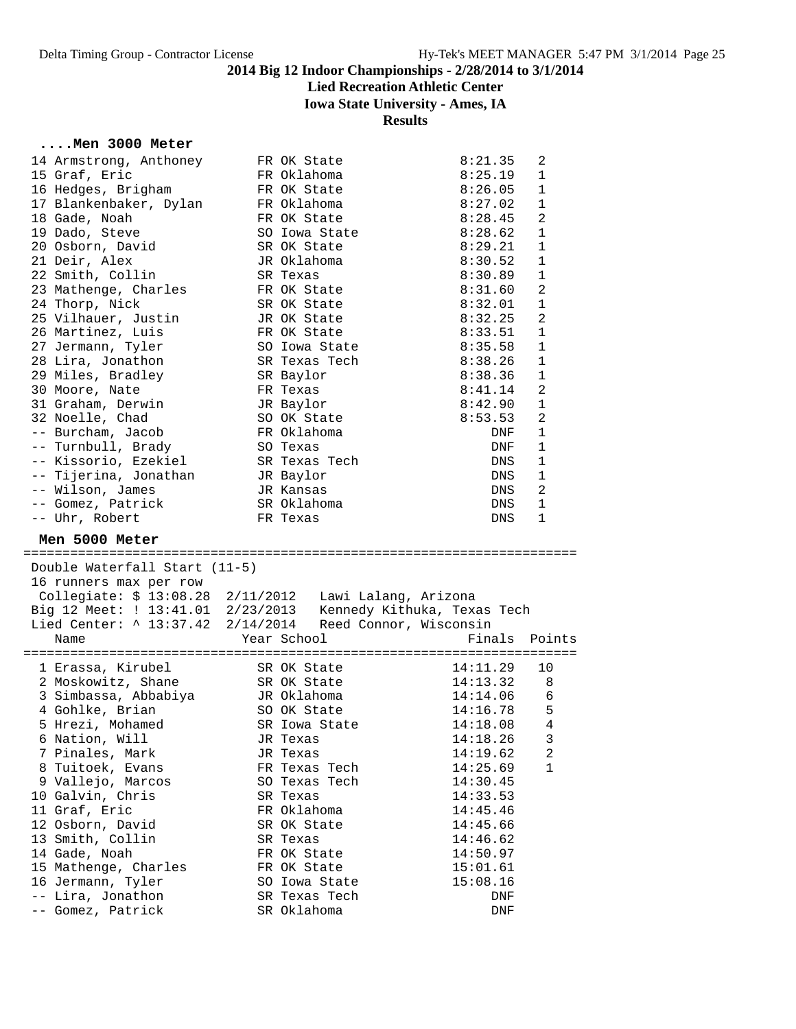# **Lied Recreation Athletic Center**

### **Iowa State University - Ames, IA**

#### **Results**

### **....Men 3000 Meter**

| 14 Armstrong, Anthoney                                                                                                  | FR OK State            | 8:21.35    | 2              |
|-------------------------------------------------------------------------------------------------------------------------|------------------------|------------|----------------|
| 15 Graf, Eric                                                                                                           | FR Oklahoma            | 8:25.19    | 1              |
| 16 Hedges, Brigham                                                                                                      | FR OK State            | 8:26.05    | $\mathbf 1$    |
| 17 Blankenbaker, Dylan                                                                                                  | FR Oklahoma            | 8:27.02    | $\mathbf 1$    |
| 18 Gade, Noah                                                                                                           | FR OK State            | 8:28.45    | $\overline{a}$ |
| 19 Dado, Steve                                                                                                          | SO Iowa State          | 8:28.62    | 1              |
| 20 Osborn, David                                                                                                        | SR OK State            | 8:29.21    | $\mathbf{1}$   |
| 21 Deir, Alex                                                                                                           | JR Oklahoma            | 8:30.52    | 1              |
| 22 Smith, Collin                                                                                                        | SR Texas               | 8:30.89    | $\mathbf 1$    |
| 23 Mathenge, Charles                                                                                                    | FR OK State            | 8:31.60    | $\overline{2}$ |
| 24 Thorp, Nick                                                                                                          | SR OK State            | 8:32.01    | $\mathbf{1}$   |
| 25 Vilhauer, Justin                                                                                                     | JR OK State            | 8:32.25    | $\overline{2}$ |
| 26 Martinez, Luis                                                                                                       | FR OK State            | 8:33.51    | $\mathbf{1}$   |
| 27 Jermann, Tyler                                                                                                       | SO Iowa State          | 8:35.58    | 1              |
| 28 Lira, Jonathon                                                                                                       | SR Texas Tech          | 8:38.26    | 1              |
| 29 Miles, Bradley                                                                                                       | SR Baylor              | 8:38.36    | 1              |
| 30 Moore, Nate                                                                                                          | FR Texas               | 8:41.14    | $\overline{2}$ |
| 31 Graham, Derwin                                                                                                       | JR Baylor              | 8:42.90    | $\mathbf{1}$   |
| 32 Noelle, Chad                                                                                                         | SO OK State            | 8:53.53    | $\overline{a}$ |
| -- Burcham, Jacob                                                                                                       | FR Oklahoma            | DNF        | $\mathbf{1}$   |
| -- Turnbull, Brady                                                                                                      | SO Texas               | DNF        | 1              |
| -- Kissorio, Ezekiel                                                                                                    | SR Texas Tech          | DNS        | 1              |
| -- Tijerina, Jonathan                                                                                                   | JR Baylor              | DNS        | 1              |
| -- Wilson, James                                                                                                        | JR Kansas              | DNS        | $\overline{a}$ |
| -- Gomez, Patrick                                                                                                       | SR Oklahoma            | DNS        | $\mathbf{1}$   |
| -- Uhr, Robert                                                                                                          | FR Texas               | <b>DNS</b> | $\mathbf{1}$   |
|                                                                                                                         |                        |            |                |
| Men 5000 Meter                                                                                                          |                        |            |                |
|                                                                                                                         |                        |            |                |
| Double Waterfall Start (11-5)                                                                                           |                        |            |                |
| 16 runners max per row                                                                                                  |                        |            |                |
| Collegiate: \$ 13:08.28 2/11/2012 Lawi Lalang, Arizona<br>Big 12 Meet: ! 13:41.01 2/23/2013 Kennedy Kithuka, Texas Tech |                        |            |                |
|                                                                                                                         |                        |            |                |
| Lied Center: ^ 13:37.42 2/14/2014                                                                                       | Reed Connor, Wisconsin |            |                |
| Name                                                                                                                    | Year School            | Finals     | Points         |
| 1 Erassa, Kirubel                                                                                                       | SR OK State            | 14:11.29   | 10             |
|                                                                                                                         | SR OK State            | 14:13.32   | 8              |
| 2 Moskowitz, Shane<br>3 Simbassa, Abbabiya                                                                              | JR Oklahoma            | 14:14.06   | 6              |
|                                                                                                                         |                        |            | 5              |
| 4 Gohlke, Brian                                                                                                         | SO OK State            | 14:16.78   |                |
| 5 Hrezi, Mohamed<br>.                                                                                                   | SR Iowa State          | 14:18.08   | 4              |

| 1 Erassa, Kirubel    | SR OK State   | 14:11.29 | 10             |
|----------------------|---------------|----------|----------------|
| 2 Moskowitz, Shane   | SR OK State   | 14:13.32 | - 8            |
| 3 Simbassa, Abbabiya | JR Oklahoma   | 14:14.06 | 6              |
| 4 Gohlke, Brian      | SO OK State   | 14:16.78 | 5              |
| 5 Hrezi, Mohamed     | SR Iowa State | 14:18.08 | $\overline{4}$ |
| 6 Nation, Will       | JR Texas      | 14:18.26 | 3              |
| 7 Pinales, Mark      | JR Texas      | 14:19.62 | $\overline{2}$ |
| 8 Tuitoek, Evans     | FR Texas Tech | 14:25.69 | 1              |
| 9 Vallejo, Marcos    | SO Texas Tech | 14:30.45 |                |
| 10 Galvin, Chris     | SR Texas      | 14:33.53 |                |
| 11 Graf, Eric        | FR Oklahoma   | 14:45.46 |                |
| 12 Osborn, David     | SR OK State   | 14:45.66 |                |
| 13 Smith, Collin     | SR Texas      | 14:46.62 |                |
| 14 Gade, Noah        | FR OK State   | 14:50.97 |                |
| 15 Mathenge, Charles | FR OK State   | 15:01.61 |                |
| 16 Jermann, Tyler    | SO Iowa State | 15:08.16 |                |
| -- Lira, Jonathon    | SR Texas Tech | DNF      |                |
| -- Gomez, Patrick    | SR Oklahoma   | DNF      |                |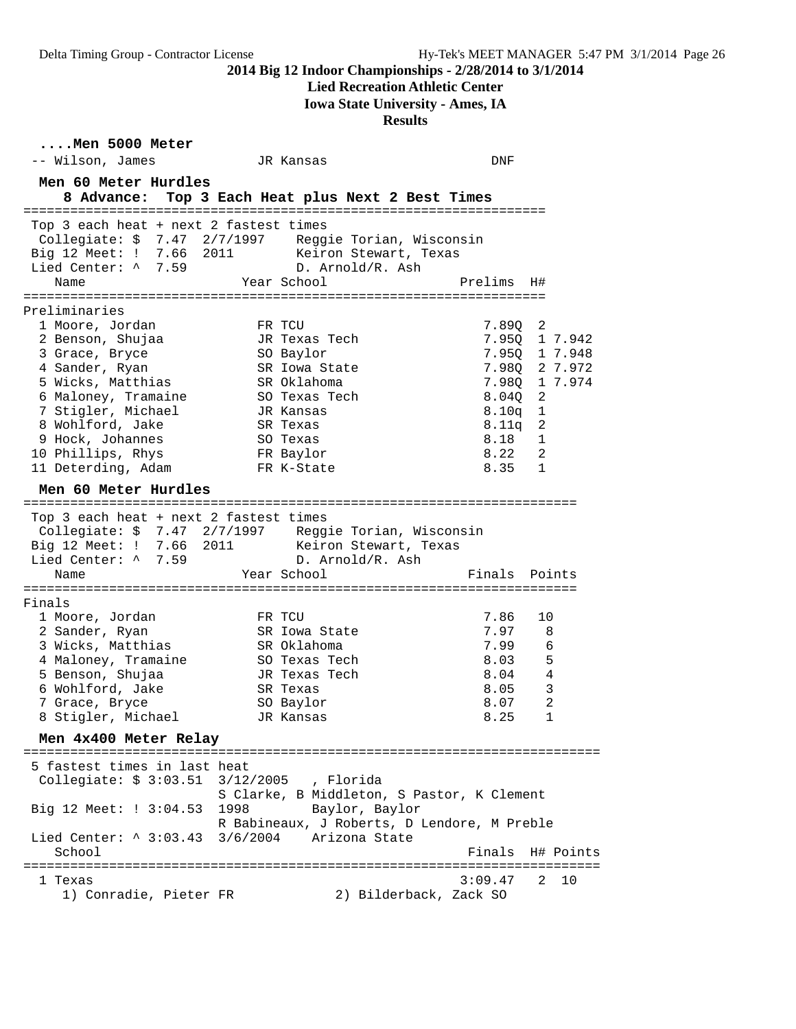#### **Lied Recreation Athletic Center**

**Iowa State University - Ames, IA**

**Results**

**....Men 5000 Meter** -- Wilson, James JR Kansas DNF **Men 60 Meter Hurdles 8 Advance: Top 3 Each Heat plus Next 2 Best Times** =================================================================== Top 3 each heat + next 2 fastest times Collegiate: \$ 7.47 2/7/1997 Reggie Torian, Wisconsin Big 12 Meet: ! 7.66 2011 Keiron Stewart, Texas Lied Center: ^ 7.59 D. Arnold/R. Ash Name Year School Prelims H# =================================================================== Preliminaries 1 Moore, Jordan FR TCU 7.89Q 2 2 Benson, Shujaa JR Texas Tech 7.95Q 1 7.942 3 Grace, Bryce SO Baylor 7.95Q 1 7.948 4 Sander, Ryan SR Iowa State 7.98Q 2 7.972 5 Wicks, Matthias SR Oklahoma 7.98Q 1 7.974 6 Maloney, Tramaine SO Texas Tech 8.04Q 2 7 Stigler, Michael JR Kansas 8.10q 1 8 Wohlford, Jake SR Texas 8.11q 2 9 Hock, Johannes SO Texas 8.18 1 10 Phillips, Rhys FR Baylor 8.22 2 11 Deterding, Adam FR K-State 8.35 1 **Men 60 Meter Hurdles** ======================================================================= Top 3 each heat + next 2 fastest times Collegiate: \$ 7.47 2/7/1997 Reggie Torian, Wisconsin Big 12 Meet: ! 7.66 2011 Keiron Stewart, Texas Lied Center: ^ 7.59 D. Arnold/R. Ash Name **Name** Year School **Finals Points** ======================================================================= Finals 1 Moore, Jordan FR TCU 7.86 10 2 Sander, Ryan SR Iowa State 7.97 8 3 Wicks, Matthias SR Oklahoma 7.99 6 4 Maloney, Tramaine SO Texas Tech 8.03 5 5 Benson, Shujaa JR Texas Tech 8.04 4 6 Wohlford, Jake SR Texas 8.05 3 7 Grace, Bryce SO Baylor 8.07 2 8 Stigler, Michael JR Kansas 8.25 1 **Men 4x400 Meter Relay** ========================================================================== 5 fastest times in last heat Collegiate: \$ 3:03.51 3/12/2005 , Florida S Clarke, B Middleton, S Pastor, K Clement Big 12 Meet: ! 3:04.53 1998 Baylor, Baylor R Babineaux, J Roberts, D Lendore, M Preble Lied Center: ^ 3:03.43 3/6/2004 Arizona State School **Finals** H# Points ========================================================================== 1 Texas 3:09.47 2 10 1) Conradie, Pieter FR 2) Bilderback, Zack SO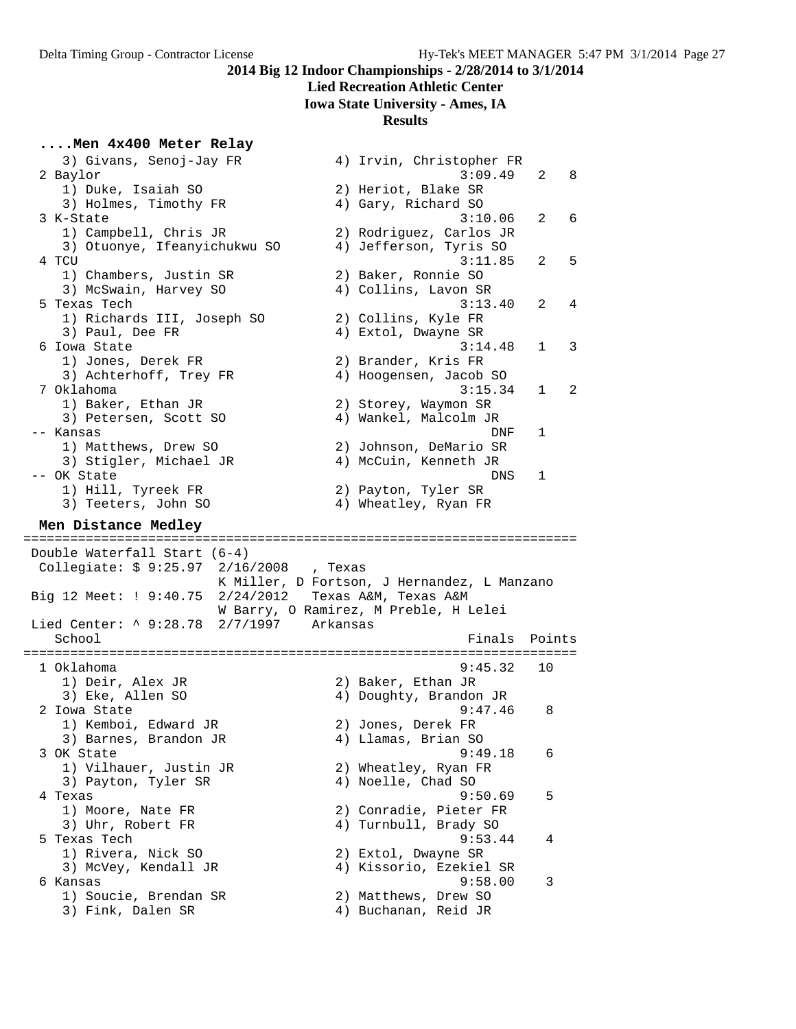# **Lied Recreation Athletic Center**

**Iowa State University - Ames, IA**

#### **Results**

### **....Men 4x400 Meter Relay**

| 3) Givans, Senoj-Jay FR                             | 4) Irvin, Christopher FR                     |   |
|-----------------------------------------------------|----------------------------------------------|---|
| 2 Baylor                                            | 3:09.49<br>2                                 | 8 |
| 1) Duke, Isaiah SO                                  | 2) Heriot, Blake SR                          |   |
| 3) Holmes, Timothy FR                               | 4) Gary, Richard SO                          |   |
| 3 K-State                                           | 3:10.06<br>2                                 | 6 |
| 1) Campbell, Chris JR                               | 2) Rodriguez, Carlos JR                      |   |
| 3) Otuonye, Ifeanyichukwu SO                        | 4) Jefferson, Tyris SO                       |   |
| 4 TCU                                               | 3:11.85<br>2                                 | 5 |
| 1) Chambers, Justin SR                              | 2) Baker, Ronnie SO                          |   |
| 3) McSwain, Harvey SO                               | 4) Collins, Lavon SR                         |   |
| 5 Texas Tech                                        | 3:13.40<br>$\overline{2}$                    | 4 |
| 1) Richards III, Joseph SO                          | 2) Collins, Kyle FR                          |   |
| 3) Paul, Dee FR                                     | 4) Extol, Dwayne SR                          |   |
| 6 Iowa State                                        | 3:14.48<br>$\mathbf{1}$                      | 3 |
| 1) Jones, Derek FR                                  | 2) Brander, Kris FR                          |   |
| 3) Achterhoff, Trey FR                              | 4) Hoogensen, Jacob SO                       |   |
| 7 Oklahoma                                          | 3:15.34<br>1                                 | 2 |
| 1) Baker, Ethan JR                                  | 2) Storey, Waymon SR                         |   |
| 3) Petersen, Scott SO                               | 4) Wankel, Malcolm JR                        |   |
| -- Kansas                                           | DNF<br>1                                     |   |
| 1) Matthews, Drew SO                                | 2) Johnson, DeMario SR                       |   |
| 3) Stigler, Michael JR                              | 4) McCuin, Kenneth JR                        |   |
| -- OK State                                         | DNS<br>1                                     |   |
| 1) Hill, Tyreek FR                                  | 2) Payton, Tyler SR                          |   |
| 3) Teeters, John SO                                 | 4) Wheatley, Ryan FR                         |   |
|                                                     |                                              |   |
| Men Distance Medley                                 |                                              |   |
|                                                     |                                              |   |
|                                                     |                                              |   |
| Double Waterfall Start (6-4)                        |                                              |   |
| Collegiate: \$ 9:25.97 2/16/2008                    | , Texas                                      |   |
|                                                     | K Miller, D Fortson, J Hernandez, L Manzano  |   |
| Big 12 Meet: ! 9:40.75                              | 2/24/2012 Texas A&M, Texas A&M               |   |
|                                                     | W Barry, O Ramirez, M Preble, H Lelei        |   |
| Lied Center: $\land$ 9:28.78<br>$2/7/1997$ Arkansas |                                              |   |
| School                                              | Finals<br>Points                             |   |
|                                                     | =======================                      |   |
| 1 Oklahoma                                          | 9:45.32<br>10                                |   |
| 1) Deir, Alex JR                                    | 2) Baker, Ethan JR                           |   |
| 3) Eke, Allen SO                                    | 4) Doughty, Brandon JR                       |   |
| 2 Iowa State                                        | 9:47.46<br>8                                 |   |
| 1) Kemboi, Edward JR                                | 2) Jones, Derek FR                           |   |
| 3) Barnes, Brandon JR                               | 4) Llamas, Brian SO                          |   |
| 3 OK State                                          | 9:49.18<br>6                                 |   |
| 1) Vilhauer, Justin JR                              | 2) Wheatley, Ryan FR                         |   |
| 3) Payton, Tyler SR                                 | 4) Noelle, Chad SO                           |   |
| 4 Texas                                             | 9:50.69<br>5                                 |   |
| 1) Moore, Nate FR                                   | 2) Conradie, Pieter FR                       |   |
| 3) Uhr, Robert FR                                   | 4) Turnbull, Brady SO                        |   |
| 5 Texas Tech                                        | 9:53.44<br>4                                 |   |
| 1) Rivera, Nick SO                                  | 2) Extol, Dwayne SR                          |   |
| 3) McVey, Kendall JR                                | 4) Kissorio, Ezekiel SR                      |   |
| 6 Kansas                                            | 9:58.00<br>3                                 |   |
| 1) Soucie, Brendan SR<br>3) Fink, Dalen SR          | 2) Matthews, Drew SO<br>4) Buchanan, Reid JR |   |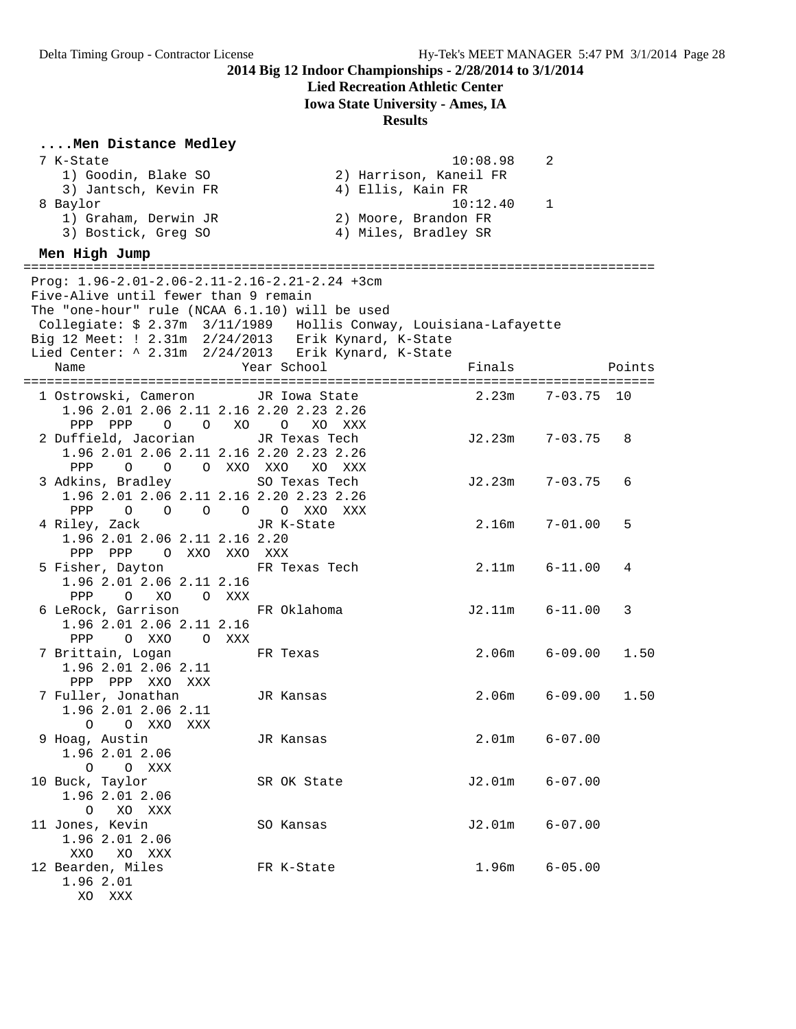# **Lied Recreation Athletic Center**

**Iowa State University - Ames, IA**

| Men Distance Medley                                               |                        |                    |             |        |
|-------------------------------------------------------------------|------------------------|--------------------|-------------|--------|
| 7 K-State                                                         |                        | 10:08.98           | 2           |        |
| 1) Goodin, Blake SO                                               | 2) Harrison, Kaneil FR |                    |             |        |
| 3) Jantsch, Kevin FR                                              | 4) Ellis, Kain FR      |                    |             |        |
| 8 Baylor                                                          |                        | 10:12.40           | $\mathbf 1$ |        |
| 1) Graham, Derwin JR                                              | 2) Moore, Brandon FR   |                    |             |        |
| 3) Bostick, Greg SO                                               | 4) Miles, Bradley SR   |                    |             |        |
| Men High Jump                                                     |                        |                    |             |        |
|                                                                   |                        |                    |             |        |
| Proq: $1.96 - 2.01 - 2.06 - 2.11 - 2.16 - 2.21 - 2.24 + 3cm$      |                        |                    |             |        |
| Five-Alive until fewer than 9 remain                              |                        |                    |             |        |
| The "one-hour" rule (NCAA 6.1.10) will be used                    |                        |                    |             |        |
| Collegiate: \$ 2.37m 3/11/1989 Hollis Conway, Louisiana-Lafayette |                        |                    |             |        |
| Big 12 Meet: $! 2.31m 2/24/2013$ Erik Kynard, K-State             |                        |                    |             |        |
| Lied Center: ^ 2.31m 2/24/2013 Erik Kynard, K-State               |                        |                    |             |        |
| Name                                                              | Year School            | Finals             |             | Points |
| 1 Ostrowski, Cameron JR Iowa State                                |                        | 2.23m              | $7 - 03.75$ | 10     |
| 1.96 2.01 2.06 2.11 2.16 2.20 2.23 2.26                           |                        |                    |             |        |
| PPP PPP<br>$\overline{O}$ $\overline{O}$                          | XO O<br>XO<br>XXX      |                    |             |        |
| 2 Duffield, Jacorian                                              | JR Texas Tech          | $J2.23m$ $7-03.75$ |             | 8      |
| 1.96 2.01 2.06 2.11 2.16 2.20 2.23 2.26                           |                        |                    |             |        |
| PPP<br>0 0 0 XXO XXO                                              | XO XXX                 |                    |             |        |
| 3 Adkins, Bradley                                                 | SO Texas Tech          | J2.23m             | $7 - 03.75$ | 6      |
| 1.96 2.01 2.06 2.11 2.16 2.20 2.23 2.26                           |                        |                    |             |        |
| PPP<br>$O$ 0                                                      | O O O XXO<br>XXX       |                    |             |        |
| 4 Riley, Zack                                                     | JR K-State             | 2.16m              | $7 - 01.00$ | 5      |
| 1.96 2.01 2.06 2.11 2.16 2.20                                     |                        |                    |             |        |
| O XXO XXO XXX<br>PPP PPP                                          |                        |                    |             |        |
| 5 Fisher, Dayton                                                  | FR Texas Tech          | 2.11m              | $6 - 11.00$ | 4      |
| 1.96 2.01 2.06 2.11 2.16                                          |                        |                    |             |        |
| PPP<br>O XO O XXX<br>6 LeRock, Garrison                           | FR Oklahoma            | $J2.11m$ $6-11.00$ |             | 3      |
| 1.96 2.01 2.06 2.11 2.16                                          |                        |                    |             |        |
| PPP<br>O XXO O XXX                                                |                        |                    |             |        |
| 7 Brittain, Logan                                                 | FR Texas               | 2.06 <sub>m</sub>  | $6 - 09.00$ | 1.50   |
| 1.96 2.01 2.06 2.11                                               |                        |                    |             |        |
| PPP PPP XXO XXX                                                   |                        |                    |             |        |
| 7 Fuller, Jonathan                                                | JR Kansas              | 2.06m              | 6-09.00     | 1.50   |
| 1.96 2.01 2.06 2.11                                               |                        |                    |             |        |
| $\circ$<br>O XXO<br>XXX                                           |                        |                    |             |        |
| 9 Hoag, Austin                                                    | JR Kansas              | 2.01 <sub>m</sub>  | $6 - 07.00$ |        |
| 1.96 2.01 2.06                                                    |                        |                    |             |        |
| O XXX<br>O                                                        |                        |                    |             |        |
| 10 Buck, Taylor                                                   | SR OK State            | J2.01m             | $6 - 07.00$ |        |
| 1.96 2.01 2.06                                                    |                        |                    |             |        |
| XO XXX<br>$\circ$                                                 |                        |                    |             |        |
| 11 Jones, Kevin                                                   | SO Kansas              | J2.01m             | $6 - 07.00$ |        |
| 1.96 2.01 2.06                                                    |                        |                    |             |        |
| XO XXX<br>XXO                                                     |                        |                    |             |        |
| 12 Bearden, Miles                                                 | FR K-State             | 1.96m              | $6 - 05.00$ |        |
| 1.96 2.01<br>XO XXX                                               |                        |                    |             |        |
|                                                                   |                        |                    |             |        |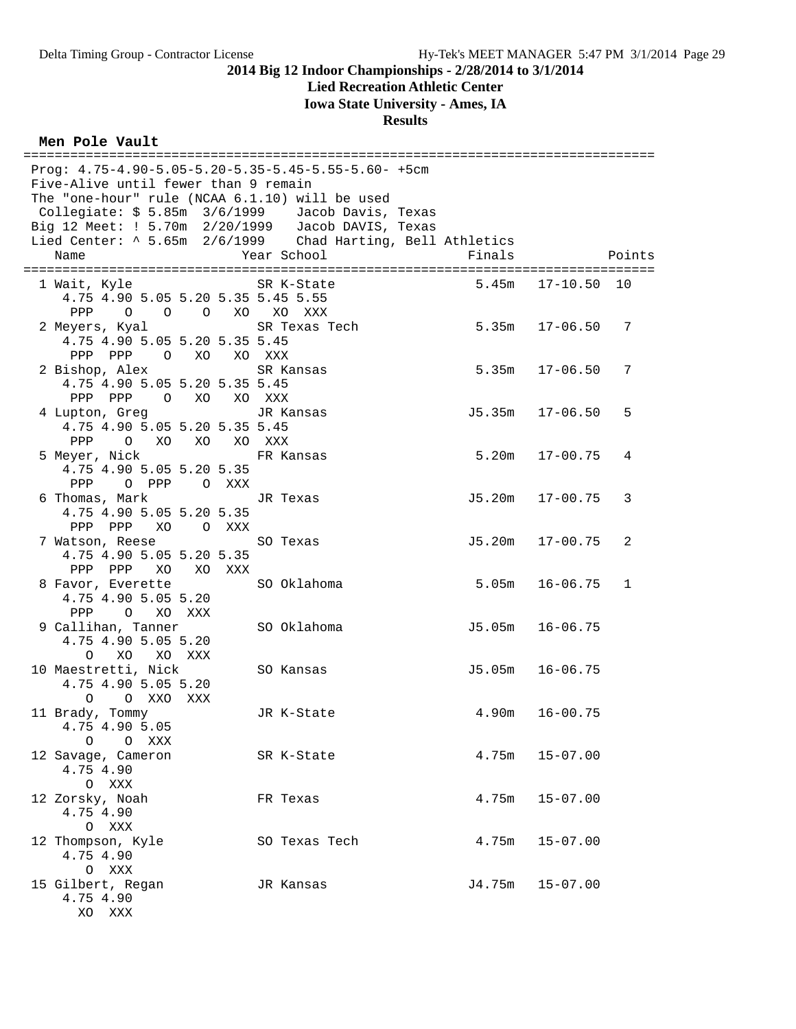### **Lied Recreation Athletic Center**

**Iowa State University - Ames, IA**

**Results**

### **Men Pole Vault**

| Prog: $4.75-4.90-5.05-5.20-5.35-5.45-5.55-5.60-+5cm$                                                        |               |                    |                                    |
|-------------------------------------------------------------------------------------------------------------|---------------|--------------------|------------------------------------|
| Five-Alive until fewer than 9 remain                                                                        |               |                    |                                    |
| The "one-hour" rule (NCAA 6.1.10) will be used                                                              |               |                    |                                    |
| Collegiate: $$5.85m$ $3/6/1999$ Jacob Davis, Texas<br>Big 12 Meet: ! $5.70m$ $2/20/1999$ Jacob DAVIS, Texas |               |                    |                                    |
| Lied Center: 15.65m 2/6/1999 Chad Harting, Bell Athletics                                                   |               |                    |                                    |
| Name                                                                                                        | Year School   | Finals             | Points                             |
|                                                                                                             |               |                    |                                    |
| 1 Wait, Kyle                                                                                                | SR K-State    |                    | $5.45m$ $17-10.50$<br>10           |
| 4.75 4.90 5.05 5.20 5.35 5.45 5.55<br>PPP 0 0 0 XO XO XXX                                                   |               |                    |                                    |
| 2 Meyers, Kyal                                                                                              | SR Texas Tech | $5.35m$ $17-06.50$ | 7                                  |
| 4.75 4.90 5.05 5.20 5.35 5.45                                                                               |               |                    |                                    |
| PPP PPP 0 XO XO XXX                                                                                         |               |                    |                                    |
| 2 Bishop, Alex<br>4.75 4.90 5.05 5.20 5.35 5.45                                                             | SR Kansas     |                    | $5.35m$ $17-06.50$<br>7            |
| PPP PPP 0 XO XO XXX                                                                                         |               |                    |                                    |
| 4 Lupton, Greg                                                                                              | JR Kansas     |                    | $J5.35m$ $17-06.50$<br>5           |
| 4.75 4.90 5.05 5.20 5.35 5.45                                                                               |               |                    |                                    |
| PPP<br>O XO XO XO XXX                                                                                       |               |                    | $5.20m$ $17-00.75$                 |
| 5 Meyer, Nick<br>4.75 4.90 5.05 5.20 5.35                                                                   | FR Kansas     |                    | 4                                  |
| PPP O PPP O XXX                                                                                             |               |                    |                                    |
| 6 Thomas, Mark                                                                                              | JR Texas      |                    | J5.20m 17-00.75<br>3               |
| 4.75 4.90 5.05 5.20 5.35                                                                                    |               |                    |                                    |
| PPP PPP XO OXXX<br>7 Watson, Reese                                                                          | SO Texas      |                    | $J5.20m$ $17-00.75$<br>2           |
| 4.75 4.90 5.05 5.20 5.35                                                                                    |               |                    |                                    |
| PPP PPP XO XO XXX                                                                                           |               |                    |                                    |
| 8 Favor, Everette                                                                                           | SO Oklahoma   |                    | $5.05m$ $16-06.75$<br>$\mathbf{1}$ |
| 4.75 4.90 5.05 5.20                                                                                         |               |                    |                                    |
| PPP<br>O XO XXX<br>9 Callihan, Tanner                                                                       | SO Oklahoma   |                    | J5.05m 16-06.75                    |
| 4.75 4.90 5.05 5.20                                                                                         |               |                    |                                    |
| O XO XO XXX                                                                                                 |               |                    |                                    |
| 10 Maestretti, Nick                                                                                         | SO Kansas     |                    | J5.05m 16-06.75                    |
| 4.75 4.90 5.05 5.20<br>$\Omega$<br>O XXO XXX                                                                |               |                    |                                    |
| 11 Brady, Tommy                                                                                             | JR K-State    | 4.90m              | $16 - 00.75$                       |
| 4.75 4.90 5.05                                                                                              |               |                    |                                    |
| $\circ$<br>O XXX                                                                                            |               |                    |                                    |
| 12 Savage, Cameron                                                                                          | SR K-State    | 4.75m              | $15 - 07.00$                       |
| 4.75 4.90<br>O XXX                                                                                          |               |                    |                                    |
| 12 Zorsky, Noah                                                                                             | FR Texas      | 4.75m              | $15 - 07.00$                       |
| 4.75 4.90                                                                                                   |               |                    |                                    |
| O XXX                                                                                                       |               |                    |                                    |
| 12 Thompson, Kyle<br>4.75 4.90                                                                              | SO Texas Tech | 4.75m              | $15 - 07.00$                       |
| O XXX                                                                                                       |               |                    |                                    |
| 15 Gilbert, Regan                                                                                           | JR Kansas     | J4.75m             | $15 - 07.00$                       |
| 4.75 4.90                                                                                                   |               |                    |                                    |

XO XXX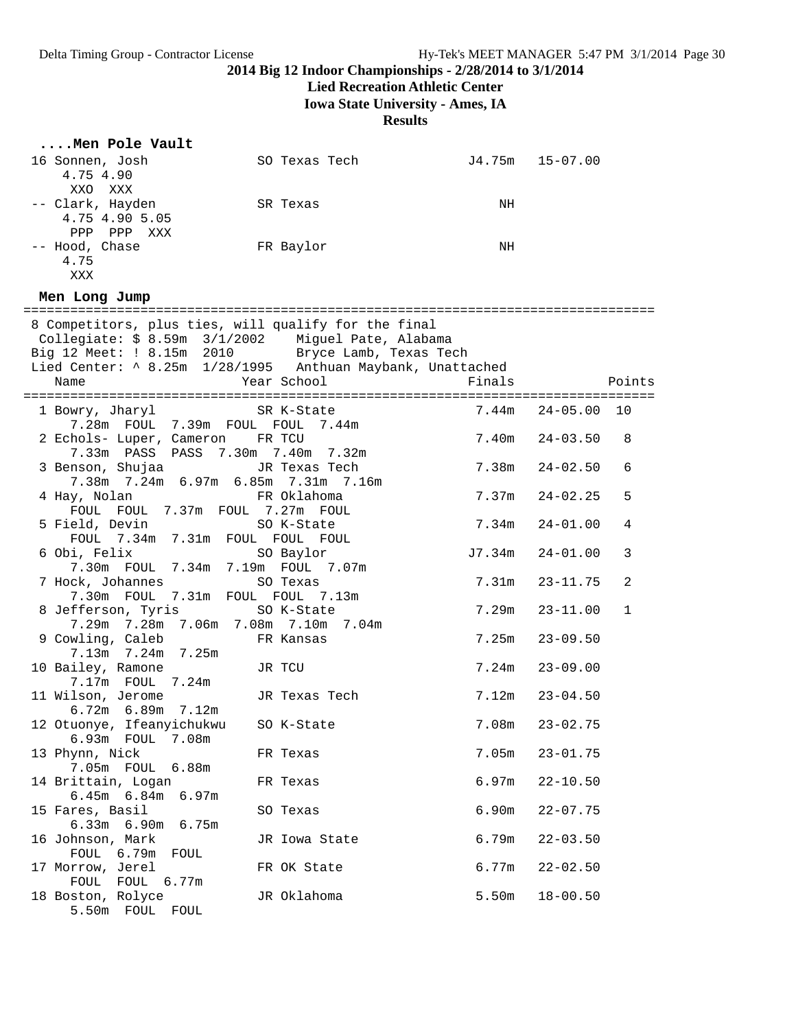**Lied Recreation Athletic Center**

**Iowa State University - Ames, IA**

| Men Pole Vault                                                                                             |               |        |                              |  |
|------------------------------------------------------------------------------------------------------------|---------------|--------|------------------------------|--|
| 16 Sonnen, Josh<br>4.75 4.90                                                                               | SO Texas Tech |        | J4.75m 15-07.00              |  |
| XXO XXX                                                                                                    |               |        |                              |  |
| -- Clark, Hayden                                                                                           | SR Texas      | ΝH     |                              |  |
| 4.75 4.90 5.05                                                                                             |               |        |                              |  |
| PPP PPP XXX<br>-- Hood, Chase                                                                              | FR Baylor     | NH     |                              |  |
| 4.75                                                                                                       |               |        |                              |  |
| XXX                                                                                                        |               |        |                              |  |
| Men Long Jump                                                                                              |               |        |                              |  |
|                                                                                                            |               |        |                              |  |
| 8 Competitors, plus ties, will qualify for the final<br>Collegiate: \$ 8.59m 3/1/2002 Miguel Pate, Alabama |               |        |                              |  |
| Big 12 Meet: ! 8.15m 2010 Bryce Lamb, Texas Tech                                                           |               |        |                              |  |
| Lied Center: ^ 8.25m 1/28/1995 Anthuan Maybank, Unattached                                                 |               |        |                              |  |
|                                                                                                            |               |        |                              |  |
|                                                                                                            |               |        |                              |  |
| 1 Bowry, Jharyl SR K-State<br>7.28m FOUL 7.39m FOUL FOUL 7.44m                                             |               |        | 7.44m  24-05.00  10          |  |
| 2 Echols- Luper, Cameron FR TCU                                                                            |               |        | $7.40m$ $24-03.50$<br>8      |  |
| 7.33m PASS PASS 7.30m 7.40m 7.32m                                                                          |               |        |                              |  |
| 3 Benson, Shujaa                                                                                           | JR Texas Tech |        | $7.38m$ $24-02.50$<br>6      |  |
| 7.38m 7.24m 6.97m 6.85m 7.31m 7.16m                                                                        |               |        |                              |  |
| 4 Hay, Nolan<br>FOUL FOUL 7.37m FOUL 7.27m FOUL                                                            | FR Oklahoma   | 7.37m  | $24 - 02.25$<br>5            |  |
| 5 Field, Devin                                                                                             | SO K-State    | 7.34m  | $24 - 01.00$<br>4            |  |
| FOUL 7.34m 7.31m FOUL FOUL FOUL                                                                            |               |        |                              |  |
| 6 Obi, Felix                                                                                               | SO Baylor     | J7.34m | $24 - 01.00$<br>3            |  |
| 7.30m FOUL 7.34m 7.19m FOUL 7.07m                                                                          |               |        |                              |  |
| 7 Hock, Johannes<br>7.30m FOUL 7.31m FOUL FOUL 7.13m                                                       | SO Texas      | 7.31m  | 2<br>$23 - 11.75$            |  |
| 8 Jefferson, Tyris                                                                                         | SO K-State    | 7.29m  | $23 - 11.00$<br>$\mathbf{1}$ |  |
| 7.29m 7.28m 7.06m 7.08m 7.10m 7.04m                                                                        |               |        |                              |  |
| 9 Cowling, Caleb                                                                                           | FR Kansas     | 7.25m  | $23 - 09.50$                 |  |
| 7.13m 7.24m 7.25m                                                                                          |               |        |                              |  |
| 10 Bailey, Ramone<br>7.17m  FOUL  7.24m                                                                    | JR TCU        |        | $7.24m$ $23-09.00$           |  |
| 11 Wilson, Jerome                                                                                          | JR Texas Tech |        | $7.12m$ $23-04.50$           |  |
| 6.72m 6.89m 7.12m                                                                                          |               |        |                              |  |
| 12 Otuonye, Ifeanyichukwu                                                                                  | SO K-State    | 7.08m  | $23 - 02.75$                 |  |
| 6.93m FOUL<br>7.08m                                                                                        |               |        |                              |  |
| 13 Phynn, Nick<br>6.88m<br>7.05m FOUL                                                                      | FR Texas      | 7.05m  | $23 - 01.75$                 |  |
| 14 Brittain, Logan                                                                                         | FR Texas      | 6.97m  | $22 - 10.50$                 |  |
| $6.45m$ $6.84m$<br>6.97m                                                                                   |               |        |                              |  |
| 15 Fares, Basil                                                                                            | SO Texas      | 6.90m  | $22 - 07.75$                 |  |
| $6.33m$ $6.90m$<br>6.75m                                                                                   |               |        |                              |  |
| 16 Johnson, Mark<br>FOUL 6.79m<br>FOUL                                                                     | JR Iowa State | 6.79m  | $22 - 03.50$                 |  |
| 17 Morrow, Jerel                                                                                           | FR OK State   | 6.77m  | $22 - 02.50$                 |  |
| FOUL<br>FOUL<br>6.77m                                                                                      |               |        |                              |  |
| 18 Boston, Rolyce                                                                                          | JR Oklahoma   | 5.50m  | $18 - 00.50$                 |  |
| 5.50m FOUL FOUL                                                                                            |               |        |                              |  |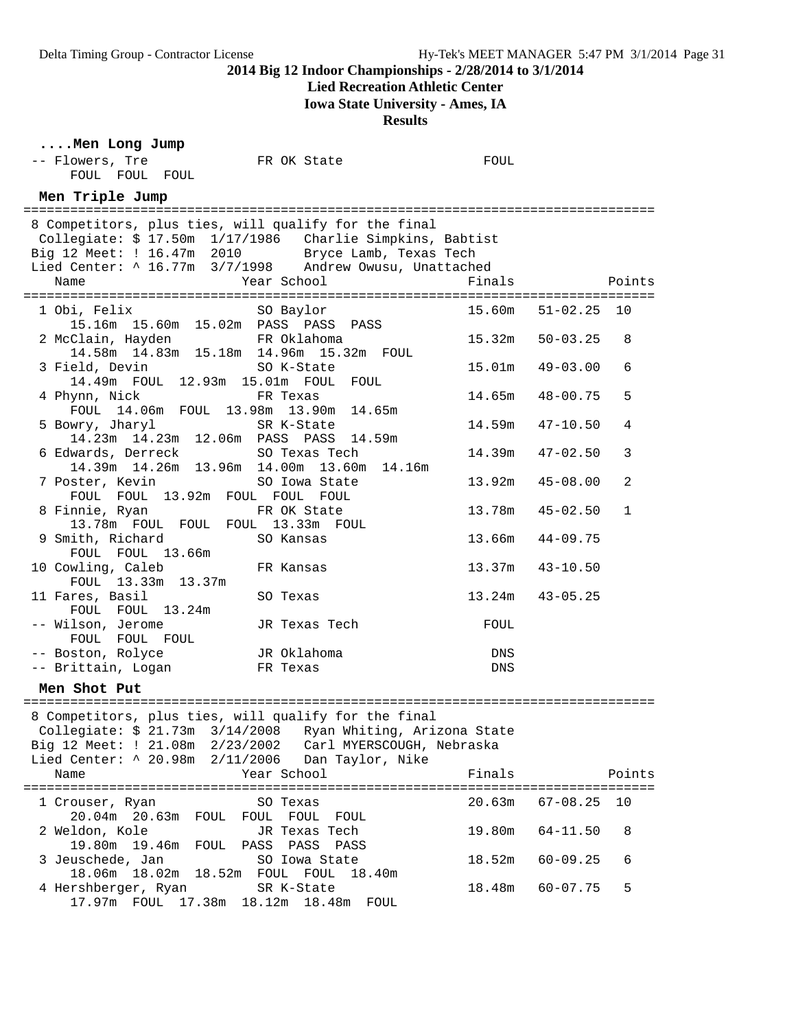### **Lied Recreation Athletic Center**

**Iowa State University - Ames, IA**

**Results**

### **....Men Long Jump**

| -- Flowers, Tre<br>FOUL FOUL FOUL                                                                                                                                                                                                         | FR OK State             | FOUL   |              |             |
|-------------------------------------------------------------------------------------------------------------------------------------------------------------------------------------------------------------------------------------------|-------------------------|--------|--------------|-------------|
| Men Triple Jump                                                                                                                                                                                                                           |                         |        |              |             |
| 8 Competitors, plus ties, will qualify for the final<br>Collegiate: \$ 17.50m 1/17/1986 Charlie Simpkins, Babtist<br>Big 12 Meet: ! 16.47m 2010 Bryce Lamb, Texas Tech<br>Lied Center: ^ 16.77m 3/7/1998 Andrew Owusu, Unattached<br>Name | Year School             | Finals |              | Points      |
| 1 Obi, Felix                                                                                                                                                                                                                              | SO Baylor               | 15.60m | 51-02.25     | 10          |
| 15.16m  15.60m  15.02m  PASS  PASS  PASS<br>2 McClain, Hayden<br>14.58m 14.83m 15.18m 14.96m 15.32m FOUL                                                                                                                                  |                         | 15.32m | $50 - 03.25$ | 8           |
| 3 Field, Devin<br>14.49m FOUL 12.93m 15.01m FOUL                                                                                                                                                                                          | SO K-State<br>FOUL      | 15.01m | 49-03.00     | 6           |
| 4 Phynn, Nick<br>FOUL 14.06m FOUL 13.98m 13.90m                                                                                                                                                                                           | FR Texas<br>14.65m      | 14.65m | $48 - 00.75$ | 5           |
| 5 Bowry, Jharyl<br>14.23m  14.23m  12.06m  PASS  PASS                                                                                                                                                                                     | SR K-State<br>14.59m    | 14.59m | $47 - 10.50$ | 4           |
| 6 Edwards, Derreck                                                                                                                                                                                                                        | SO Texas Tech           | 14.39m | $47 - 02.50$ | 3           |
| 14.39m  14.26m  13.96m  14.00m  13.60m<br>7 Poster, Kevin                                                                                                                                                                                 | 14.16m<br>SO Iowa State | 13.92m | $45 - 08.00$ | 2           |
| FOUL FOUL 13.92m FOUL FOUL FOUL<br>8 Finnie, Ryan                                                                                                                                                                                         | FR OK State             | 13.78m | $45 - 02.50$ | $\mathbf 1$ |
| 13.78m FOUL FOUL FOUL 13.33m FOUL<br>9 Smith, Richard                                                                                                                                                                                     | SO Kansas               | 13.66m | $44 - 09.75$ |             |
| FOUL FOUL 13.66m<br>10 Cowling, Caleb                                                                                                                                                                                                     | FR Kansas               | 13.37m | $43 - 10.50$ |             |
| FOUL 13.33m 13.37m<br>11 Fares, Basil                                                                                                                                                                                                     | SO Texas                | 13.24m | $43 - 05.25$ |             |
| FOUL FOUL 13.24m<br>-- Wilson, Jerome                                                                                                                                                                                                     | JR Texas Tech           | FOUL   |              |             |
| FOUL FOUL FOUL<br>-- Boston, Rolyce                                                                                                                                                                                                       | JR Oklahoma             | DNS    |              |             |
| -- Brittain, Logan FR Texas<br>Men Shot Put                                                                                                                                                                                               |                         | DNS    |              |             |
| 8 Competitors, plus ties, will qualify for the final<br>Collegiate: \$ 21.73m 3/14/2008 Ryan Whiting, Arizona State<br>Big 12 Meet: ! 21.08m  2/23/2002  Carl MYERSCOUGH, Nebraska<br>Lied Center: ^ 20.98m 2/11/2006 Dan Taylor, Nike    |                         |        |              |             |
| Name                                                                                                                                                                                                                                      | Year School             | Finals |              | Points      |
| 1 Crouser, Ryan<br>20.04m 20.63m FOUL FOUL FOUL                                                                                                                                                                                           | SO Texas<br>FOUL        | 20.63m | $67 - 08.25$ | 10          |
| 2 Weldon, Kole<br>19.80m 19.46m FOUL PASS PASS PASS                                                                                                                                                                                       | JR Texas Tech           | 19.80m | $64 - 11.50$ | 8           |
| 3 Jeuschede, Jan<br>18.06m  18.02m  18.52m  FOUL  FOUL  18.40m                                                                                                                                                                            | SO Iowa State           | 18.52m | $60 - 09.25$ | 6           |
| 4 Hershberger, Ryan                                                                                                                                                                                                                       | SR K-State              | 18.48m | $60 - 07.75$ | 5           |

17.97m FOUL 17.38m 18.12m 18.48m FOUL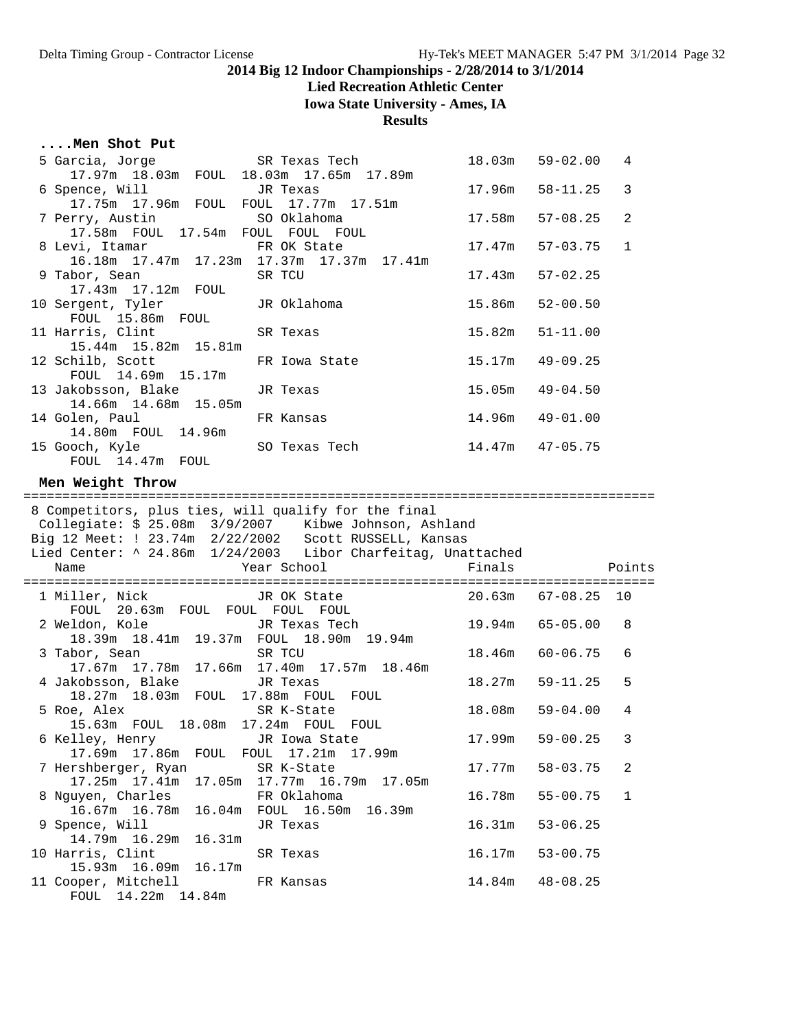# **Lied Recreation Athletic Center**

**Iowa State University - Ames, IA**

**Results**

# **....Men Shot Put**

| 5 Garcia, Jorge                                                                                         | SR Texas Tech                                                                                                                                                                      | 18.03m           | $59 - 02.00$                 | 4            |
|---------------------------------------------------------------------------------------------------------|------------------------------------------------------------------------------------------------------------------------------------------------------------------------------------|------------------|------------------------------|--------------|
| 17.97m 18.03m FOUL 18.03m 17.65m 17.89m<br>6 Spence, Will<br>17.75m  17.96m  FOUL  FOUL  17.77m  17.51m | JR Texas                                                                                                                                                                           | 17.96m           | $58 - 11.25$                 | 3            |
| 7 Perry, Austin<br>17.58m FOUL 17.54m FOUL FOUL FOUL                                                    | SO Oklahoma                                                                                                                                                                        | 17.58m           | $57 - 08.25$                 | 2            |
| 8 Levi, Itamar<br>16.18m  17.47m  17.23m  17.37m  17.37m  17.41m                                        | FR OK State                                                                                                                                                                        | 17.47m           | $57 - 03.75$                 | $\mathbf{1}$ |
| 9 Tabor, Sean<br>17.43m  17.12m  FOUL                                                                   | SR TCU                                                                                                                                                                             | 17.43m           | $57 - 02.25$                 |              |
| 10 Sergent, Tyler<br>FOUL 15.86m FOUL                                                                   | JR Oklahoma                                                                                                                                                                        | 15.86m           | $52 - 00.50$                 |              |
| 11 Harris, Clint<br>15.44m 15.82m 15.81m                                                                | SR Texas                                                                                                                                                                           | 15.82m           | $51 - 11.00$                 |              |
| 12 Schilb, Scott<br>FOUL 14.69m 15.17m                                                                  | FR Iowa State                                                                                                                                                                      | 15.17m           | $49 - 09.25$                 |              |
| 13 Jakobsson, Blake<br>14.66m  14.68m  15.05m                                                           | JR Texas                                                                                                                                                                           | 15.05m           | $49 - 04.50$                 |              |
| 14 Golen, Paul<br>14.80m FOUL 14.96m                                                                    | FR Kansas                                                                                                                                                                          | 14.96m           | $49 - 01.00$                 |              |
| 15 Gooch, Kyle<br>FOUL 14.47m FOUL                                                                      | SO Texas Tech                                                                                                                                                                      | 14.47m           | $47 - 05.75$                 |              |
| Men Weight Throw                                                                                        |                                                                                                                                                                                    |                  |                              |              |
|                                                                                                         | 8 Competitors, plus ties, will qualify for the final                                                                                                                               |                  |                              |              |
|                                                                                                         | Collegiate: \$ 25.08m  3/9/2007  Kibwe Johnson, Ashland<br>Big 12 Meet: $! 23.74m 2/22/2002$ Scott RUSSELL, Kansas<br>Lied Center: ^ 24.86m 1/24/2003 Libor Charfeitag, Unattached |                  |                              |              |
| Name                                                                                                    | Year School                                                                                                                                                                        | Finals           |                              | Points       |
| 1 Miller, Nick<br>FOUL 20.63m FOUL FOUL FOUL FOUL                                                       | JR OK State                                                                                                                                                                        |                  | $20.63m$ $67-08.25$          | 10           |
| 2 Weldon, Kole<br>18.39m  18.41m  19.37m  FOUL  18.90m  19.94m                                          | JR Texas Tech                                                                                                                                                                      | 19.94m           | $65 - 05.00$                 | 8            |
| 3 Tabor, Sean<br>17.67m  17.78m  17.66m  17.40m  17.57m  18.46m                                         | SR TCU                                                                                                                                                                             | 18.46m           | $60 - 06.75$                 | 6            |
| 4 Jakobsson, Blake<br>18.27m 18.03m FOUL 17.88m FOUL                                                    | JR Texas<br>FOUL                                                                                                                                                                   | 18.27m           | $59 - 11.25$                 | 5            |
| 5 Roe, Alex<br>15.63m FOUL 18.08m 17.24m FOUL FOUL                                                      | SR K-State                                                                                                                                                                         | 18.08m           | $59 - 04.00$                 | 4            |
| 6 Kelley, Henry<br>17.86m<br>17.69m<br>FOUL                                                             | JR Iowa State<br>17.21m<br>FOUL<br>17.99m                                                                                                                                          | 17.99m           | $59 - 00.25$                 | 3            |
| 7 Hershberger, Ryan<br>17.25m  17.41m<br>17.05m                                                         | SR K-State<br>17.77m 16.79m<br>17.05m                                                                                                                                              | 17.77m           | $58 - 03.75$                 | 2            |
| 8 Nguyen, Charles<br>16.67m<br>16.78m<br>16.04m                                                         | FR Oklahoma<br>FOUL 16.50m<br>16.39m                                                                                                                                               | 16.78m           | $55 - 00.75$                 | $\mathbf 1$  |
| 9 Spence, Will<br>14.79m 16.29m<br>16.31m                                                               | JR Texas                                                                                                                                                                           | 16.31m           | $53 - 06.25$                 |              |
| 10 Harris, Clint<br>15.93m 16.09m<br>16.17m<br>11 Cooper, Mitchell                                      | SR Texas<br>FR Kansas                                                                                                                                                              | 16.17m<br>14.84m | $53 - 00.75$<br>$48 - 08.25$ |              |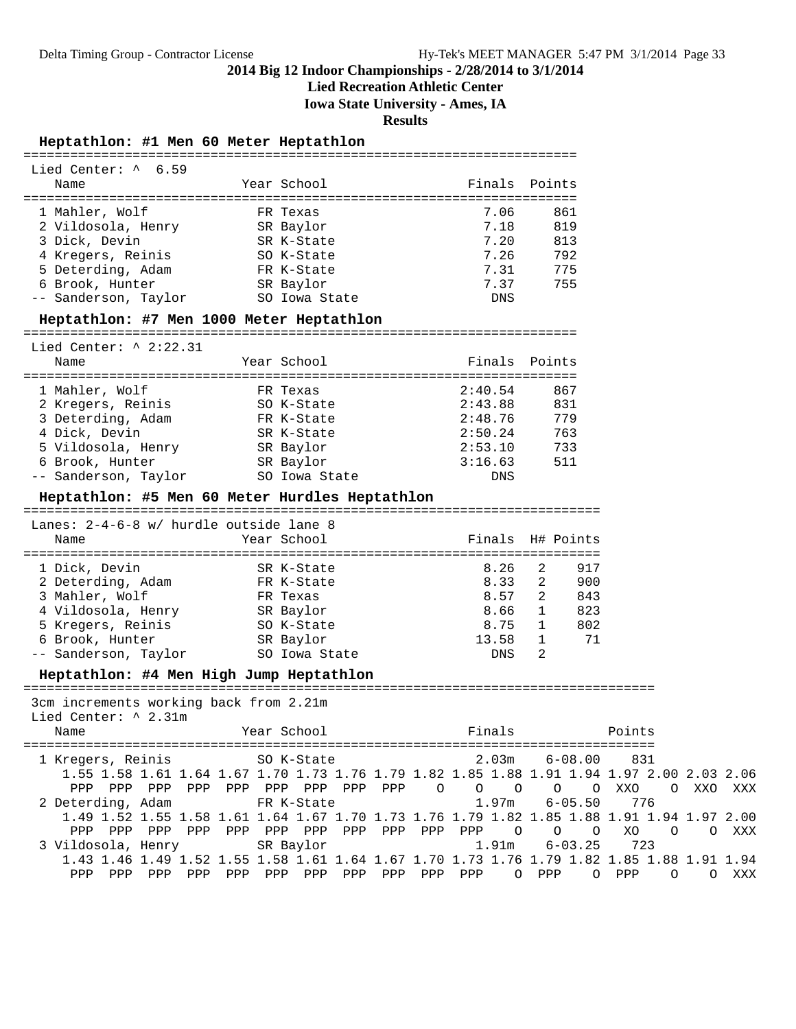**Lied Recreation Athletic Center**

**Iowa State University - Ames, IA**

PPP PPP PPP PPP PPP PPP PPP PPP PPP PPP PPP O PPP O PPP O O XXX

**Results**

#### **Heptathlon: #1 Men 60 Meter Heptathlon**

| Lied Center: ^ 6.59                                                                       |             |               |  |                    |                  |                        |  |
|-------------------------------------------------------------------------------------------|-------------|---------------|--|--------------------|------------------|------------------------|--|
| Name                                                                                      | Year School |               |  | Finals Points      |                  |                        |  |
| 1 Mahler, Wolf                                                                            | FR Texas    |               |  | 7.06               | 861              |                        |  |
| 2 Vildosola, Henry                                                                        | SR Baylor   |               |  | 7.18               | 819              |                        |  |
| 3 Dick, Devin                                                                             |             | SR K-State    |  | 7.20               | 813              |                        |  |
| 4 Kregers, Reinis                                                                         |             | SO K-State    |  | 7.26               | 792              |                        |  |
| 5 Deterding, Adam                                                                         | FR K-State  |               |  | 7.31               | 775              |                        |  |
| 6 Brook, Hunter<br>-- Sanderson, Taylor 50 Iowa State                                     | SR Baylor   |               |  | 7.37<br>DNS        | 755              |                        |  |
|                                                                                           |             |               |  |                    |                  |                        |  |
| Heptathlon: #7 Men 1000 Meter Heptathlon                                                  |             |               |  |                    |                  |                        |  |
| Lied Center: $\land$ 2:22.31                                                              |             |               |  |                    |                  |                        |  |
| Name                                                                                      | Year School |               |  | Finals Points      |                  |                        |  |
| 1 Mahler, Wolf                                                                            | FR Texas    |               |  | 2:40.54            | 867              |                        |  |
| 2 Kregers, Reinis                                                                         |             | SO K-State    |  | 2:43.88            | 831              |                        |  |
| 3 Deterding, Adam                                                                         |             | FR K-State    |  | 2:48.76            | 779              |                        |  |
| 4 Dick, Devin                                                                             |             | SR K-State    |  | 2:50.24            | 763              |                        |  |
| 5 Vildosola, Henry             SR Baylor                                                  |             |               |  | 2:53.10            | 733              |                        |  |
| 6 Brook, Hunter                                                                           |             | SR Baylor     |  | 3:16.63            | 511              |                        |  |
| -- Sanderson, Taylor                                                                      |             | SO Iowa State |  | DNS                |                  |                        |  |
| Heptathlon: #5 Men 60 Meter Hurdles Heptathlon                                            |             |               |  |                    |                  |                        |  |
| Lanes: 2-4-6-8 w/ hurdle outside lane 8                                                   |             |               |  |                    |                  |                        |  |
| Name                                                                                      | Year School |               |  |                    | Finals H# Points |                        |  |
|                                                                                           |             |               |  |                    |                  |                        |  |
| 1 Dick, Devin                                                                             | SR K-State  |               |  | 8.26               | 2<br>917         |                        |  |
| 2 Deterding, Adam                                                                         | FR K-State  |               |  | $8.33 \ 2$         | 900              |                        |  |
| 3 Mahler, Wolf<br>4 Vildosola, Henry SR Baylor                                            | FR Texas    |               |  | $8.57$ 2<br>8.66 1 | 843<br>823       |                        |  |
| 5 Kregers, Reinis                                                                         | SO K-State  |               |  | 8.75 1             | 802              |                        |  |
| 6 Brook, Hunter                                                                           | SR Baylor   |               |  | $13.58$ 1          | 71               |                        |  |
| -- Sanderson, Taylor 50 Iowa State                                                        |             |               |  | DNS                | 2                |                        |  |
| Heptathlon: #4 Men High Jump Heptathlon                                                   |             |               |  |                    |                  |                        |  |
|                                                                                           |             |               |  |                    |                  |                        |  |
| 3cm increments working back from 2.21m<br>Lied Center: ^ 2.31m                            |             |               |  |                    |                  |                        |  |
| Name                                                                                      | Year School |               |  | Finals             |                  | Points                 |  |
|                                                                                           |             |               |  |                    |                  |                        |  |
| 1 Kregers, Reinis                                                                         |             | SO K-State    |  | 2.03m              |                  | $6 - 08.00$ 831        |  |
| 1.55 1.58 1.61 1.64 1.67 1.70 1.73 1.76 1.79 1.82 1.85 1.88 1.91 1.94 1.97 2.00 2.03 2.06 |             |               |  |                    |                  |                        |  |
| PPP PPP PPP PPP PPP PPP PPP PPP PPP O<br>2 Deterding, Adam                                |             |               |  | $\circ$ $\circ$    | $6 - 05.50$      | O OXXO OXXO XXX<br>776 |  |
| 1.49 1.52 1.55 1.58 1.61 1.64 1.67 1.70 1.73 1.76 1.79 1.82 1.85 1.88 1.91 1.94 1.97 2.00 |             | FR K-State    |  | 1.97m              |                  |                        |  |
|                                                                                           |             |               |  |                    |                  | XO O O XXX             |  |
| 3 Vildosola, Henry                                                                        |             | SR Baylor     |  | 1.91m              | $6 - 03.25$      | 723                    |  |
| 1.43 1.46 1.49 1.52 1.55 1.58 1.61 1.64 1.67 1.70 1.73 1.76 1.79 1.82 1.85 1.88 1.91 1.94 |             |               |  |                    |                  |                        |  |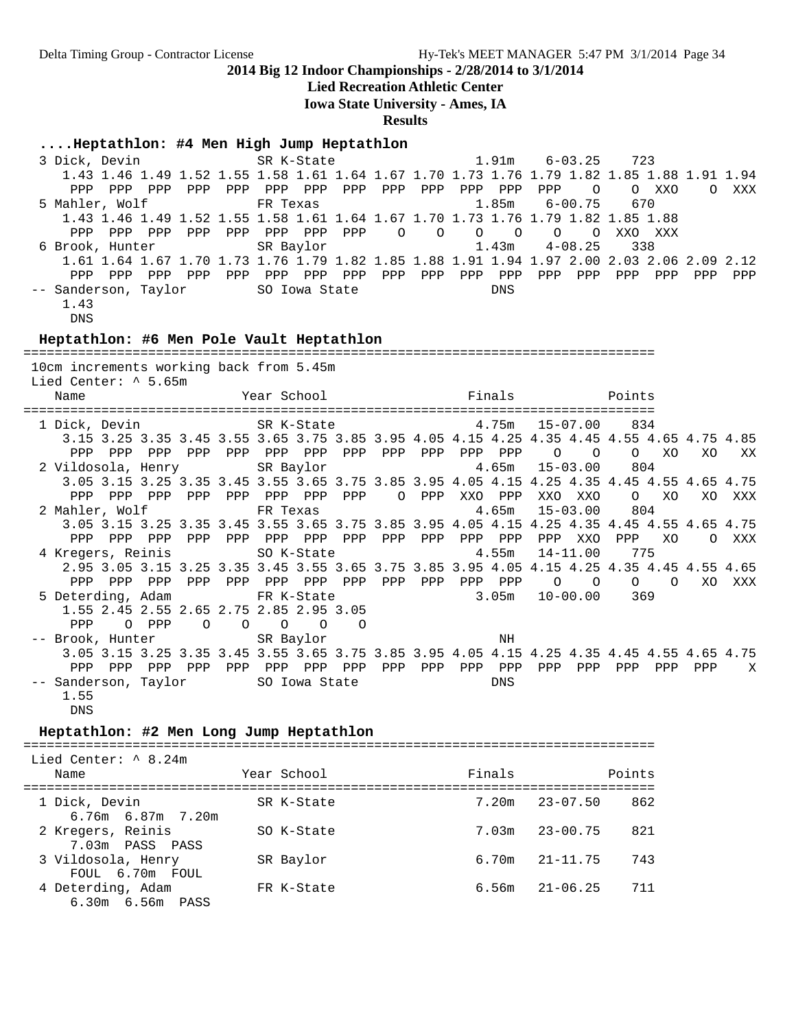**Lied Recreation Athletic Center**

**Iowa State University - Ames, IA**

**Results**

#### **....Heptathlon: #4 Men High Jump Heptathlon**

 3 Dick, Devin SR K-State 1.91m 6-03.25 723 1.43 1.46 1.49 1.52 1.55 1.58 1.61 1.64 1.67 1.70 1.73 1.76 1.79 1.82 1.85 1.88 1.91 1.94 PPP PPP PPP PPP PPP PPP PPP PPP PPP PPP PPP PPP PPP O O XXO O XXX 5 Mahler, Wolf FR Texas 1.85m 6-00.75 670 1.43 1.46 1.49 1.52 1.55 1.58 1.61 1.64 1.67 1.70 1.73 1.76 1.79 1.82 1.85 1.88 PPP PPP PPP PPP PPP PPP PPP PPP O O O O O O XXO XXX 6 Brook, Hunter SR Baylor 1.43m 4-08.25 338 1.61 1.64 1.67 1.70 1.73 1.76 1.79 1.82 1.85 1.88 1.91 1.94 1.97 2.00 2.03 2.06 2.09 2.12 PPP PPP PPP PPP PPP PPP PPP PPP PPP PPP PPP PPP PPP PPP PPP PPP PPP PPP -- Sanderson, Taylor SO Iowa State DNS 1.43

DNS

DNS

Lied Center: ^ 5.65m

#### **Heptathlon: #6 Men Pole Vault Heptathlon**

================================================================================= 10cm increments working back from 5.45m

 Name Year School Finals Points ================================================================================= SR K-State 4.75m 15-07.00 834 3.15 3.25 3.35 3.45 3.55 3.65 3.75 3.85 3.95 4.05 4.15 4.25 4.35 4.45 4.55 4.65 4.75 4.85 PPP PPP PPP PPP PPP PPP PPP PPP PPP PPP PPP PPP O O O XO XO XX 2 Vildosola, Henry SR Baylor 3.05 3.15 3.25 3.35 3.45 3.55 3.65 3.75 3.85 3.95 4.05 4.15 4.25 4.35 4.45 4.55 4.65 4.75 PPP PPP PPP PPP PPP PPP PPP PPP O PPP XXO PPP XXO XXO O XO XO XXX 2 Mahler, Wolf FR Texas 4.65m 15-03.00 804 3.05 3.15 3.25 3.35 3.45 3.55 3.65 3.75 3.85 3.95 4.05 4.15 4.25 4.35 4.45 4.55 4.65 4.75 PPP PPP PPP PPP PPP PPP PPP PPP PPP PPP PPP PPP PPP XXO PPP XO O XXX 4 Kregers, Reinis SO K-State 4.55m 14-11.00 775 2.95 3.05 3.15 3.25 3.35 3.45 3.55 3.65 3.75 3.85 3.95 4.05 4.15 4.25 4.35 4.45 4.55 4.65 PPP PPP PPP PPP PPP PPP PPP PPP PPP PPP PPP PPP O O O O XO XXX 5 Deterding, Adam 5.05 FR K-State 1.55 2.45 2.55 2.65 2.75 2.85 2.95 3.05 PPP O PPP O O O O O -- Brook, Hunter SR Baylor SR MH 3.05 3.15 3.25 3.35 3.45 3.55 3.65 3.75 3.85 3.95 4.05 4.15 4.25 4.35 4.45 4.55 4.65 4.75 PPP PPP PPP PPP PPP PPP PPP PPP PPP PPP PPP PPP PPP PPP PPP PPP PPP X -- Sanderson, Taylor SO Iowa State Some DNS 1.55

#### **Heptathlon: #2 Men Long Jump Heptathlon**

=================================================================================

| Lied Center: ^ 8.24m<br>Name              | Year School | Finals | Points              |
|-------------------------------------------|-------------|--------|---------------------|
| 1 Dick, Devin<br>6.76m 6.87m 7.20m        | SR K-State  | 7.20m  | 862<br>23-07.50     |
| 2 Kregers, Reinis<br>7.03m PASS PASS      | SO K-State  | 7.03m  | $23 - 00.75$<br>821 |
| 3 Vildosola, Henry<br>FOUL 6.70m FOUL     | SR Baylor   | 6.70m  | 743<br>21-11.75     |
| 4 Deterding, Adam<br>$6.30m$ $6.56m$ PASS | FR K-State  | 6.56m  | $21 - 06.25$<br>711 |